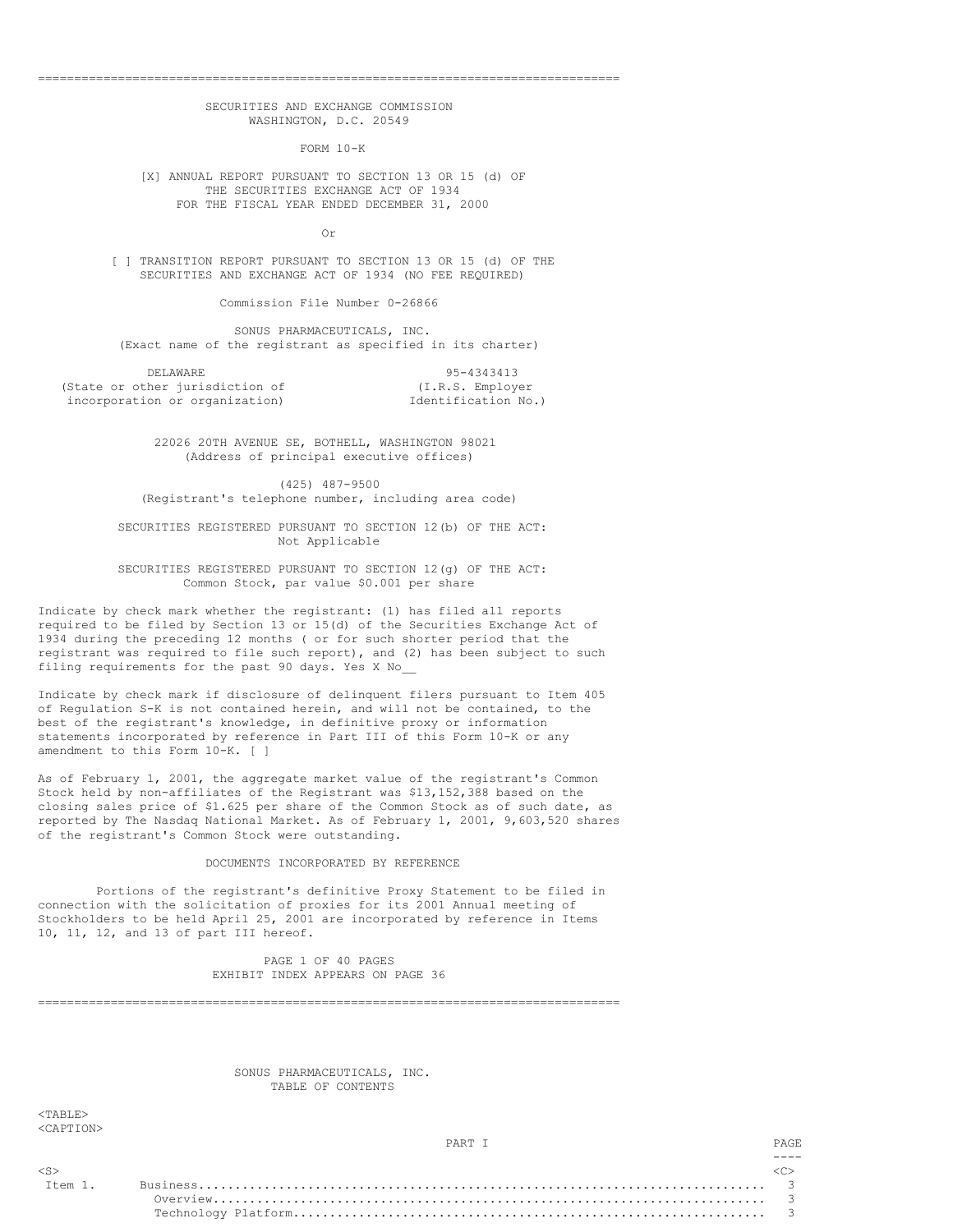# SECURITIES AND EXCHANGE COMMISSION WASHINGTON, D.C. 20549

================================================================================

FORM 10-K

[X] ANNUAL REPORT PURSUANT TO SECTION 13 OR 15 (d) OF THE SECURITIES EXCHANGE ACT OF 1934 FOR THE FISCAL YEAR ENDED DECEMBER 31, 2000

Or

[ ] TRANSITION REPORT PURSUANT TO SECTION 13 OR 15 (d) OF THE SECURITIES AND EXCHANGE ACT OF 1934 (NO FEE REQUIRED)

Commission File Number 0-26866

SONUS PHARMACEUTICALS, INC. (Exact name of the registrant as specified in its charter)

DELAWARE 95-4343413<br>ther jurisdiction of (I.R.S. Employer (State or other jurisdiction of incorporation or organization) [dentification No.)

22026 20TH AVENUE SE, BOTHELL, WASHINGTON 98021 (Address of principal executive offices)

(425) 487-9500 (Registrant's telephone number, including area code)

SECURITIES REGISTERED PURSUANT TO SECTION 12(b) OF THE ACT: Not Applicable

SECURITIES REGISTERED PURSUANT TO SECTION 12(g) OF THE ACT: Common Stock, par value \$0.001 per share

Indicate by check mark whether the registrant: (1) has filed all reports required to be filed by Section 13 or 15(d) of the Securities Exchange Act of 1934 during the preceding 12 months ( or for such shorter period that the registrant was required to file such report), and (2) has been subject to such filing requirements for the past 90 days. Yes X No\_\_

Indicate by check mark if disclosure of delinquent filers pursuant to Item 405 of Regulation S-K is not contained herein, and will not be contained, to the best of the registrant's knowledge, in definitive proxy or information statements incorporated by reference in Part III of this Form 10-K or any amendment to this Form 10-K. [ ]

As of February 1, 2001, the aggregate market value of the registrant's Common Stock held by non-affiliates of the Registrant was \$13,152,388 based on the closing sales price of \$1.625 per share of the Common Stock as of such date, as reported by The Nasdaq National Market. As of February 1, 2001, 9,603,520 shares of the registrant's Common Stock were outstanding.

# DOCUMENTS INCORPORATED BY REFERENCE

Portions of the registrant's definitive Proxy Statement to be filed in connection with the solicitation of proxies for its 2001 Annual meeting of Stockholders to be held April 25, 2001 are incorporated by reference in Items 10, 11, 12, and 13 of part III hereof.

> PAGE 1 OF 40 PAGES EXHIBIT INDEX APPEARS ON PAGE 36

================================================================================

SONUS PHARMACEUTICALS, INC. TABLE OF CONTENTS

 $<$ TABLE> <CAPTION>

----

<S> <C>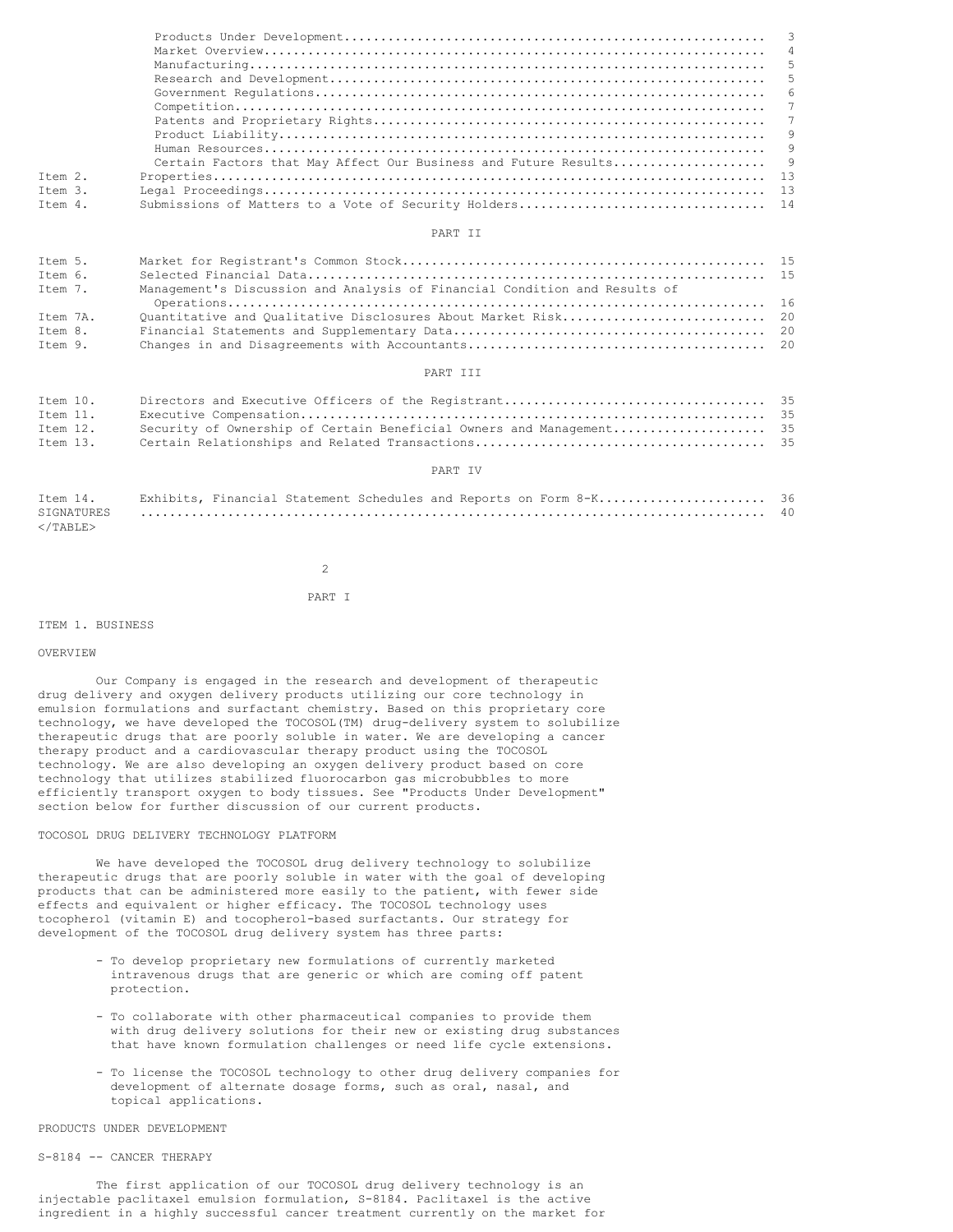| Item 2. |  |
|---------|--|
| Ttem 3. |  |
| Ttem 4. |  |

### PART II

| Item 5.  |                                                                            |  |
|----------|----------------------------------------------------------------------------|--|
| Ttem 6.  |                                                                            |  |
| Item 7.  | Management's Discussion and Analysis of Financial Condition and Results of |  |
|          |                                                                            |  |
| Ttem 7A. |                                                                            |  |
| Ttem 8.  |                                                                            |  |
| Item 9.  |                                                                            |  |

#### PART III

| Item 10. |  |
|----------|--|
| Item 11. |  |
| Item 12. |  |
| Item 13. |  |

# PART IV

|                       |  |  |  |  | Item 14. Exhibits, Financial Statement Schedules and Reports on Form 8-K 36 |  |
|-----------------------|--|--|--|--|-----------------------------------------------------------------------------|--|
|                       |  |  |  |  |                                                                             |  |
| $\epsilon$ /TARLE $>$ |  |  |  |  |                                                                             |  |

 $\overline{2}$ 

## PART I

### ITEM 1. BUSINESS

### OVERVIEW

Our Company is engaged in the research and development of therapeutic drug delivery and oxygen delivery products utilizing our core technology in emulsion formulations and surfactant chemistry. Based on this proprietary core technology, we have developed the TOCOSOL(TM) drug-delivery system to solubilize therapeutic drugs that are poorly soluble in water. We are developing a cancer therapy product and a cardiovascular therapy product using the TOCOSOL technology. We are also developing an oxygen delivery product based on core technology that utilizes stabilized fluorocarbon gas microbubbles to more efficiently transport oxygen to body tissues. See "Products Under Development" section below for further discussion of our current products.

# TOCOSOL DRUG DELIVERY TECHNOLOGY PLATFORM

We have developed the TOCOSOL drug delivery technology to solubilize therapeutic drugs that are poorly soluble in water with the goal of developing products that can be administered more easily to the patient, with fewer side effects and equivalent or higher efficacy. The TOCOSOL technology uses tocopherol (vitamin E) and tocopherol-based surfactants. Our strategy for development of the TOCOSOL drug delivery system has three parts:

- To develop proprietary new formulations of currently marketed intravenous drugs that are generic or which are coming off patent protection.
- To collaborate with other pharmaceutical companies to provide them with drug delivery solutions for their new or existing drug substances that have known formulation challenges or need life cycle extensions.
- To license the TOCOSOL technology to other drug delivery companies for development of alternate dosage forms, such as oral, nasal, and topical applications.

### PRODUCTS UNDER DEVELOPMENT

# S-8184 -- CANCER THERAPY

The first application of our TOCOSOL drug delivery technology is an injectable paclitaxel emulsion formulation, S-8184. Paclitaxel is the active ingredient in a highly successful cancer treatment currently on the market for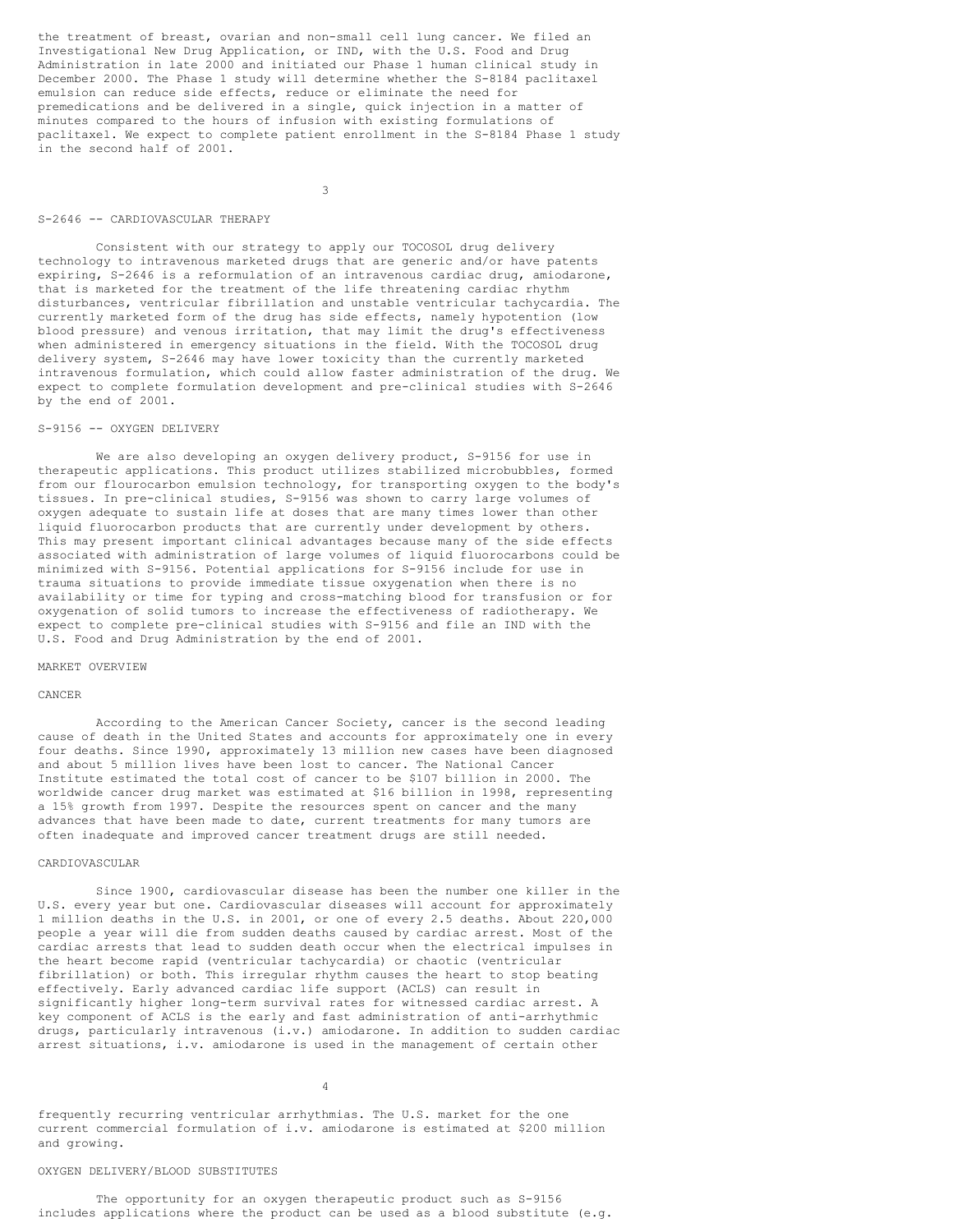the treatment of breast, ovarian and non-small cell lung cancer. We filed an Investigational New Drug Application, or IND, with the U.S. Food and Drug Administration in late 2000 and initiated our Phase 1 human clinical study in December 2000. The Phase 1 study will determine whether the S-8184 paclitaxel emulsion can reduce side effects, reduce or eliminate the need for premedications and be delivered in a single, quick injection in a matter of minutes compared to the hours of infusion with existing formulations of paclitaxel. We expect to complete patient enrollment in the S-8184 Phase 1 study in the second half of 2001.

3

## S-2646 -- CARDIOVASCULAR THERAPY

Consistent with our strategy to apply our TOCOSOL drug delivery technology to intravenous marketed drugs that are generic and/or have patents expiring, S-2646 is a reformulation of an intravenous cardiac drug, amiodarone, that is marketed for the treatment of the life threatening cardiac rhythm disturbances, ventricular fibrillation and unstable ventricular tachycardia. The currently marketed form of the drug has side effects, namely hypotention (low blood pressure) and venous irritation, that may limit the drug's effectiveness when administered in emergency situations in the field. With the TOCOSOL drug delivery system, S-2646 may have lower toxicity than the currently marketed intravenous formulation, which could allow faster administration of the drug. We expect to complete formulation development and pre-clinical studies with S-2646 by the end of 2001.

## S-9156 -- OXYGEN DELIVERY

We are also developing an oxygen delivery product, S-9156 for use in therapeutic applications. This product utilizes stabilized microbubbles, formed from our flourocarbon emulsion technology, for transporting oxygen to the body's tissues. In pre-clinical studies, S-9156 was shown to carry large volumes of oxygen adequate to sustain life at doses that are many times lower than other liquid fluorocarbon products that are currently under development by others. This may present important clinical advantages because many of the side effects associated with administration of large volumes of liquid fluorocarbons could be minimized with S-9156. Potential applications for S-9156 include for use in trauma situations to provide immediate tissue oxygenation when there is no availability or time for typing and cross-matching blood for transfusion or for oxygenation of solid tumors to increase the effectiveness of radiotherapy. We expect to complete pre-clinical studies with S-9156 and file an IND with the U.S. Food and Drug Administration by the end of 2001.

### MARKET OVERVIEW

# CANCER

According to the American Cancer Society, cancer is the second leading cause of death in the United States and accounts for approximately one in every four deaths. Since 1990, approximately 13 million new cases have been diagnosed and about 5 million lives have been lost to cancer. The National Cancer Institute estimated the total cost of cancer to be \$107 billion in 2000. The worldwide cancer drug market was estimated at \$16 billion in 1998, representing a 15% growth from 1997. Despite the resources spent on cancer and the many advances that have been made to date, current treatments for many tumors are often inadequate and improved cancer treatment drugs are still needed.

## CARDIOVASCULAR

Since 1900, cardiovascular disease has been the number one killer in the U.S. every year but one. Cardiovascular diseases will account for approximately 1 million deaths in the U.S. in 2001, or one of every 2.5 deaths. About 220,000 people a year will die from sudden deaths caused by cardiac arrest. Most of the cardiac arrests that lead to sudden death occur when the electrical impulses in the heart become rapid (ventricular tachycardia) or chaotic (ventricular fibrillation) or both. This irregular rhythm causes the heart to stop beating effectively. Early advanced cardiac life support (ACLS) can result in significantly higher long-term survival rates for witnessed cardiac arrest. A key component of ACLS is the early and fast administration of anti-arrhythmic drugs, particularly intravenous (i.v.) amiodarone. In addition to sudden cardiac arrest situations, i.v. amiodarone is used in the management of certain other

4

frequently recurring ventricular arrhythmias. The U.S. market for the one current commercial formulation of i.v. amiodarone is estimated at \$200 million and growing.

# OXYGEN DELIVERY/BLOOD SUBSTITUTES

The opportunity for an oxygen therapeutic product such as S-9156 includes applications where the product can be used as a blood substitute (e.g.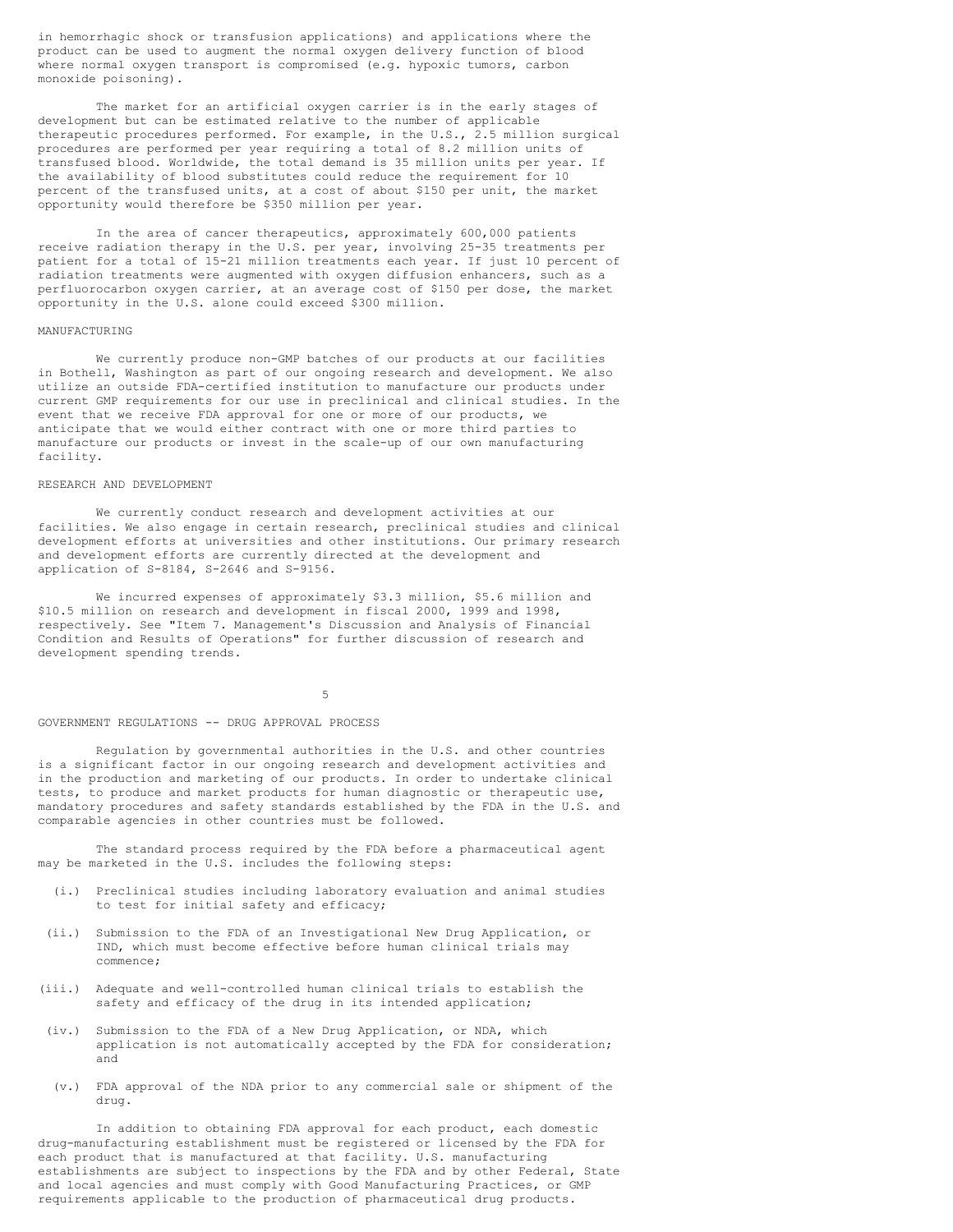in hemorrhagic shock or transfusion applications) and applications where the product can be used to augment the normal oxygen delivery function of blood where normal oxygen transport is compromised (e.g. hypoxic tumors, carbon monoxide poisoning).

The market for an artificial oxygen carrier is in the early stages of development but can be estimated relative to the number of applicable therapeutic procedures performed. For example, in the U.S., 2.5 million surgical procedures are performed per year requiring a total of 8.2 million units of transfused blood. Worldwide, the total demand is 35 million units per year. If the availability of blood substitutes could reduce the requirement for 10 percent of the transfused units, at a cost of about \$150 per unit, the market opportunity would therefore be \$350 million per year.

In the area of cancer therapeutics, approximately 600,000 patients receive radiation therapy in the U.S. per year, involving 25-35 treatments per patient for a total of 15-21 million treatments each year. If just 10 percent of radiation treatments were augmented with oxygen diffusion enhancers, such as a perfluorocarbon oxygen carrier, at an average cost of \$150 per dose, the market opportunity in the U.S. alone could exceed \$300 million.

### MANUFACTURING

We currently produce non-GMP batches of our products at our facilities in Bothell, Washington as part of our ongoing research and development. We also utilize an outside FDA-certified institution to manufacture our products under current GMP requirements for our use in preclinical and clinical studies. In the event that we receive FDA approval for one or more of our products, we anticipate that we would either contract with one or more third parties to manufacture our products or invest in the scale-up of our own manufacturing facility.

## RESEARCH AND DEVELOPMENT

We currently conduct research and development activities at our facilities. We also engage in certain research, preclinical studies and clinical development efforts at universities and other institutions. Our primary research and development efforts are currently directed at the development and application of S-8184, S-2646 and S-9156.

We incurred expenses of approximately \$3.3 million, \$5.6 million and \$10.5 million on research and development in fiscal 2000, 1999 and 1998, respectively. See "Item 7. Management's Discussion and Analysis of Financial Condition and Results of Operations" for further discussion of research and development spending trends.

5

#### GOVERNMENT REGULATIONS -- DRUG APPROVAL PROCESS

Regulation by governmental authorities in the U.S. and other countries is a significant factor in our ongoing research and development activities and in the production and marketing of our products. In order to undertake clinical tests, to produce and market products for human diagnostic or therapeutic use, mandatory procedures and safety standards established by the FDA in the U.S. and comparable agencies in other countries must be followed.

The standard process required by the FDA before a pharmaceutical agent may be marketed in the U.S. includes the following steps:

- (i.) Preclinical studies including laboratory evaluation and animal studies to test for initial safety and efficacy;
- (ii.) Submission to the FDA of an Investigational New Drug Application, or IND, which must become effective before human clinical trials may commence;
- (iii.) Adequate and well-controlled human clinical trials to establish the safety and efficacy of the drug in its intended application;
- (iv.) Submission to the FDA of a New Drug Application, or NDA, which application is not automatically accepted by the FDA for consideration; and
- (v.) FDA approval of the NDA prior to any commercial sale or shipment of the drug.

In addition to obtaining FDA approval for each product, each domestic drug-manufacturing establishment must be registered or licensed by the FDA for each product that is manufactured at that facility. U.S. manufacturing establishments are subject to inspections by the FDA and by other Federal, State and local agencies and must comply with Good Manufacturing Practices, or GMP requirements applicable to the production of pharmaceutical drug products.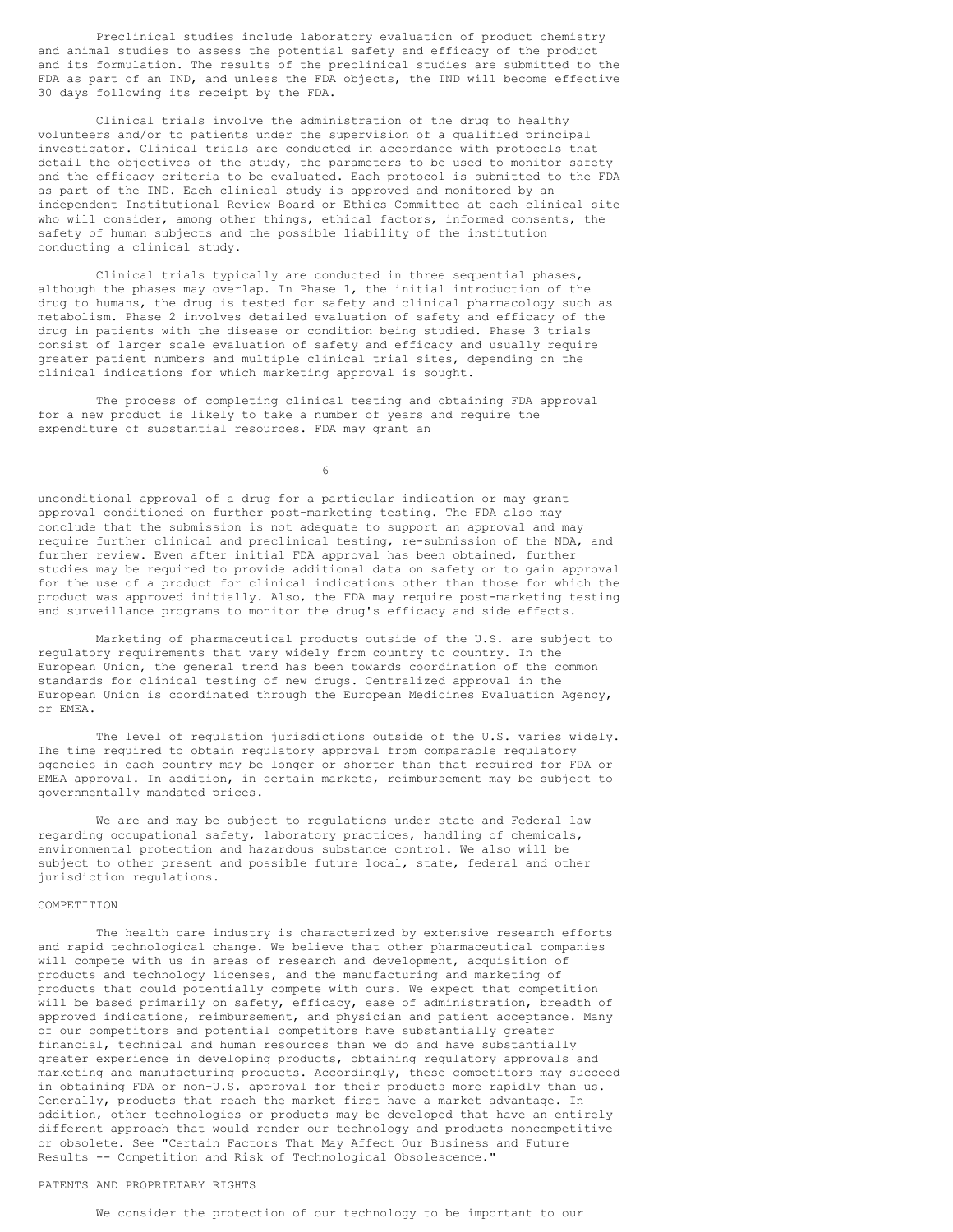Preclinical studies include laboratory evaluation of product chemistry and animal studies to assess the potential safety and efficacy of the product and its formulation. The results of the preclinical studies are submitted to the FDA as part of an IND, and unless the FDA objects, the IND will become effective 30 days following its receipt by the FDA.

Clinical trials involve the administration of the drug to healthy volunteers and/or to patients under the supervision of a qualified principal investigator. Clinical trials are conducted in accordance with protocols that detail the objectives of the study, the parameters to be used to monitor safety and the efficacy criteria to be evaluated. Each protocol is submitted to the FDA as part of the IND. Each clinical study is approved and monitored by an independent Institutional Review Board or Ethics Committee at each clinical site who will consider, among other things, ethical factors, informed consents, the safety of human subjects and the possible liability of the institution conducting a clinical study.

Clinical trials typically are conducted in three sequential phases, although the phases may overlap. In Phase 1, the initial introduction of the drug to humans, the drug is tested for safety and clinical pharmacology such as metabolism. Phase 2 involves detailed evaluation of safety and efficacy of the drug in patients with the disease or condition being studied. Phase 3 trials consist of larger scale evaluation of safety and efficacy and usually require greater patient numbers and multiple clinical trial sites, depending on the clinical indications for which marketing approval is sought.

The process of completing clinical testing and obtaining FDA approval for a new product is likely to take a number of years and require the expenditure of substantial resources. FDA may grant an

6

unconditional approval of a drug for a particular indication or may grant approval conditioned on further post-marketing testing. The FDA also may conclude that the submission is not adequate to support an approval and may require further clinical and preclinical testing, re-submission of the NDA, and further review. Even after initial FDA approval has been obtained, further studies may be required to provide additional data on safety or to gain approval for the use of a product for clinical indications other than those for which the product was approved initially. Also, the FDA may require post-marketing testing and surveillance programs to monitor the drug's efficacy and side effects.

Marketing of pharmaceutical products outside of the U.S. are subject to regulatory requirements that vary widely from country to country. In the European Union, the general trend has been towards coordination of the common standards for clinical testing of new drugs. Centralized approval in the European Union is coordinated through the European Medicines Evaluation Agency, or EMEA.

The level of regulation jurisdictions outside of the U.S. varies widely. The time required to obtain regulatory approval from comparable regulatory agencies in each country may be longer or shorter than that required for FDA or EMEA approval. In addition, in certain markets, reimbursement may be subject to governmentally mandated prices.

We are and may be subject to regulations under state and Federal law regarding occupational safety, laboratory practices, handling of chemicals, environmental protection and hazardous substance control. We also will be subject to other present and possible future local, state, federal and other jurisdiction regulations.

# **COMPETITION**

The health care industry is characterized by extensive research efforts and rapid technological change. We believe that other pharmaceutical companies will compete with us in areas of research and development, acquisition of products and technology licenses, and the manufacturing and marketing of products that could potentially compete with ours. We expect that competition will be based primarily on safety, efficacy, ease of administration, breadth of approved indications, reimbursement, and physician and patient acceptance. Many of our competitors and potential competitors have substantially greater financial, technical and human resources than we do and have substantially greater experience in developing products, obtaining regulatory approvals and marketing and manufacturing products. Accordingly, these competitors may succeed in obtaining FDA or non-U.S. approval for their products more rapidly than us. Generally, products that reach the market first have a market advantage. In addition, other technologies or products may be developed that have an entirely different approach that would render our technology and products noncompetitive or obsolete. See "Certain Factors That May Affect Our Business and Future Results -- Competition and Risk of Technological Obsolescence."

### PATENTS AND PROPRIETARY RIGHTS

We consider the protection of our technology to be important to our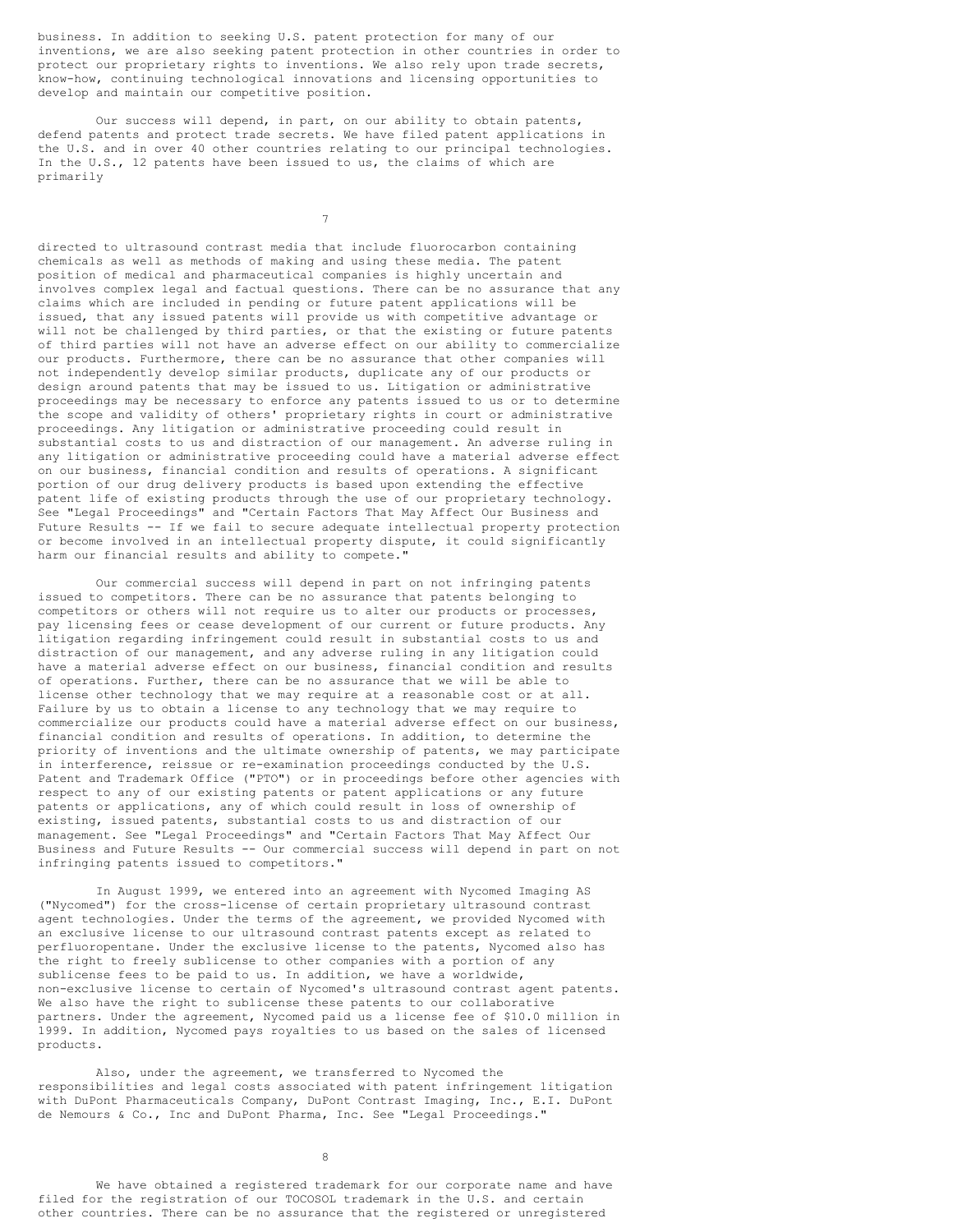business. In addition to seeking U.S. patent protection for many of our inventions, we are also seeking patent protection in other countries in order to protect our proprietary rights to inventions. We also rely upon trade secrets, know-how, continuing technological innovations and licensing opportunities to develop and maintain our competitive position.

Our success will depend, in part, on our ability to obtain patents, defend patents and protect trade secrets. We have filed patent applications in the U.S. and in over 40 other countries relating to our principal technologies. In the U.S., 12 patents have been issued to us, the claims of which are primarily

7

directed to ultrasound contrast media that include fluorocarbon containing chemicals as well as methods of making and using these media. The patent position of medical and pharmaceutical companies is highly uncertain and involves complex legal and factual questions. There can be no assurance that any claims which are included in pending or future patent applications will be issued, that any issued patents will provide us with competitive advantage or will not be challenged by third parties, or that the existing or future patents of third parties will not have an adverse effect on our ability to commercialize our products. Furthermore, there can be no assurance that other companies will not independently develop similar products, duplicate any of our products or design around patents that may be issued to us. Litigation or administrative proceedings may be necessary to enforce any patents issued to us or to determine the scope and validity of others' proprietary rights in court or administrative proceedings. Any litigation or administrative proceeding could result in substantial costs to us and distraction of our management. An adverse ruling in any litigation or administrative proceeding could have a material adverse effect on our business, financial condition and results of operations. A significant portion of our drug delivery products is based upon extending the effective patent life of existing products through the use of our proprietary technology. See "Legal Proceedings" and "Certain Factors That May Affect Our Business and Future Results -- If we fail to secure adequate intellectual property protection or become involved in an intellectual property dispute, it could significantly harm our financial results and ability to compete."

Our commercial success will depend in part on not infringing patents issued to competitors. There can be no assurance that patents belonging to competitors or others will not require us to alter our products or processes, pay licensing fees or cease development of our current or future products. Any litigation regarding infringement could result in substantial costs to us and distraction of our management, and any adverse ruling in any litigation could have a material adverse effect on our business, financial condition and results of operations. Further, there can be no assurance that we will be able to license other technology that we may require at a reasonable cost or at all. Failure by us to obtain a license to any technology that we may require to commercialize our products could have a material adverse effect on our business, financial condition and results of operations. In addition, to determine the priority of inventions and the ultimate ownership of patents, we may participate in interference, reissue or re-examination proceedings conducted by the U.S. Patent and Trademark Office ("PTO") or in proceedings before other agencies with respect to any of our existing patents or patent applications or any future patents or applications, any of which could result in loss of ownership of existing, issued patents, substantial costs to us and distraction of our management. See "Legal Proceedings" and "Certain Factors That May Affect Our Business and Future Results -- Our commercial success will depend in part on not infringing patents issued to competitors."

In August 1999, we entered into an agreement with Nycomed Imaging AS ("Nycomed") for the cross-license of certain proprietary ultrasound contrast agent technologies. Under the terms of the agreement, we provided Nycomed with an exclusive license to our ultrasound contrast patents except as related to perfluoropentane. Under the exclusive license to the patents, Nycomed also has the right to freely sublicense to other companies with a portion of any sublicense fees to be paid to us. In addition, we have a worldwide, non-exclusive license to certain of Nycomed's ultrasound contrast agent patents. We also have the right to sublicense these patents to our collaborative partners. Under the agreement, Nycomed paid us a license fee of \$10.0 million in 1999. In addition, Nycomed pays royalties to us based on the sales of licensed products.

Also, under the agreement, we transferred to Nycomed the responsibilities and legal costs associated with patent infringement litigation with DuPont Pharmaceuticals Company, DuPont Contrast Imaging, Inc., E.I. DuPont de Nemours & Co., Inc and DuPont Pharma, Inc. See "Legal Proceedings."

8

We have obtained a registered trademark for our corporate name and have filed for the registration of our TOCOSOL trademark in the U.S. and certain other countries. There can be no assurance that the registered or unregistered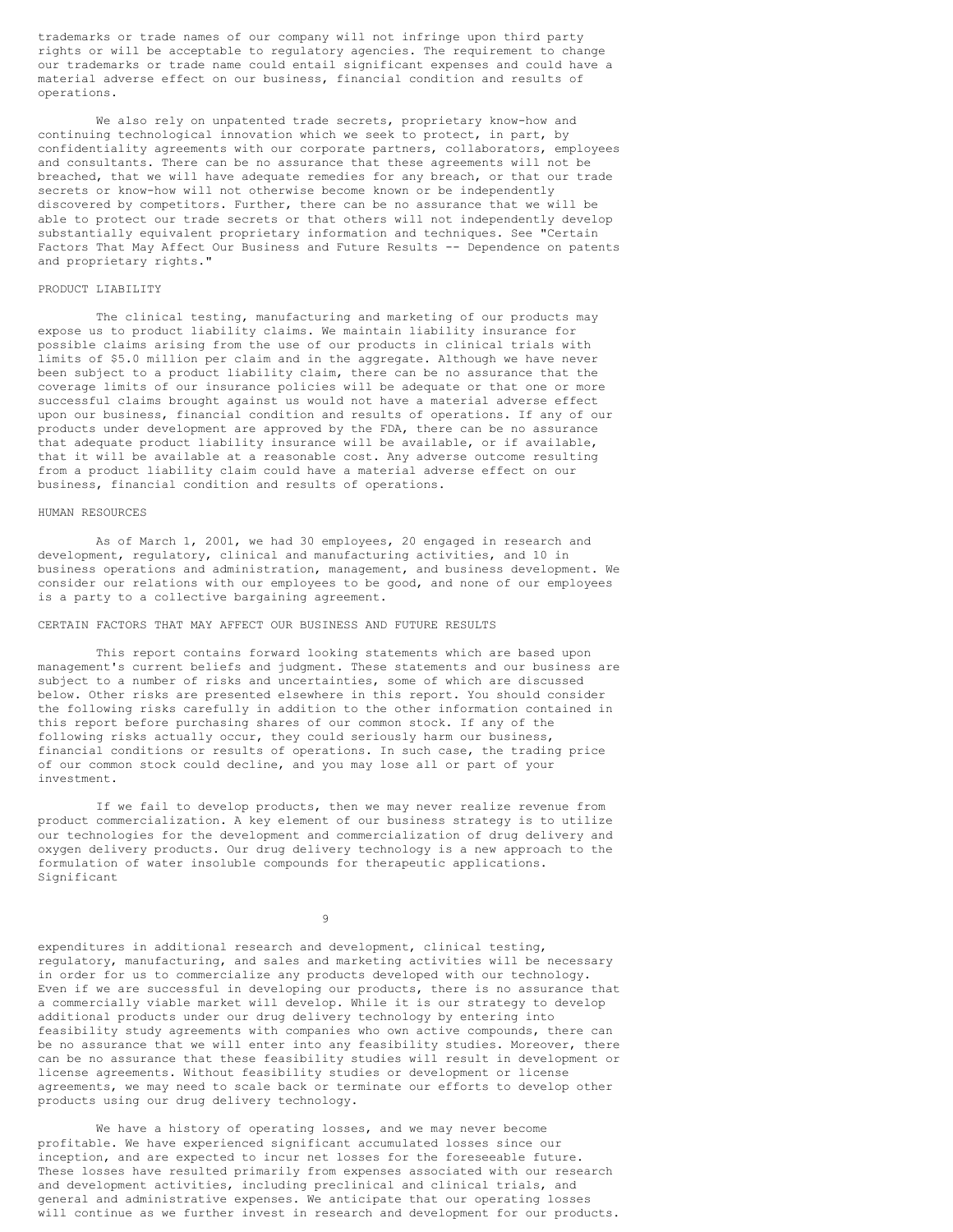trademarks or trade names of our company will not infringe upon third party rights or will be acceptable to regulatory agencies. The requirement to change our trademarks or trade name could entail significant expenses and could have a material adverse effect on our business, financial condition and results of operations.

We also rely on unpatented trade secrets, proprietary know-how and continuing technological innovation which we seek to protect, in part, by confidentiality agreements with our corporate partners, collaborators, employees and consultants. There can be no assurance that these agreements will not be breached, that we will have adequate remedies for any breach, or that our trade secrets or know-how will not otherwise become known or be independently discovered by competitors. Further, there can be no assurance that we will be able to protect our trade secrets or that others will not independently develop substantially equivalent proprietary information and techniques. See "Certain Factors That May Affect Our Business and Future Results -- Dependence on patents and proprietary rights."

# PRODUCT LIABILITY

The clinical testing, manufacturing and marketing of our products may expose us to product liability claims. We maintain liability insurance for possible claims arising from the use of our products in clinical trials with limits of \$5.0 million per claim and in the aggregate. Although we have never been subject to a product liability claim, there can be no assurance that the coverage limits of our insurance policies will be adequate or that one or more successful claims brought against us would not have a material adverse effect upon our business, financial condition and results of operations. If any of our products under development are approved by the FDA, there can be no assurance that adequate product liability insurance will be available, or if available, that it will be available at a reasonable cost. Any adverse outcome resulting from a product liability claim could have a material adverse effect on our business, financial condition and results of operations.

# HUMAN RESOURCES

As of March 1, 2001, we had 30 employees, 20 engaged in research and development, regulatory, clinical and manufacturing activities, and 10 in business operations and administration, management, and business development. We consider our relations with our employees to be good, and none of our employees is a party to a collective bargaining agreement.

# CERTAIN FACTORS THAT MAY AFFECT OUR BUSINESS AND FUTURE RESULTS

This report contains forward looking statements which are based upon management's current beliefs and judgment. These statements and our business are subject to a number of risks and uncertainties, some of which are discussed below. Other risks are presented elsewhere in this report. You should consider the following risks carefully in addition to the other information contained in this report before purchasing shares of our common stock. If any of the following risks actually occur, they could seriously harm our business, financial conditions or results of operations. In such case, the trading price of our common stock could decline, and you may lose all or part of your investment.

If we fail to develop products, then we may never realize revenue from product commercialization. A key element of our business strategy is to utilize our technologies for the development and commercialization of drug delivery and oxygen delivery products. Our drug delivery technology is a new approach to the formulation of water insoluble compounds for therapeutic applications. Significant

9

expenditures in additional research and development, clinical testing, regulatory, manufacturing, and sales and marketing activities will be necessary in order for us to commercialize any products developed with our technology. Even if we are successful in developing our products, there is no assurance that a commercially viable market will develop. While it is our strategy to develop additional products under our drug delivery technology by entering into feasibility study agreements with companies who own active compounds, there can be no assurance that we will enter into any feasibility studies. Moreover, there can be no assurance that these feasibility studies will result in development or license agreements. Without feasibility studies or development or license agreements, we may need to scale back or terminate our efforts to develop other products using our drug delivery technology.

We have a history of operating losses, and we may never become profitable. We have experienced significant accumulated losses since our inception, and are expected to incur net losses for the foreseeable future. These losses have resulted primarily from expenses associated with our research and development activities, including preclinical and clinical trials, and general and administrative expenses. We anticipate that our operating losses will continue as we further invest in research and development for our products.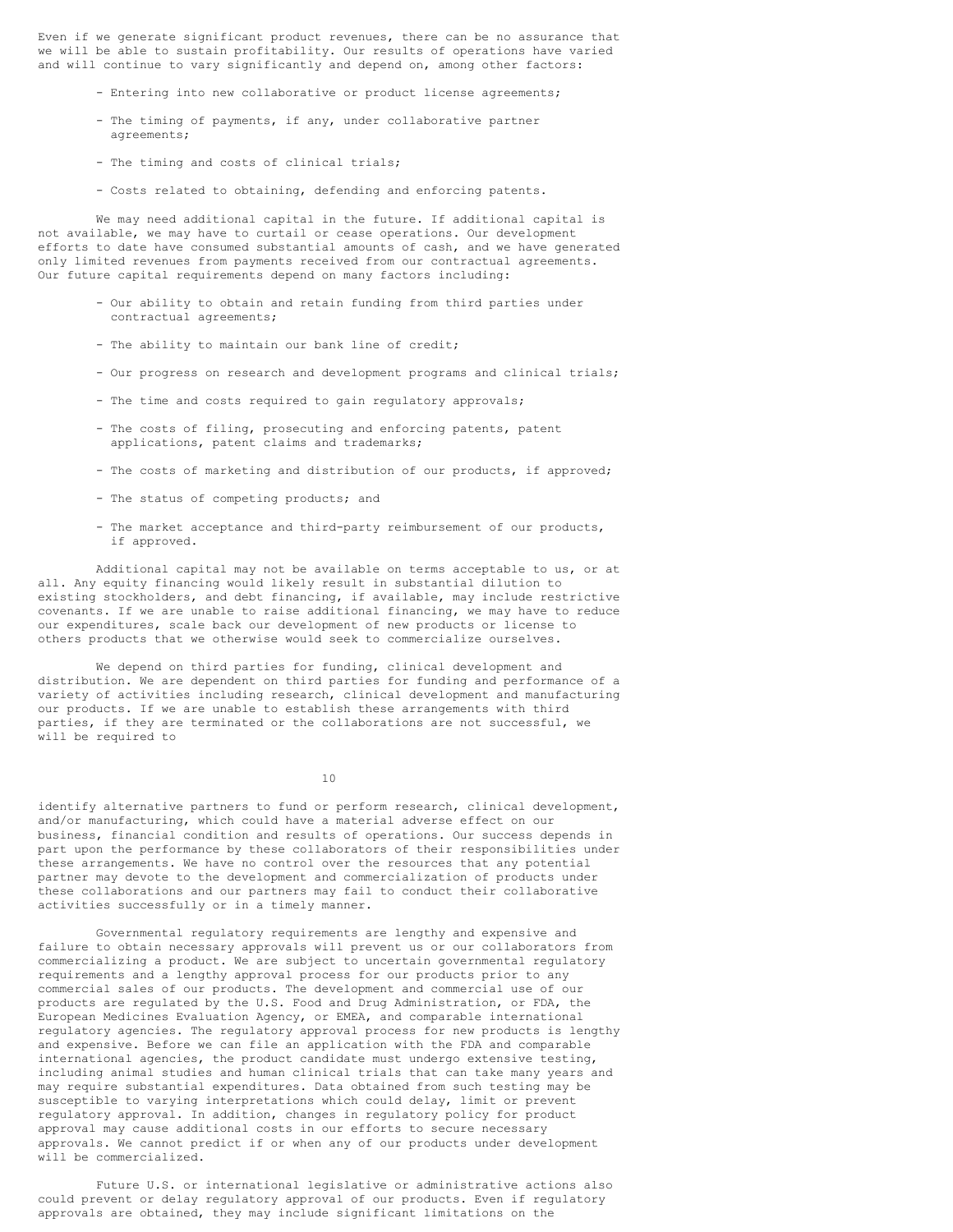Even if we generate significant product revenues, there can be no assurance that we will be able to sustain profitability. Our results of operations have varied and will continue to vary significantly and depend on, among other factors:

- Entering into new collaborative or product license agreements;
- The timing of payments, if any, under collaborative partner agreements;
- The timing and costs of clinical trials;
- Costs related to obtaining, defending and enforcing patents.

We may need additional capital in the future. If additional capital is not available, we may have to curtail or cease operations. Our development efforts to date have consumed substantial amounts of cash, and we have generated only limited revenues from payments received from our contractual agreements. Our future capital requirements depend on many factors including:

- Our ability to obtain and retain funding from third parties under contractual agreements;
- The ability to maintain our bank line of credit;
- Our progress on research and development programs and clinical trials;
- The time and costs required to gain regulatory approvals;
- The costs of filing, prosecuting and enforcing patents, patent applications, patent claims and trademarks;
- The costs of marketing and distribution of our products, if approved;
- The status of competing products; and
- The market acceptance and third-party reimbursement of our products, if approved.

Additional capital may not be available on terms acceptable to us, or at all. Any equity financing would likely result in substantial dilution to existing stockholders, and debt financing, if available, may include restrictive covenants. If we are unable to raise additional financing, we may have to reduce our expenditures, scale back our development of new products or license to others products that we otherwise would seek to commercialize ourselves.

We depend on third parties for funding, clinical development and distribution. We are dependent on third parties for funding and performance of a variety of activities including research, clinical development and manufacturing our products. If we are unable to establish these arrangements with third parties, if they are terminated or the collaborations are not successful, we will be required to

10

identify alternative partners to fund or perform research, clinical development, and/or manufacturing, which could have a material adverse effect on our business, financial condition and results of operations. Our success depends in part upon the performance by these collaborators of their responsibilities under these arrangements. We have no control over the resources that any potential partner may devote to the development and commercialization of products under these collaborations and our partners may fail to conduct their collaborative activities successfully or in a timely manner.

Governmental regulatory requirements are lengthy and expensive and failure to obtain necessary approvals will prevent us or our collaborators from commercializing a product. We are subject to uncertain governmental regulatory requirements and a lengthy approval process for our products prior to any commercial sales of our products. The development and commercial use of our products are regulated by the U.S. Food and Drug Administration, or FDA, the European Medicines Evaluation Agency, or EMEA, and comparable international regulatory agencies. The regulatory approval process for new products is lengthy and expensive. Before we can file an application with the FDA and comparable international agencies, the product candidate must undergo extensive testing, including animal studies and human clinical trials that can take many years and may require substantial expenditures. Data obtained from such testing may be susceptible to varying interpretations which could delay, limit or prevent regulatory approval. In addition, changes in regulatory policy for product approval may cause additional costs in our efforts to secure necessary approvals. We cannot predict if or when any of our products under development will be commercialized.

Future U.S. or international legislative or administrative actions also could prevent or delay regulatory approval of our products. Even if regulatory approvals are obtained, they may include significant limitations on the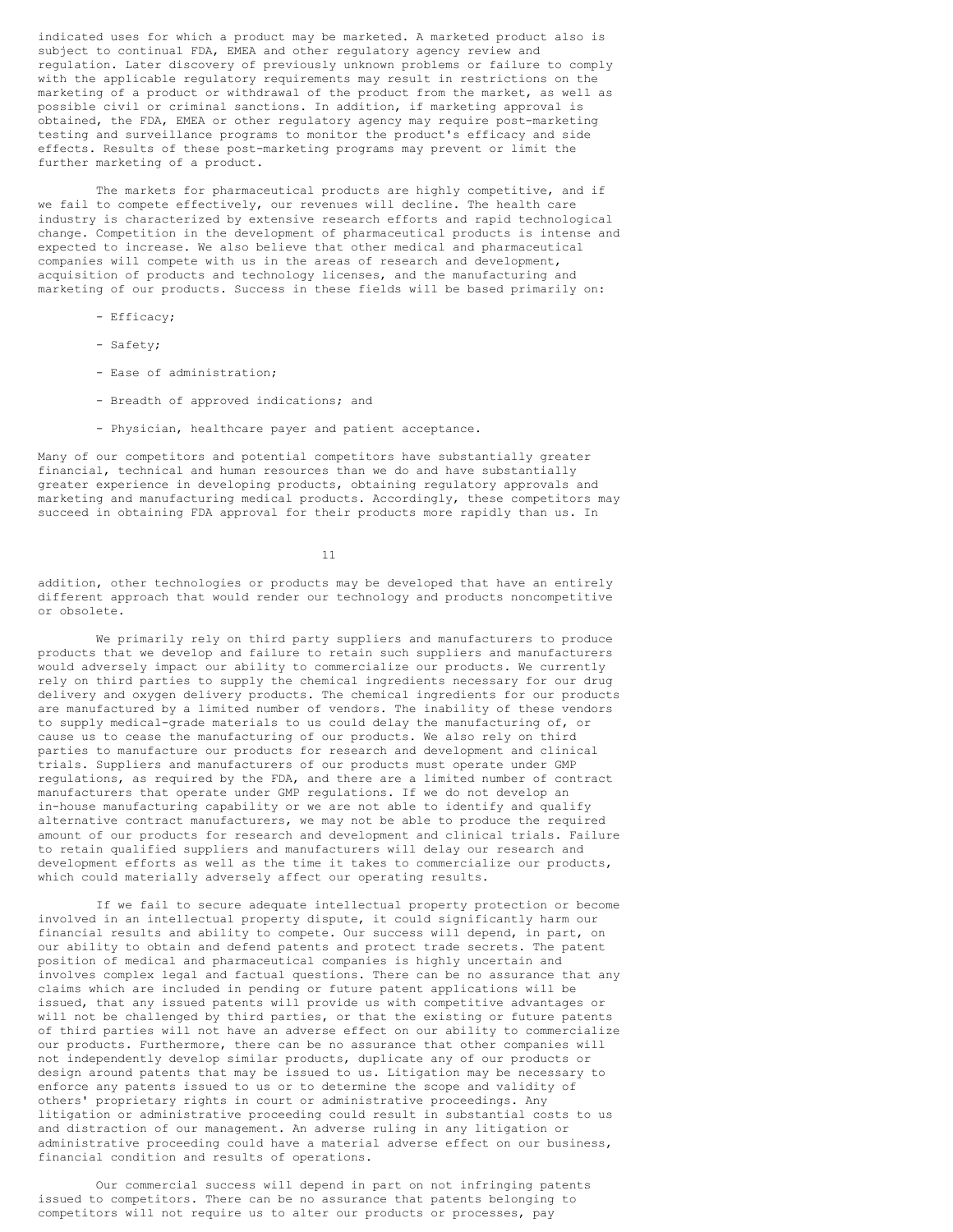indicated uses for which a product may be marketed. A marketed product also is subject to continual FDA, EMEA and other regulatory agency review and regulation. Later discovery of previously unknown problems or failure to comply with the applicable regulatory requirements may result in restrictions on the marketing of a product or withdrawal of the product from the market, as well as possible civil or criminal sanctions. In addition, if marketing approval is obtained, the FDA, EMEA or other regulatory agency may require post-marketing testing and surveillance programs to monitor the product's efficacy and side effects. Results of these post-marketing programs may prevent or limit the further marketing of a product.

The markets for pharmaceutical products are highly competitive, and if we fail to compete effectively, our revenues will decline. The health care industry is characterized by extensive research efforts and rapid technological change. Competition in the development of pharmaceutical products is intense and expected to increase. We also believe that other medical and pharmaceutical companies will compete with us in the areas of research and development, acquisition of products and technology licenses, and the manufacturing and marketing of our products. Success in these fields will be based primarily on:

- Efficacy;
- Safety;
- Ease of administration;
- Breadth of approved indications; and
- Physician, healthcare payer and patient acceptance.

Many of our competitors and potential competitors have substantially greater financial, technical and human resources than we do and have substantially greater experience in developing products, obtaining regulatory approvals and marketing and manufacturing medical products. Accordingly, these competitors may succeed in obtaining FDA approval for their products more rapidly than us. In

11

addition, other technologies or products may be developed that have an entirely different approach that would render our technology and products noncompetitive or obsolete.

We primarily rely on third party suppliers and manufacturers to produce products that we develop and failure to retain such suppliers and manufacturers would adversely impact our ability to commercialize our products. We currently rely on third parties to supply the chemical ingredients necessary for our drug delivery and oxygen delivery products. The chemical ingredients for our products are manufactured by a limited number of vendors. The inability of these vendors to supply medical-grade materials to us could delay the manufacturing of, or cause us to cease the manufacturing of our products. We also rely on third parties to manufacture our products for research and development and clinical trials. Suppliers and manufacturers of our products must operate under GMP regulations, as required by the FDA, and there are a limited number of contract manufacturers that operate under GMP regulations. If we do not develop an in-house manufacturing capability or we are not able to identify and qualify alternative contract manufacturers, we may not be able to produce the required amount of our products for research and development and clinical trials. Failure to retain qualified suppliers and manufacturers will delay our research and development efforts as well as the time it takes to commercialize our products, which could materially adversely affect our operating results.

If we fail to secure adequate intellectual property protection or become involved in an intellectual property dispute, it could significantly harm our financial results and ability to compete. Our success will depend, in part, on our ability to obtain and defend patents and protect trade secrets. The patent position of medical and pharmaceutical companies is highly uncertain and involves complex legal and factual questions. There can be no assurance that any claims which are included in pending or future patent applications will be issued, that any issued patents will provide us with competitive advantages or will not be challenged by third parties, or that the existing or future patents of third parties will not have an adverse effect on our ability to commercialize our products. Furthermore, there can be no assurance that other companies will not independently develop similar products, duplicate any of our products or design around patents that may be issued to us. Litigation may be necessary to enforce any patents issued to us or to determine the scope and validity of others' proprietary rights in court or administrative proceedings. Any litigation or administrative proceeding could result in substantial costs to us and distraction of our management. An adverse ruling in any litigation or administrative proceeding could have a material adverse effect on our business, financial condition and results of operations.

Our commercial success will depend in part on not infringing patents issued to competitors. There can be no assurance that patents belonging to competitors will not require us to alter our products or processes, pay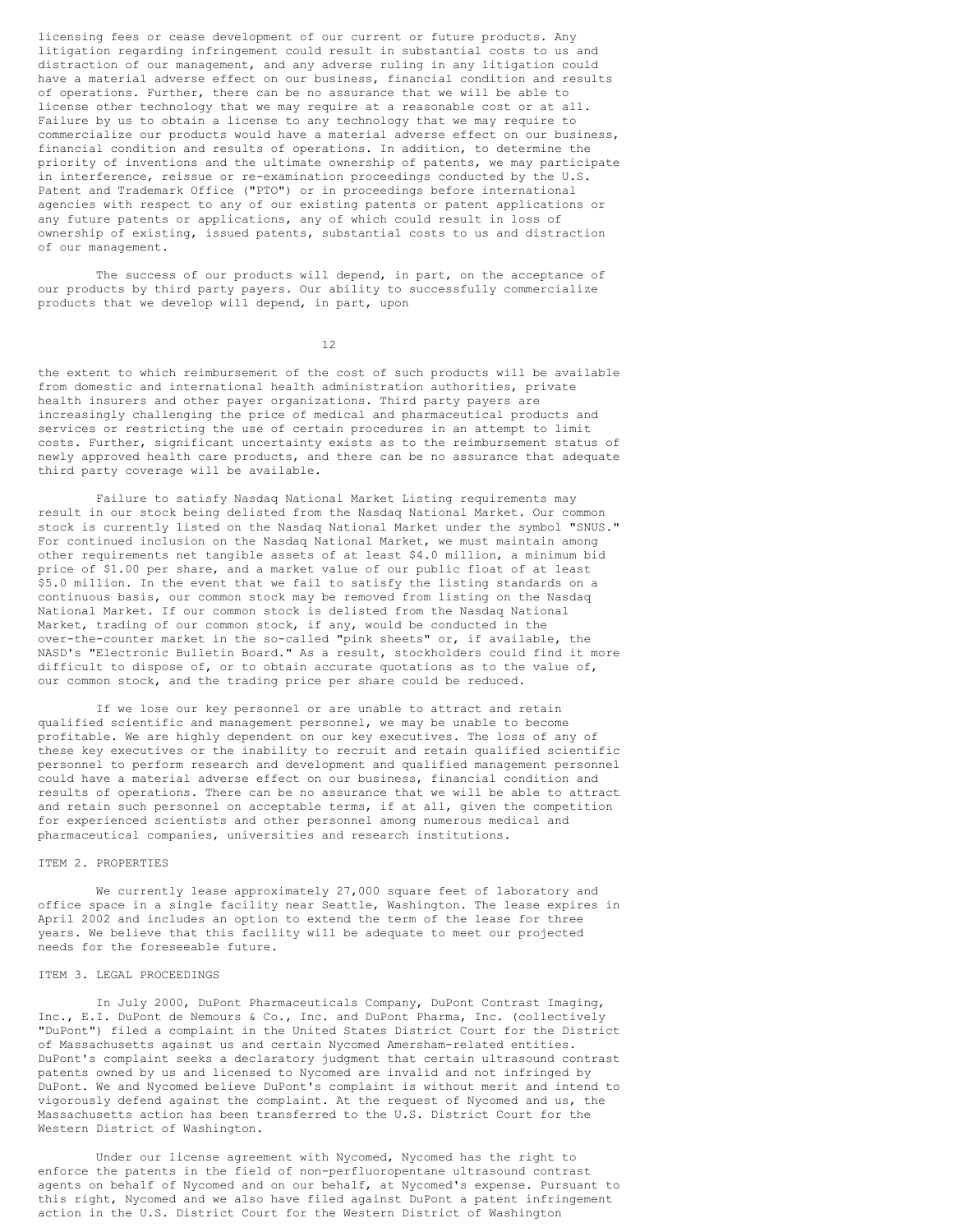licensing fees or cease development of our current or future products. Any litigation regarding infringement could result in substantial costs to us and distraction of our management, and any adverse ruling in any litigation could have a material adverse effect on our business, financial condition and results of operations. Further, there can be no assurance that we will be able to license other technology that we may require at a reasonable cost or at all. Failure by us to obtain a license to any technology that we may require to commercialize our products would have a material adverse effect on our business, financial condition and results of operations. In addition, to determine the priority of inventions and the ultimate ownership of patents, we may participate in interference, reissue or re-examination proceedings conducted by the U.S. Patent and Trademark Office ("PTO") or in proceedings before international agencies with respect to any of our existing patents or patent applications or any future patents or applications, any of which could result in loss of ownership of existing, issued patents, substantial costs to us and distraction of our management.

The success of our products will depend, in part, on the acceptance of our products by third party payers. Our ability to successfully commercialize products that we develop will depend, in part, upon

12

the extent to which reimbursement of the cost of such products will be available from domestic and international health administration authorities, private health insurers and other payer organizations. Third party payers are increasingly challenging the price of medical and pharmaceutical products and services or restricting the use of certain procedures in an attempt to limit costs. Further, significant uncertainty exists as to the reimbursement status of newly approved health care products, and there can be no assurance that adequate third party coverage will be available.

Failure to satisfy Nasdaq National Market Listing requirements may result in our stock being delisted from the Nasdaq National Market. Our common stock is currently listed on the Nasdaq National Market under the symbol "SNUS." For continued inclusion on the Nasdaq National Market, we must maintain among other requirements net tangible assets of at least \$4.0 million, a minimum bid price of \$1.00 per share, and a market value of our public float of at least \$5.0 million. In the event that we fail to satisfy the listing standards on a continuous basis, our common stock may be removed from listing on the Nasdaq National Market. If our common stock is delisted from the Nasdaq National Market, trading of our common stock, if any, would be conducted in the over-the-counter market in the so-called "pink sheets" or, if available, the NASD's "Electronic Bulletin Board." As a result, stockholders could find it more difficult to dispose of, or to obtain accurate quotations as to the value of, our common stock, and the trading price per share could be reduced.

If we lose our key personnel or are unable to attract and retain qualified scientific and management personnel, we may be unable to become profitable. We are highly dependent on our key executives. The loss of any of these key executives or the inability to recruit and retain qualified scientific personnel to perform research and development and qualified management personnel could have a material adverse effect on our business, financial condition and results of operations. There can be no assurance that we will be able to attract and retain such personnel on acceptable terms, if at all, given the competition for experienced scientists and other personnel among numerous medical and pharmaceutical companies, universities and research institutions.

## ITEM 2. PROPERTIES

We currently lease approximately 27,000 square feet of laboratory and office space in a single facility near Seattle, Washington. The lease expires in April 2002 and includes an option to extend the term of the lease for three years. We believe that this facility will be adequate to meet our projected needs for the foreseeable future.

# ITEM 3. LEGAL PROCEEDINGS

In July 2000, DuPont Pharmaceuticals Company, DuPont Contrast Imaging, Inc., E.I. DuPont de Nemours & Co., Inc. and DuPont Pharma, Inc. (collectively "DuPont") filed a complaint in the United States District Court for the District of Massachusetts against us and certain Nycomed Amersham-related entities. DuPont's complaint seeks a declaratory judgment that certain ultrasound contrast patents owned by us and licensed to Nycomed are invalid and not infringed by DuPont. We and Nycomed believe DuPont's complaint is without merit and intend to vigorously defend against the complaint. At the request of Nycomed and us, the Massachusetts action has been transferred to the U.S. District Court for the Western District of Washington.

Under our license agreement with Nycomed, Nycomed has the right to enforce the patents in the field of non-perfluoropentane ultrasound contrast agents on behalf of Nycomed and on our behalf, at Nycomed's expense. Pursuant to this right, Nycomed and we also have filed against DuPont a patent infringement action in the U.S. District Court for the Western District of Washington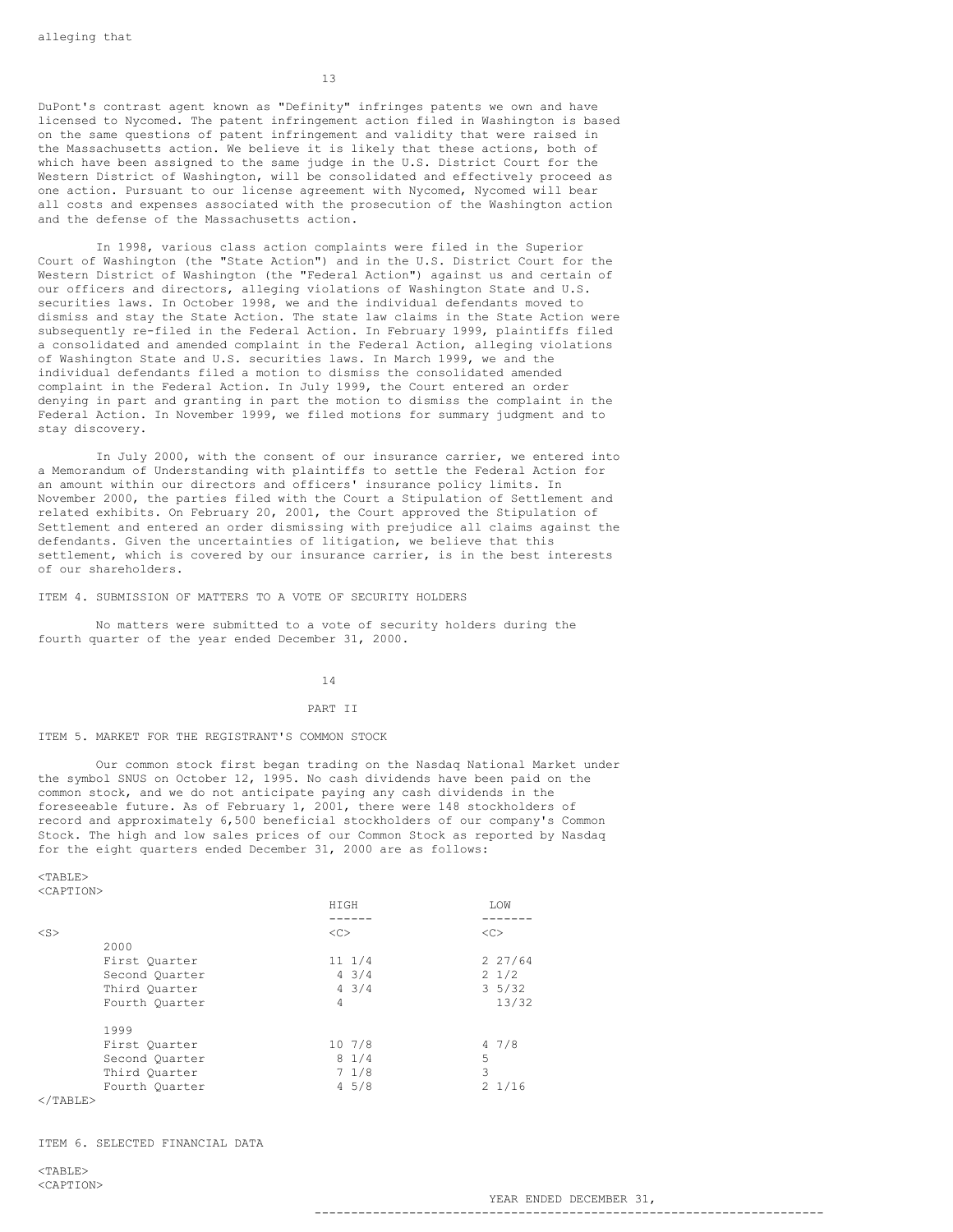13

DuPont's contrast agent known as "Definity" infringes patents we own and have licensed to Nycomed. The patent infringement action filed in Washington is based on the same questions of patent infringement and validity that were raised in the Massachusetts action. We believe it is likely that these actions, both of which have been assigned to the same judge in the U.S. District Court for the Western District of Washington, will be consolidated and effectively proceed as one action. Pursuant to our license agreement with Nycomed, Nycomed will bear all costs and expenses associated with the prosecution of the Washington action and the defense of the Massachusetts action.

In 1998, various class action complaints were filed in the Superior Court of Washington (the "State Action") and in the U.S. District Court for the Western District of Washington (the "Federal Action") against us and certain of our officers and directors, alleging violations of Washington State and U.S. securities laws. In October 1998, we and the individual defendants moved to dismiss and stay the State Action. The state law claims in the State Action were subsequently re-filed in the Federal Action. In February 1999, plaintiffs filed a consolidated and amended complaint in the Federal Action, alleging violations of Washington State and U.S. securities laws. In March 1999, we and the individual defendants filed a motion to dismiss the consolidated amended complaint in the Federal Action. In July 1999, the Court entered an order denying in part and granting in part the motion to dismiss the complaint in the Federal Action. In November 1999, we filed motions for summary judgment and to stay discovery.

In July 2000, with the consent of our insurance carrier, we entered into a Memorandum of Understanding with plaintiffs to settle the Federal Action for an amount within our directors and officers' insurance policy limits. In November 2000, the parties filed with the Court a Stipulation of Settlement and related exhibits. On February 20, 2001, the Court approved the Stipulation of Settlement and entered an order dismissing with prejudice all claims against the defendants. Given the uncertainties of litigation, we believe that this settlement, which is covered by our insurance carrier, is in the best interests of our shareholders.

ITEM 4. SUBMISSION OF MATTERS TO A VOTE OF SECURITY HOLDERS

No matters were submitted to a vote of security holders during the fourth quarter of the year ended December 31, 2000.

14

### PART II

ITEM 5. MARKET FOR THE REGISTRANT'S COMMON STOCK

Our common stock first began trading on the Nasdaq National Market under the symbol SNUS on October 12, 1995. No cash dividends have been paid on the common stock, and we do not anticipate paying any cash dividends in the foreseeable future. As of February 1, 2001, there were 148 stockholders of record and approximately 6,500 beneficial stockholders of our company's Common Stock. The high and low sales prices of our Common Stock as reported by Nasdaq for the eight quarters ended December 31, 2000 are as follows:

 $<$ TABLE> <CAPTION>

|           |                | <b>HTGH</b>     | <b>T.OW</b>      |
|-----------|----------------|-----------------|------------------|
|           |                |                 |                  |
| $<$ S $>$ |                | <<              | <<               |
|           | 2000           |                 |                  |
|           | First Ouarter  | $11 \t1/4$      | 227/64           |
|           | Second Quarter | $4 \frac{3}{4}$ | $2 \frac{1}{2}$  |
|           | Third Ouarter  | $4 \frac{3}{4}$ | $3\frac{5}{32}$  |
|           | Fourth Quarter | 4               | 13/32            |
|           | 1999           |                 |                  |
|           | First Ouarter  | 107/8           | 47/8             |
|           | Second Quarter | 81/4            | 5                |
|           | Third Ouarter  | 71/8            | 3                |
|           | Fourth Quarter | 45/8            | $2 \frac{1}{16}$ |

 $\langle$ /TABLE>

ITEM 6. SELECTED FINANCIAL DATA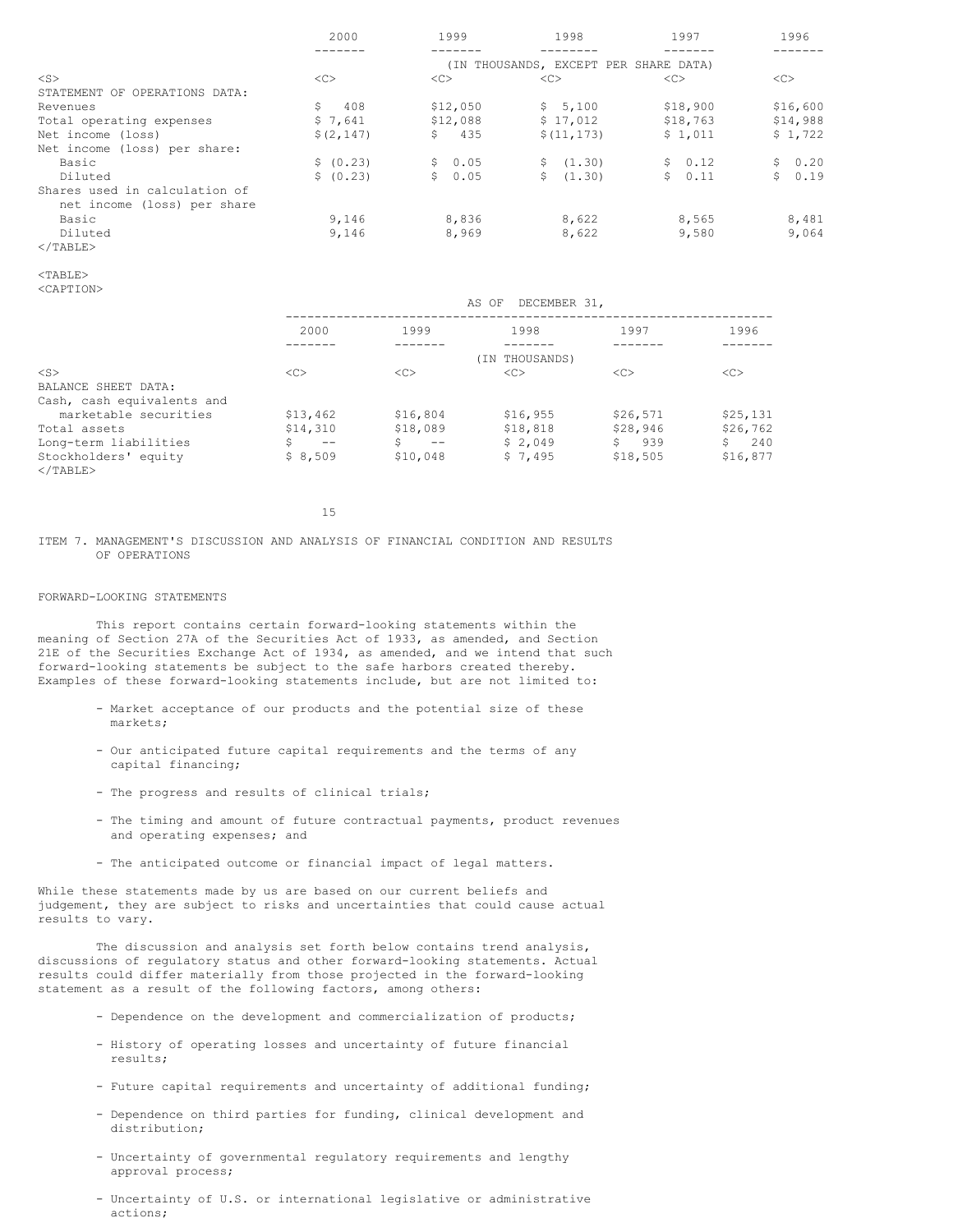|                               | 2000       | 1999      | 1998                                  | 1997          | 1996      |
|-------------------------------|------------|-----------|---------------------------------------|---------------|-----------|
|                               |            |           |                                       |               |           |
|                               |            |           | (IN THOUSANDS, EXCEPT PER SHARE DATA) |               |           |
| $<$ S $>$                     | <<         | <<        | <<                                    | < <sub></sub> | <<        |
| STATEMENT OF OPERATIONS DATA: |            |           |                                       |               |           |
| Revenues                      | Ŝ.<br>408  | \$12,050  | \$5,100                               | \$18,900      | \$16,600  |
| Total operating expenses      | \$7,641    | \$12,088  | \$17,012                              | \$18,763      | \$14,988  |
| Net income (loss)             | \$(2, 147) | 435<br>\$ | \$(11, 173)                           | \$1,011       | \$1,722   |
| Net income (loss) per share:  |            |           |                                       |               |           |
| Basic                         | \$ (0.23)  | \$0.05    | \$ (1.30)                             | \$0.12        | \$0.20    |
| Diluted                       | \$ (0.23)  | \$0.05    | (1, 30)<br>S.                         | \$0.11        | 0.19<br>S |
| Shares used in calculation of |            |           |                                       |               |           |
| net income (loss) per share   |            |           |                                       |               |           |
| Basic                         | 9.146      | 8,836     | 8,622                                 | 8,565         | 8,481     |
| Diluted                       | 9,146      | 8,969     | 8,622                                 | 9,580         | 9,064     |
| $\langle$ /TABLE>             |            |           |                                       |               |           |

## <TABLE>

<CAPTION>

|                                     | DECEMBER 31,<br>AS OF |                |               |               |           |  |  |  |
|-------------------------------------|-----------------------|----------------|---------------|---------------|-----------|--|--|--|
|                                     | 2000                  | 1999           | 1998          | 1997          | 1996      |  |  |  |
|                                     |                       | (IN THOUSANDS) |               |               |           |  |  |  |
| $<$ S>                              | < <sub></sub>         | <<             | < <sub></sub> | < <sub></sub> | <<        |  |  |  |
| BALANCE SHEET DATA:                 |                       |                |               |               |           |  |  |  |
| Cash, cash equivalents and          |                       |                |               |               |           |  |  |  |
| marketable securities               | \$13,462              | \$16,804       | \$16,955      | \$26,571      | \$25,131  |  |  |  |
| Total assets                        | \$14,310              | \$18,089       | \$18,818      | \$28,946      | \$26,762  |  |  |  |
| Long-term liabilities               | $- -$                 | Ś.<br>$- -$    | \$2.049       | Ŝ.<br>939     | Ŝ.<br>240 |  |  |  |
| Stockholders' equity<br>$<$ /TABLE> | \$8,509               | \$10,048       | \$7.495       | \$18,505      | \$16,877  |  |  |  |

15

ITEM 7. MANAGEMENT'S DISCUSSION AND ANALYSIS OF FINANCIAL CONDITION AND RESULTS OF OPERATIONS

# FORWARD-LOOKING STATEMENTS

This report contains certain forward-looking statements within the meaning of Section 27A of the Securities Act of 1933, as amended, and Section 21E of the Securities Exchange Act of 1934, as amended, and we intend that such forward-looking statements be subject to the safe harbors created thereby. Examples of these forward-looking statements include, but are not limited to:

- Market acceptance of our products and the potential size of these markets;
- Our anticipated future capital requirements and the terms of any capital financing;
- The progress and results of clinical trials;
- The timing and amount of future contractual payments, product revenues and operating expenses; and
- The anticipated outcome or financial impact of legal matters.

While these statements made by us are based on our current beliefs and judgement, they are subject to risks and uncertainties that could cause actual results to vary.

The discussion and analysis set forth below contains trend analysis, discussions of regulatory status and other forward-looking statements. Actual results could differ materially from those projected in the forward-looking statement as a result of the following factors, among others:

- Dependence on the development and commercialization of products;
- History of operating losses and uncertainty of future financial results;
- Future capital requirements and uncertainty of additional funding;
- Dependence on third parties for funding, clinical development and distribution;
- Uncertainty of governmental regulatory requirements and lengthy approval process;
- Uncertainty of U.S. or international legislative or administrative actions;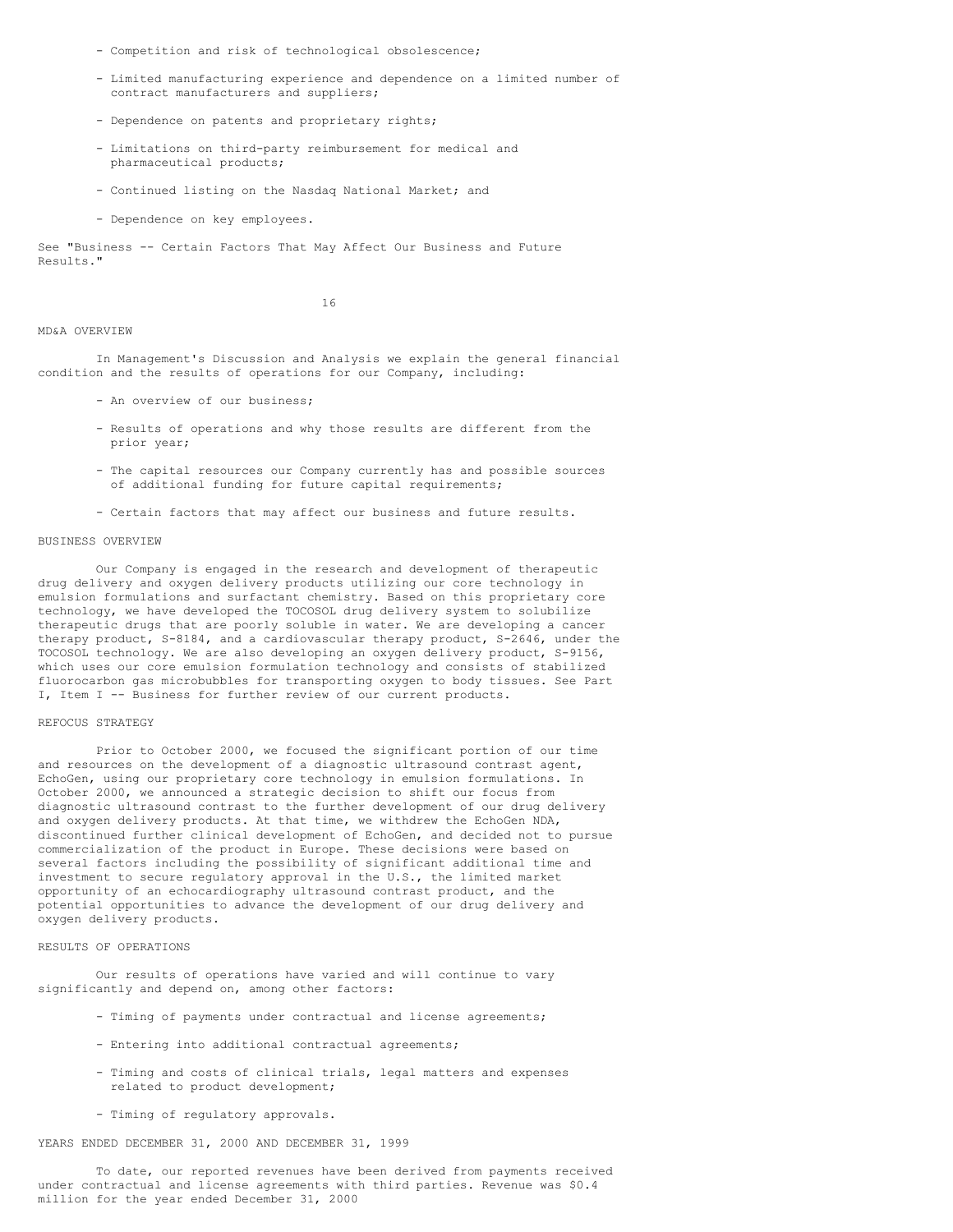- Competition and risk of technological obsolescence;
- Limited manufacturing experience and dependence on a limited number of contract manufacturers and suppliers;
- Dependence on patents and proprietary rights;
- Limitations on third-party reimbursement for medical and pharmaceutical products;
- Continued listing on the Nasdaq National Market; and
- Dependence on key employees.

See "Business -- Certain Factors That May Affect Our Business and Future Results."

16

### MD&A OVERVIEW

In Management's Discussion and Analysis we explain the general financial condition and the results of operations for our Company, including:

- An overview of our business;
- Results of operations and why those results are different from the prior year;
- The capital resources our Company currently has and possible sources of additional funding for future capital requirements;
- Certain factors that may affect our business and future results.

# BUSINESS OVERVIEW

Our Company is engaged in the research and development of therapeutic drug delivery and oxygen delivery products utilizing our core technology in emulsion formulations and surfactant chemistry. Based on this proprietary core technology, we have developed the TOCOSOL drug delivery system to solubilize therapeutic drugs that are poorly soluble in water. We are developing a cancer therapy product, S-8184, and a cardiovascular therapy product, S-2646, under the TOCOSOL technology. We are also developing an oxygen delivery product, S-9156, which uses our core emulsion formulation technology and consists of stabilized fluorocarbon gas microbubbles for transporting oxygen to body tissues. See Part I, Item I -- Business for further review of our current products.

### REFOCUS STRATEGY

Prior to October 2000, we focused the significant portion of our time and resources on the development of a diagnostic ultrasound contrast agent, EchoGen, using our proprietary core technology in emulsion formulations. In October 2000, we announced a strategic decision to shift our focus from diagnostic ultrasound contrast to the further development of our drug delivery and oxygen delivery products. At that time, we withdrew the EchoGen NDA, discontinued further clinical development of EchoGen, and decided not to pursue commercialization of the product in Europe. These decisions were based on several factors including the possibility of significant additional time and investment to secure regulatory approval in the U.S., the limited market opportunity of an echocardiography ultrasound contrast product, and the potential opportunities to advance the development of our drug delivery and oxygen delivery products.

### RESULTS OF OPERATIONS

Our results of operations have varied and will continue to vary significantly and depend on, among other factors:

- Timing of payments under contractual and license agreements;
- Entering into additional contractual agreements;
- Timing and costs of clinical trials, legal matters and expenses related to product development;
- Timing of regulatory approvals.

YEARS ENDED DECEMBER 31, 2000 AND DECEMBER 31, 1999

To date, our reported revenues have been derived from payments received under contractual and license agreements with third parties. Revenue was \$0.4 million for the year ended December 31, 2000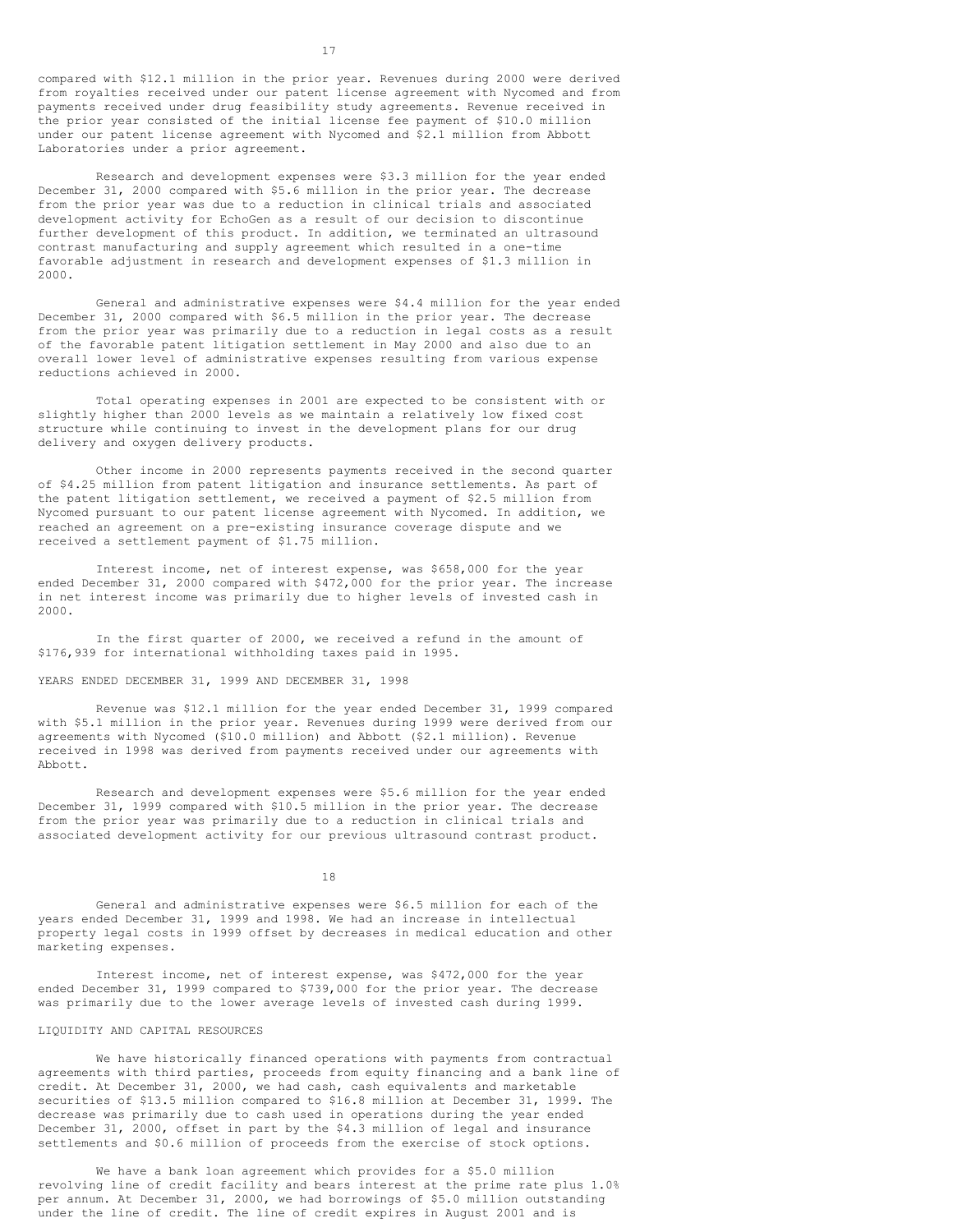compared with \$12.1 million in the prior year. Revenues during 2000 were derived from royalties received under our patent license agreement with Nycomed and from payments received under drug feasibility study agreements. Revenue received in the prior year consisted of the initial license fee payment of \$10.0 million under our patent license agreement with Nycomed and \$2.1 million from Abbott Laboratories under a prior agreement.

Research and development expenses were \$3.3 million for the year ended December 31, 2000 compared with \$5.6 million in the prior year. The decrease from the prior year was due to a reduction in clinical trials and associated development activity for EchoGen as a result of our decision to discontinue further development of this product. In addition, we terminated an ultrasound contrast manufacturing and supply agreement which resulted in a one-time favorable adjustment in research and development expenses of \$1.3 million in 2000.

General and administrative expenses were \$4.4 million for the year ended December 31, 2000 compared with \$6.5 million in the prior year. The decrease from the prior year was primarily due to a reduction in legal costs as a result of the favorable patent litigation settlement in May 2000 and also due to an overall lower level of administrative expenses resulting from various expense reductions achieved in 2000.

Total operating expenses in 2001 are expected to be consistent with or slightly higher than 2000 levels as we maintain a relatively low fixed cost structure while continuing to invest in the development plans for our drug delivery and oxygen delivery products.

Other income in 2000 represents payments received in the second quarter of \$4.25 million from patent litigation and insurance settlements. As part of the patent litigation settlement, we received a payment of \$2.5 million from Nycomed pursuant to our patent license agreement with Nycomed. In addition, we reached an agreement on a pre-existing insurance coverage dispute and we received a settlement payment of \$1.75 million.

Interest income, net of interest expense, was \$658,000 for the year ended December 31, 2000 compared with \$472,000 for the prior year. The increase in net interest income was primarily due to higher levels of invested cash in 2000.

In the first quarter of 2000, we received a refund in the amount of \$176,939 for international withholding taxes paid in 1995.

## YEARS ENDED DECEMBER 31, 1999 AND DECEMBER 31, 1998

Revenue was \$12.1 million for the year ended December 31, 1999 compared with \$5.1 million in the prior year. Revenues during 1999 were derived from our agreements with Nycomed (\$10.0 million) and Abbott (\$2.1 million). Revenue received in 1998 was derived from payments received under our agreements with Abbott.

Research and development expenses were \$5.6 million for the year ended December 31, 1999 compared with \$10.5 million in the prior year. The decrease from the prior year was primarily due to a reduction in clinical trials and associated development activity for our previous ultrasound contrast product.

18

General and administrative expenses were \$6.5 million for each of the years ended December 31, 1999 and 1998. We had an increase in intellectual property legal costs in 1999 offset by decreases in medical education and other marketing expenses.

Interest income, net of interest expense, was \$472,000 for the year ended December 31, 1999 compared to \$739,000 for the prior year. The decrease was primarily due to the lower average levels of invested cash during 1999.

# LIQUIDITY AND CAPITAL RESOURCES

We have historically financed operations with payments from contractual agreements with third parties, proceeds from equity financing and a bank line of credit. At December 31, 2000, we had cash, cash equivalents and marketable securities of \$13.5 million compared to \$16.8 million at December 31, 1999. The decrease was primarily due to cash used in operations during the year ended December 31, 2000, offset in part by the \$4.3 million of legal and insurance settlements and \$0.6 million of proceeds from the exercise of stock options.

We have a bank loan agreement which provides for a \$5.0 million revolving line of credit facility and bears interest at the prime rate plus 1.0% per annum. At December 31, 2000, we had borrowings of \$5.0 million outstanding under the line of credit. The line of credit expires in August 2001 and is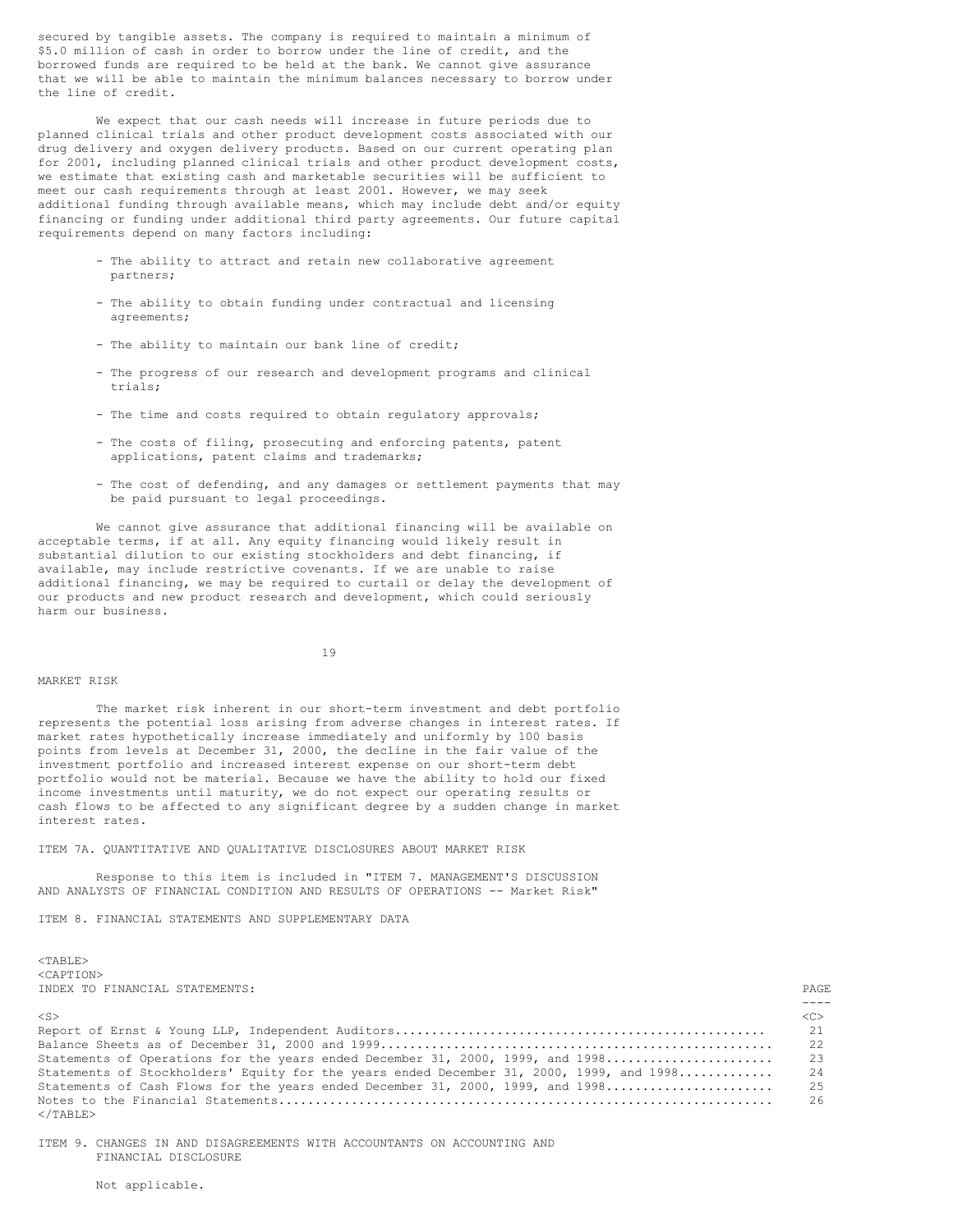secured by tangible assets. The company is required to maintain a minimum of \$5.0 million of cash in order to borrow under the line of credit, and the borrowed funds are required to be held at the bank. We cannot give assurance that we will be able to maintain the minimum balances necessary to borrow under the line of credit.

We expect that our cash needs will increase in future periods due to planned clinical trials and other product development costs associated with our drug delivery and oxygen delivery products. Based on our current operating plan for 2001, including planned clinical trials and other product development costs, we estimate that existing cash and marketable securities will be sufficient to meet our cash requirements through at least 2001. However, we may seek additional funding through available means, which may include debt and/or equity financing or funding under additional third party agreements. Our future capital requirements depend on many factors including:

- The ability to attract and retain new collaborative agreement partners;
- The ability to obtain funding under contractual and licensing agreements;
- The ability to maintain our bank line of credit;
- The progress of our research and development programs and clinical trials;
- The time and costs required to obtain regulatory approvals;
- The costs of filing, prosecuting and enforcing patents, patent applications, patent claims and trademarks;
- The cost of defending, and any damages or settlement payments that may be paid pursuant to legal proceedings.

We cannot give assurance that additional financing will be available on acceptable terms, if at all. Any equity financing would likely result in substantial dilution to our existing stockholders and debt financing, if available, may include restrictive covenants. If we are unable to raise additional financing, we may be required to curtail or delay the development of our products and new product research and development, which could seriously harm our business.

19

### MARKET RISK

The market risk inherent in our short-term investment and debt portfolio represents the potential loss arising from adverse changes in interest rates. If market rates hypothetically increase immediately and uniformly by 100 basis points from levels at December 31, 2000, the decline in the fair value of the investment portfolio and increased interest expense on our short-term debt portfolio would not be material. Because we have the ability to hold our fixed income investments until maturity, we do not expect our operating results or cash flows to be affected to any significant degree by a sudden change in market interest rates.

### ITEM 7A. QUANTITATIVE AND QUALITATIVE DISCLOSURES ABOUT MARKET RISK

Response to this item is included in "ITEM 7. MANAGEMENT'S DISCUSSION AND ANALYSTS OF FINANCIAL CONDITION AND RESULTS OF OPERATIONS -- Market Risk"

ITEM 8. FINANCIAL STATEMENTS AND SUPPLEMENTARY DATA

<TABLE> <CAPTION> INDEX TO FINANCIAL STATEMENTS: PAGE TO FINANCIAL STATEMENTS: PAGE TO FINANCIAL STATEMENTS:

| INDEA TO FINANCIAL STATEMENTS:                                                              | PAGE.         |
|---------------------------------------------------------------------------------------------|---------------|
|                                                                                             |               |
| $<$ S>                                                                                      | < <sub></sub> |
|                                                                                             |               |
|                                                                                             |               |
|                                                                                             |               |
| Statements of Stockholders' Equity for the years ended December 31, 2000, 1999, and 1998 24 |               |
|                                                                                             |               |
|                                                                                             |               |
| $<$ /TABLE>                                                                                 |               |

ITEM 9. CHANGES IN AND DISAGREEMENTS WITH ACCOUNTANTS ON ACCOUNTING AND FINANCIAL DISCLOSURE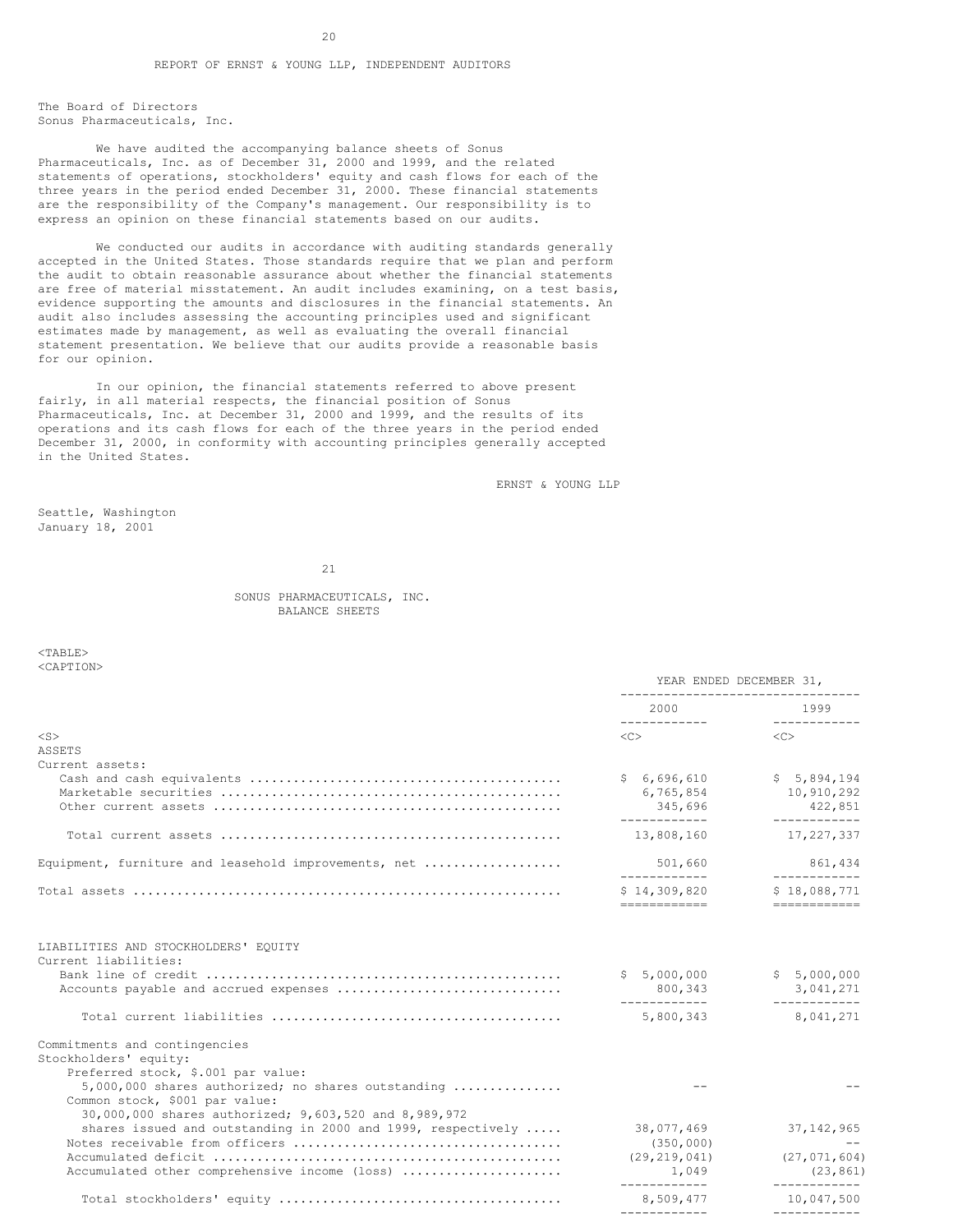The Board of Directors Sonus Pharmaceuticals, Inc.

We have audited the accompanying balance sheets of Sonus Pharmaceuticals, Inc. as of December 31, 2000 and 1999, and the related statements of operations, stockholders' equity and cash flows for each of the three years in the period ended December 31, 2000. These financial statements are the responsibility of the Company's management. Our responsibility is to express an opinion on these financial statements based on our audits.

We conducted our audits in accordance with auditing standards generally accepted in the United States. Those standards require that we plan and perform the audit to obtain reasonable assurance about whether the financial statements are free of material misstatement. An audit includes examining, on a test basis, evidence supporting the amounts and disclosures in the financial statements. An audit also includes assessing the accounting principles used and significant estimates made by management, as well as evaluating the overall financial statement presentation. We believe that our audits provide a reasonable basis for our opinion.

In our opinion, the financial statements referred to above present fairly, in all material respects, the financial position of Sonus Pharmaceuticals, Inc. at December 31, 2000 and 1999, and the results of its operations and its cash flows for each of the three years in the period ended December 31, 2000, in conformity with accounting principles generally accepted in the United States.

ERNST & YOUNG LLP

Seattle, Washington January 18, 2001

21

# SONUS PHARMACEUTICALS, INC. BALANCE SHEETS

<TABLE> <CAPTION>

|                                                                                                                                  | YEAR ENDED DECEMBER 31,<br>------------------------------ |                                         |  |
|----------------------------------------------------------------------------------------------------------------------------------|-----------------------------------------------------------|-----------------------------------------|--|
|                                                                                                                                  | 2000<br>____________                                      | 1999<br>_____________                   |  |
| $<$ S $>$                                                                                                                        | $\langle C \rangle$                                       | < <sub></sub>                           |  |
| ASSETS                                                                                                                           |                                                           |                                         |  |
| Current assets:                                                                                                                  |                                                           |                                         |  |
|                                                                                                                                  | \$6,696,610                                               | \$5,894,194                             |  |
|                                                                                                                                  | 6,765,854                                                 | 10,910,292                              |  |
|                                                                                                                                  | 345,696<br>-------------                                  | 422,851<br>------------                 |  |
|                                                                                                                                  | 13,808,160                                                | 17,227,337                              |  |
| Equipment, furniture and leasehold improvements, net                                                                             | 501,660                                                   | 861,434                                 |  |
|                                                                                                                                  | -------------                                             | ____________                            |  |
|                                                                                                                                  | \$14,309,820<br>============                              | \$18,088,771<br>============            |  |
| LIABILITIES AND STOCKHOLDERS' EOUITY<br>Current liabilities:                                                                     | \$5,000,000<br>800,343                                    | \$5,000,000<br>3,041,271<br>___________ |  |
|                                                                                                                                  | ____________<br>5,800,343                                 | 8,041,271                               |  |
| Commitments and contingencies<br>Stockholders' equity:<br>Preferred stock, \$.001 par value:                                     |                                                           |                                         |  |
| 5,000,000 shares authorized; no shares outstanding<br>Common stock, \$001 par value:                                             |                                                           |                                         |  |
| 30,000,000 shares authorized; 9,603,520 and 8,989,972<br>shares issued and outstanding in 2000 and 1999, respectively $\ldots$ . | 38,077,469                                                | 37, 142, 965                            |  |
|                                                                                                                                  | (350, 000)                                                |                                         |  |
|                                                                                                                                  | (29, 219, 041)                                            | (27, 071, 604)                          |  |
| Accumulated other comprehensive income (loss)                                                                                    | 1,049                                                     | (23, 861)                               |  |
|                                                                                                                                  | -------------<br>8,509,477                                | ____________<br>10,047,500              |  |
|                                                                                                                                  |                                                           |                                         |  |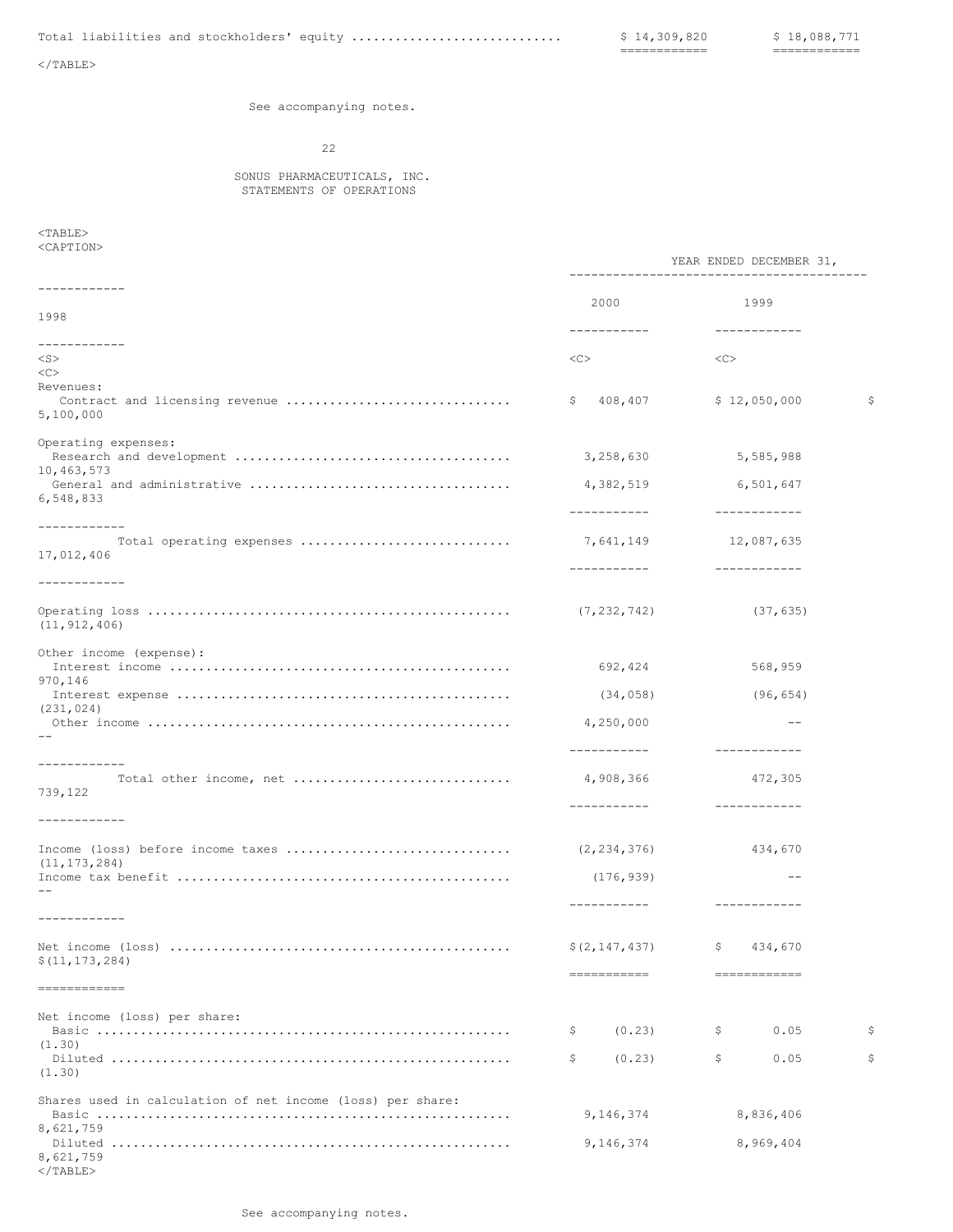============ ============

 $<$ /TABLE>

See accompanying notes.

22

# SONUS PHARMACEUTICALS, INC. STATEMENTS OF OPERATIONS

 $<$ TABLE $>$ <CAPTION>

</TABLE>

|                                                            |                                         | YEAR ENDED DECEMBER 31,                 |             |  |
|------------------------------------------------------------|-----------------------------------------|-----------------------------------------|-------------|--|
| ------------                                               | 2000                                    | 1999                                    |             |  |
| 1998                                                       | ------------                            | ------------                            |             |  |
| ------------<br>$<$ S $>$                                  | <<>                                     | <<                                      |             |  |
| <<>                                                        |                                         |                                         |             |  |
| Revenues:<br>Contract and licensing revenue<br>5,100,000   | \$408,407                               | \$12,050,000                            | $\varsigma$ |  |
| Operating expenses:<br>10,463,573                          | 3,258,630                               | 5,585,988                               |             |  |
| 6,548,833                                                  | 4,382,519<br>-----------                | 6,501,647<br>------------               |             |  |
| ------------<br>Total operating expenses<br>17,012,406     | 7,641,149<br>-----------                | 12,087,635<br>____________              |             |  |
| ____________                                               |                                         |                                         |             |  |
| (11, 912, 406)                                             |                                         | (37, 635)                               |             |  |
| Other income (expense):                                    | 692,424                                 | 568,959                                 |             |  |
| 970,146                                                    | (34, 058)                               | (96, 654)                               |             |  |
| (231, 024)                                                 | 4,250,000                               | $\qquad \qquad -$                       |             |  |
| ------------<br>739,122                                    | -----------<br>4,908,366<br>----------- | ____________<br>472,305<br>------------ |             |  |
| ------------                                               |                                         |                                         |             |  |
| Income (loss) before income taxes                          | (2, 234, 376)                           | 434,670                                 |             |  |
| (11, 173, 284)                                             | (176, 939)                              | $\qquad \qquad -$                       |             |  |
| ------------                                               |                                         |                                         |             |  |
| \$(11, 173, 284)                                           | ===========                             | ============                            |             |  |
| -------------                                              |                                         |                                         |             |  |
| Net income (loss) per share:                               | (0.23)<br>\$                            | 0.05<br>\$.                             | \$          |  |
| (1.30)<br>(1.30)                                           | \$<br>(0.23)                            | \$<br>0.05                              | \$          |  |
| Shares used in calculation of net income (loss) per share: | 9,146,374                               | 8,836,406                               |             |  |
| 8,621,759<br>8,621,759                                     | 9,146,374                               | 8,969,404                               |             |  |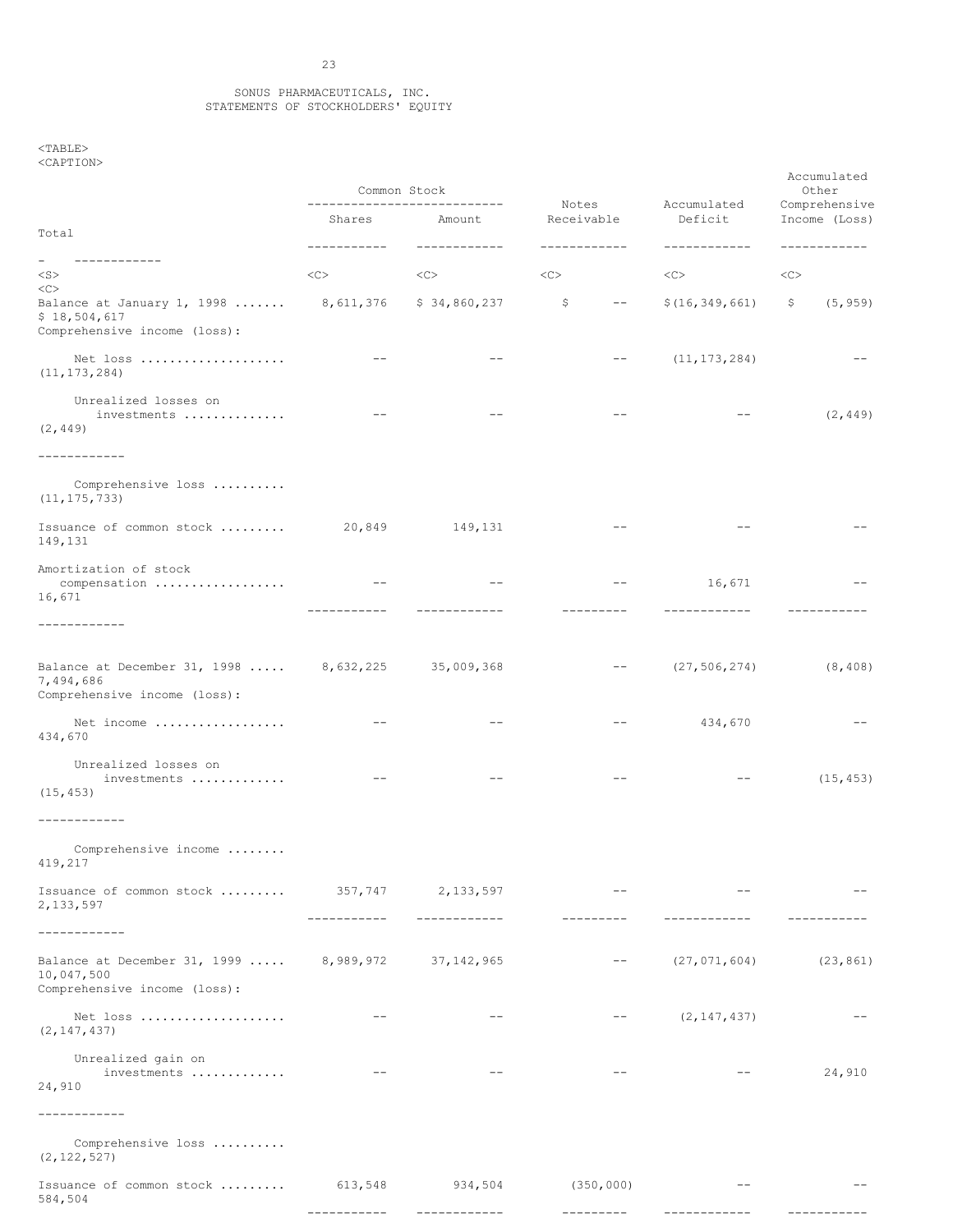### SONUS PHARMACEUTICALS, INC. STATEMENTS OF STOCKHOLDERS' EQUITY

<TABLE> <CAPTION>

|                                                                                                      | Common Stock<br>_____________________________ |                         |                                                                                                                                                                                                                                                                                                                                                                                                                                                      | Accumulated             | Accumulated<br>Other<br>Comprehensive |  |
|------------------------------------------------------------------------------------------------------|-----------------------------------------------|-------------------------|------------------------------------------------------------------------------------------------------------------------------------------------------------------------------------------------------------------------------------------------------------------------------------------------------------------------------------------------------------------------------------------------------------------------------------------------------|-------------------------|---------------------------------------|--|
| Total                                                                                                | Shares                                        | Amount<br>------------  | Notes<br>Receivable                                                                                                                                                                                                                                                                                                                                                                                                                                  | Deficit<br>------------ | Income (Loss)<br>------------         |  |
| ------------<br>$<$ S $>$                                                                            | $<\infty$                                     | <<>                     | <<                                                                                                                                                                                                                                                                                                                                                                                                                                                   | <<>                     | <<                                    |  |
| <<<br>Balance at January 1, 1998  8,611,376<br>\$18,504,617<br>Comprehensive income (loss):          |                                               | \$34,860,237            | \$<br>$\frac{1}{2} \frac{1}{2} \left( \frac{1}{2} \right) + \frac{1}{2} \left( \frac{1}{2} \right) + \frac{1}{2} \left( \frac{1}{2} \right) + \frac{1}{2} \left( \frac{1}{2} \right) + \frac{1}{2} \left( \frac{1}{2} \right) + \frac{1}{2} \left( \frac{1}{2} \right) + \frac{1}{2} \left( \frac{1}{2} \right) + \frac{1}{2} \left( \frac{1}{2} \right) + \frac{1}{2} \left( \frac{1}{2} \right) + \frac{1}{2} \left( \frac{1}{2} \right) + \frac{$ | \$(16, 349, 661)        | (5, 959)<br>Ş.                        |  |
| Net loss<br>(11, 173, 284)                                                                           | $\qquad \qquad -$                             | $- -$                   | $ -$                                                                                                                                                                                                                                                                                                                                                                                                                                                 | (11, 173, 284)          |                                       |  |
| Unrealized losses on<br>investments<br>(2, 449)                                                      |                                               | $- -$                   |                                                                                                                                                                                                                                                                                                                                                                                                                                                      |                         | (2, 449)                              |  |
| -----------                                                                                          |                                               |                         |                                                                                                                                                                                                                                                                                                                                                                                                                                                      |                         |                                       |  |
| Comprehensive loss<br>(11, 175, 733)                                                                 |                                               |                         |                                                                                                                                                                                                                                                                                                                                                                                                                                                      |                         |                                       |  |
| Issuance of common stock  20,849<br>149,131                                                          |                                               | 149,131                 |                                                                                                                                                                                                                                                                                                                                                                                                                                                      |                         |                                       |  |
| Amortization of stock<br>16,671                                                                      | -----------                                   |                         |                                                                                                                                                                                                                                                                                                                                                                                                                                                      | 16,671                  |                                       |  |
| ------------                                                                                         |                                               |                         |                                                                                                                                                                                                                                                                                                                                                                                                                                                      |                         |                                       |  |
| Balance at December 31, 1998  8, 632, 225 35, 009, 368<br>7,494,686<br>Comprehensive income (loss):  |                                               |                         | $- -$                                                                                                                                                                                                                                                                                                                                                                                                                                                | (27, 506, 274)          | (8, 408)                              |  |
| Net income<br>434,670                                                                                | $\qquad \qquad -$                             | $- -$                   | $ -$                                                                                                                                                                                                                                                                                                                                                                                                                                                 | 434,670                 |                                       |  |
| Unrealized losses on<br>investments<br>(15, 453)                                                     |                                               |                         |                                                                                                                                                                                                                                                                                                                                                                                                                                                      |                         | (15, 453)                             |  |
| ------------                                                                                         |                                               |                         |                                                                                                                                                                                                                                                                                                                                                                                                                                                      |                         |                                       |  |
| Comprehensive income<br>419,217                                                                      |                                               |                         |                                                                                                                                                                                                                                                                                                                                                                                                                                                      |                         |                                       |  |
| Issuance of common stock  357,747 2,133,597<br>2, 133, 597                                           | -----------                                   | ------------            | ----------                                                                                                                                                                                                                                                                                                                                                                                                                                           | ------------            |                                       |  |
| -----------                                                                                          |                                               |                         |                                                                                                                                                                                                                                                                                                                                                                                                                                                      |                         |                                       |  |
| Balance at December 31, 1999  8, 989, 972 37, 142, 965<br>10,047,500<br>Comprehensive income (loss): |                                               |                         |                                                                                                                                                                                                                                                                                                                                                                                                                                                      | (27, 071, 604)          | (23, 861)                             |  |
| Net loss<br>(2, 147, 437)                                                                            | $\qquad \qquad -$                             |                         |                                                                                                                                                                                                                                                                                                                                                                                                                                                      | (2, 147, 437)           |                                       |  |
| Unrealized gain on<br>investments<br>24,910                                                          | $\qquad \qquad -$                             | $- -$                   | $ -$                                                                                                                                                                                                                                                                                                                                                                                                                                                 | $- -$                   | 24,910                                |  |
|                                                                                                      |                                               |                         |                                                                                                                                                                                                                                                                                                                                                                                                                                                      |                         |                                       |  |
| Comprehensive loss<br>(2, 122, 527)                                                                  |                                               |                         |                                                                                                                                                                                                                                                                                                                                                                                                                                                      |                         |                                       |  |
| Issuance of common stock<br>584,504                                                                  | 613,548                                       | 934,504<br>------------ | (350, 000)<br>---------                                                                                                                                                                                                                                                                                                                                                                                                                              | $\qquad -$              |                                       |  |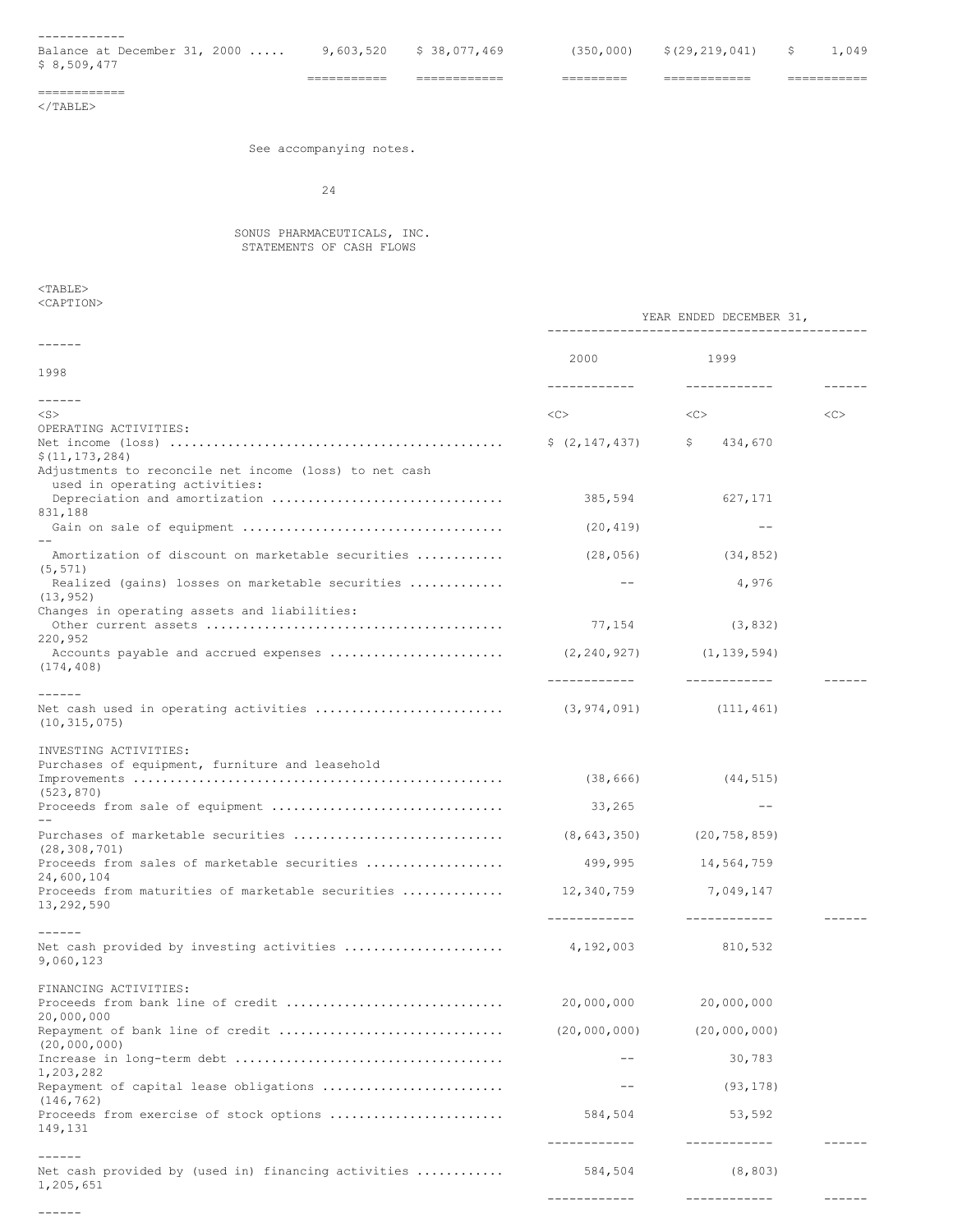| Balance at December 31, 2000<br>\$ 8,509,477 |  |  |  |  |  |  |
|----------------------------------------------|--|--|--|--|--|--|

=========== ============ ========= ============ ===========

============  $<$ /TABLE>

# See accompanying notes.

24

# SONUS PHARMACEUTICALS, INC. STATEMENTS OF CASH FLOWS

<TABLE>

| <caption></caption>                                                         |                   |                                  |               |
|-----------------------------------------------------------------------------|-------------------|----------------------------------|---------------|
|                                                                             |                   | YEAR ENDED DECEMBER 31,          |               |
| $- - - - - - -$<br>1998                                                     | 2000              | 1999                             |               |
|                                                                             | ------------      | -------------                    | $- - - - - -$ |
| $- - - - - -$<br>$<$ S $>$                                                  | <<>               | <<>                              | <<            |
| OPERATING ACTIVITIES:                                                       |                   |                                  |               |
| \$(11, 173, 284)                                                            | \$ (2, 147, 437)  | \$434,670                        |               |
| Adjustments to reconcile net income (loss) to net cash                      |                   |                                  |               |
| used in operating activities:                                               | 385,594           | 627,171                          |               |
| 831,188                                                                     | (20, 419)         | $\qquad \qquad -$                |               |
|                                                                             |                   |                                  |               |
| Amortization of discount on marketable securities<br>(5, 571)               | (28, 056)         | (34, 852)                        |               |
| Realized (gains) losses on marketable securities                            | $--$              | 4,976                            |               |
| (13, 952)<br>Changes in operating assets and liabilities:                   |                   |                                  |               |
|                                                                             |                   | (3, 832)                         |               |
| 220,952                                                                     |                   |                                  |               |
| (174, 408)                                                                  | ____________      | _____________                    |               |
| ------                                                                      |                   |                                  |               |
| (10, 315, 075)                                                              |                   |                                  |               |
| INVESTING ACTIVITIES:                                                       |                   |                                  |               |
| Purchases of equipment, furniture and leasehold                             |                   |                                  |               |
| (523, 870)                                                                  | (38, 666)         | (44, 515)                        |               |
|                                                                             | 33,265            | $--$                             |               |
|                                                                             |                   | $(8, 643, 350)$ $(20, 758, 859)$ |               |
| (28, 308, 701)<br>Proceeds from sales of marketable securities              | 499,995           | 14,564,759                       |               |
| 24,600,104<br>Proceeds from maturities of marketable securities  12,340,759 |                   | 7,049,147                        |               |
| 13,292,590                                                                  | -------------     | ------------                     |               |
| ------                                                                      |                   |                                  |               |
| 9,060,123                                                                   |                   | 810,532                          |               |
| FINANCING ACTIVITIES:                                                       |                   |                                  |               |
| Proceeds from bank line of credit                                           | 20,000,000        | 20,000,000                       |               |
| 20,000,000<br>Repayment of bank line of credit                              | (20,000,000)      | (20,000,000)                     |               |
| (20,000,000)                                                                |                   |                                  |               |
| 1,203,282                                                                   |                   | 30,783                           |               |
| Repayment of capital lease obligations<br>(146, 762)                        | $\qquad \qquad -$ | (93, 178)                        |               |
| Proceeds from exercise of stock options                                     | 584,504           | 53,592                           |               |
| 149,131                                                                     | ------------      | ------------                     |               |
| $- - - - - -$                                                               |                   |                                  |               |
| Net cash provided by (used in) financing activities<br>1,205,651            | 584,504           | (8, 803)                         |               |
| $- - - - - -$                                                               | -------------     | ------------                     |               |
|                                                                             |                   |                                  |               |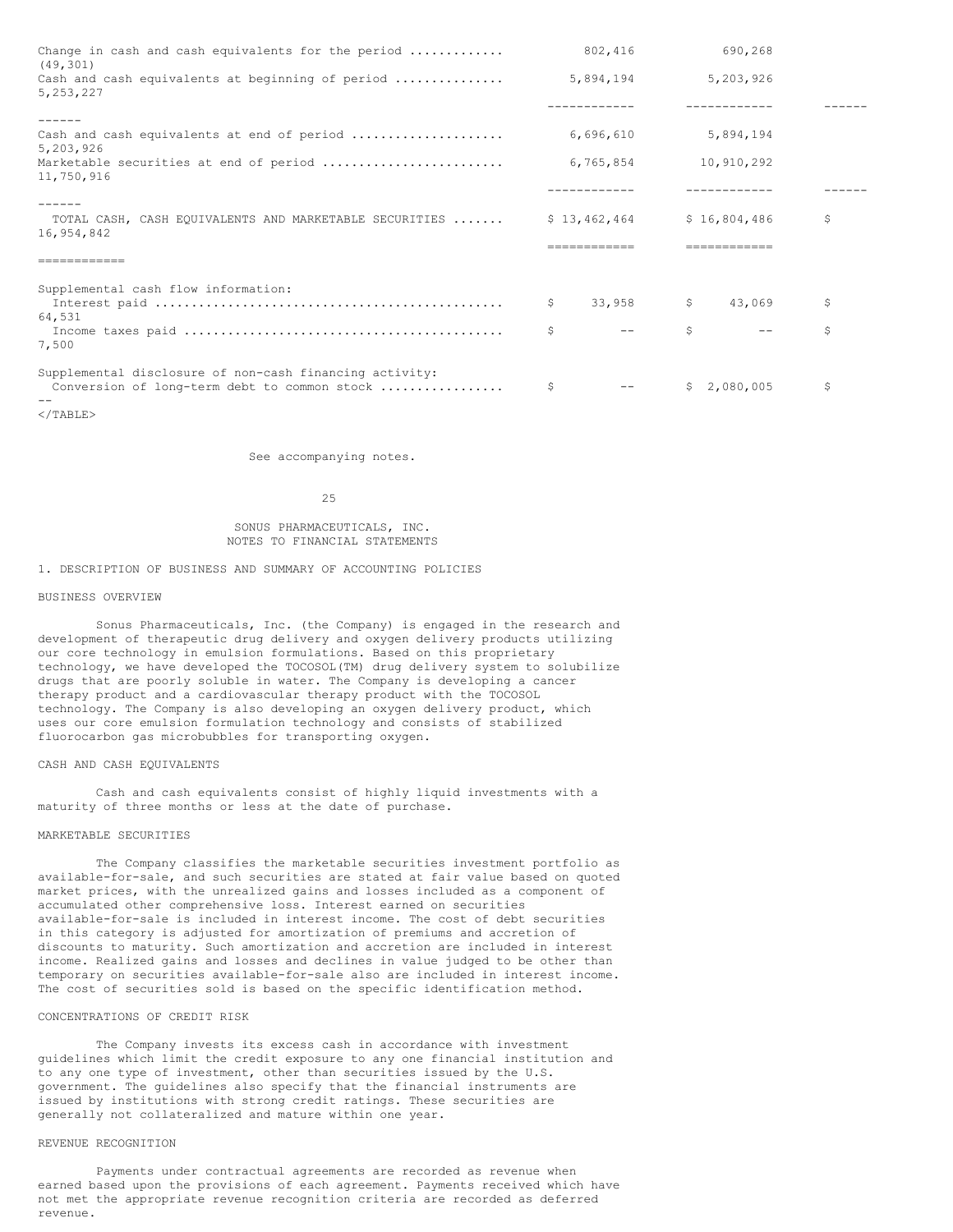| Change in cash and cash equivalents for the period<br>(49, 301) | 802,416      |           | 690,268                |     |
|-----------------------------------------------------------------|--------------|-----------|------------------------|-----|
| Cash and cash equivalents at beginning of period<br>5, 253, 227 | 5,894,194    |           | 5,203,926              |     |
|                                                                 |              |           |                        |     |
| $- - - - - -$                                                   |              |           |                        |     |
| Cash and cash equivalents at end of period<br>5,203,926         | 6,696,610    |           | 5,894,194              |     |
| Marketable securities at end of period<br>11,750,916            |              | 6,765,854 | 10,910,292             |     |
|                                                                 |              |           |                        |     |
|                                                                 |              |           |                        |     |
| TOTAL CASH, CASH EQUIVALENTS AND MARKETABLE SECURITIES          | \$13,462,464 |           | \$16,804,486           | \$  |
| 16,954,842                                                      |              |           |                        |     |
|                                                                 |              |           |                        |     |
|                                                                 |              |           |                        |     |
| Supplemental cash flow information:                             |              |           |                        |     |
|                                                                 | S.           | 33,958    | $\mathsf{S}$<br>43,069 | \$. |
| 64,531                                                          |              |           |                        |     |
| 7,500                                                           | Ŝ            |           | \$                     | \$  |
|                                                                 |              |           |                        |     |
| Supplemental disclosure of non-cash financing activity:         |              |           |                        |     |
| Conversion of long-term debt to common stock                    | \$           |           | \$2,080,005            | \$  |
|                                                                 |              |           |                        |     |

 $<$ /TABLE>

See accompanying notes.

25

SONUS PHARMACEUTICALS, INC. NOTES TO FINANCIAL STATEMENTS

1. DESCRIPTION OF BUSINESS AND SUMMARY OF ACCOUNTING POLICIES

# BUSINESS OVERVIEW

Sonus Pharmaceuticals, Inc. (the Company) is engaged in the research and development of therapeutic drug delivery and oxygen delivery products utilizing our core technology in emulsion formulations. Based on this proprietary technology, we have developed the TOCOSOL(TM) drug delivery system to solubilize drugs that are poorly soluble in water. The Company is developing a cancer therapy product and a cardiovascular therapy product with the TOCOSOL technology. The Company is also developing an oxygen delivery product, which uses our core emulsion formulation technology and consists of stabilized fluorocarbon gas microbubbles for transporting oxygen.

### CASH AND CASH EQUIVALENTS

Cash and cash equivalents consist of highly liquid investments with a maturity of three months or less at the date of purchase.

# MARKETABLE SECURITIES

The Company classifies the marketable securities investment portfolio as available-for-sale, and such securities are stated at fair value based on quoted market prices, with the unrealized gains and losses included as a component of accumulated other comprehensive loss. Interest earned on securities available-for-sale is included in interest income. The cost of debt securities in this category is adjusted for amortization of premiums and accretion of discounts to maturity. Such amortization and accretion are included in interest income. Realized gains and losses and declines in value judged to be other than temporary on securities available-for-sale also are included in interest income. The cost of securities sold is based on the specific identification method.

# CONCENTRATIONS OF CREDIT RISK

The Company invests its excess cash in accordance with investment guidelines which limit the credit exposure to any one financial institution and to any one type of investment, other than securities issued by the U.S. government. The guidelines also specify that the financial instruments are issued by institutions with strong credit ratings. These securities are generally not collateralized and mature within one year.

# REVENUE RECOGNITION

Payments under contractual agreements are recorded as revenue when earned based upon the provisions of each agreement. Payments received which have not met the appropriate revenue recognition criteria are recorded as deferred revenue.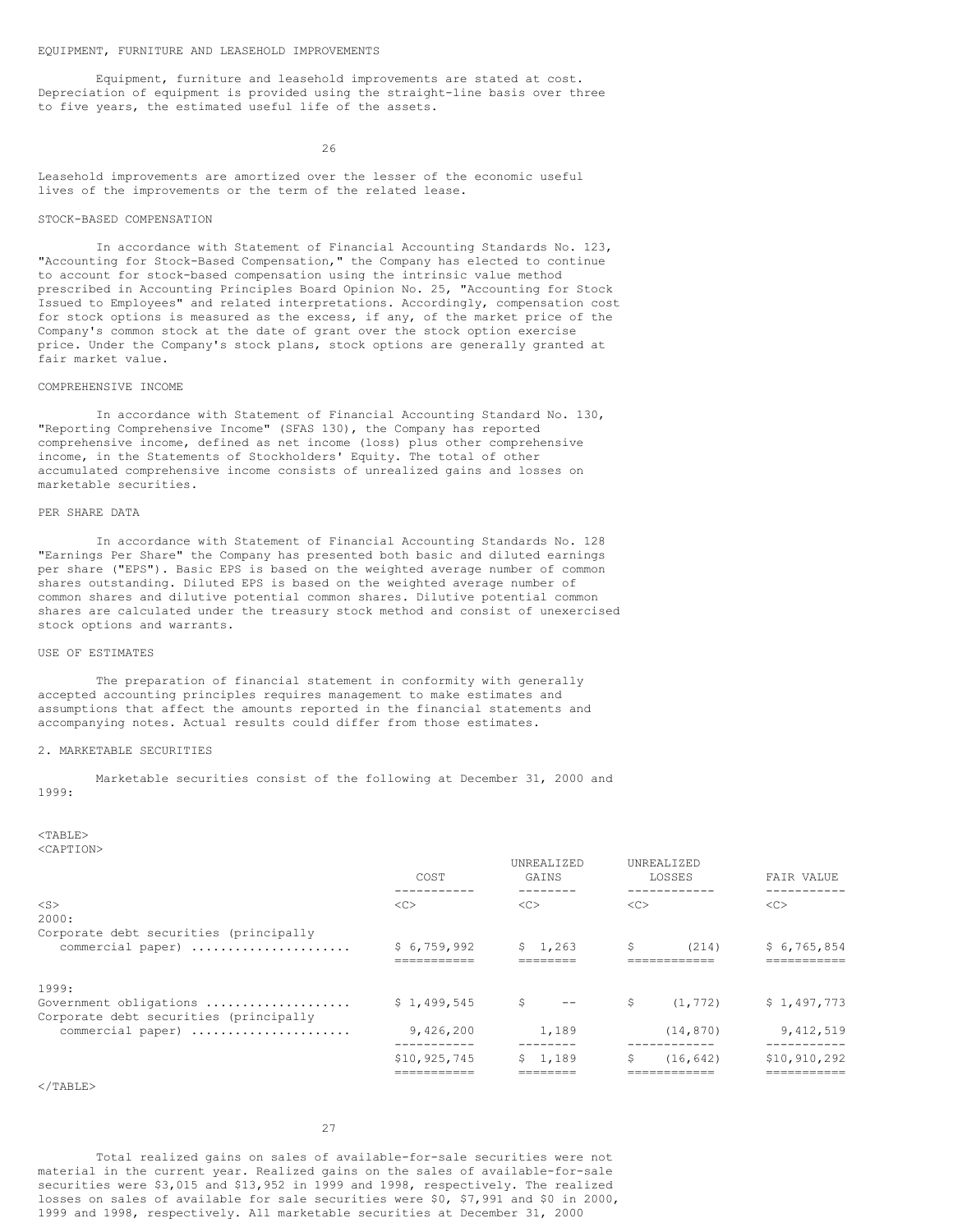### EQUIPMENT, FURNITURE AND LEASEHOLD IMPROVEMENTS

Equipment, furniture and leasehold improvements are stated at cost. Depreciation of equipment is provided using the straight-line basis over three to five years, the estimated useful life of the assets.

26

Leasehold improvements are amortized over the lesser of the economic useful lives of the improvements or the term of the related lease.

# STOCK-BASED COMPENSATION

In accordance with Statement of Financial Accounting Standards No. 123, "Accounting for Stock-Based Compensation," the Company has elected to continue to account for stock-based compensation using the intrinsic value method prescribed in Accounting Principles Board Opinion No. 25, "Accounting for Stock Issued to Employees" and related interpretations. Accordingly, compensation cost for stock options is measured as the excess, if any, of the market price of the Company's common stock at the date of grant over the stock option exercise price. Under the Company's stock plans, stock options are generally granted at fair market value.

### COMPREHENSIVE INCOME

In accordance with Statement of Financial Accounting Standard No. 130, "Reporting Comprehensive Income" (SFAS 130), the Company has reported comprehensive income, defined as net income (loss) plus other comprehensive income, in the Statements of Stockholders' Equity. The total of other accumulated comprehensive income consists of unrealized gains and losses on marketable securities.

# PER SHARE DATA

In accordance with Statement of Financial Accounting Standards No. 128 "Earnings Per Share" the Company has presented both basic and diluted earnings per share ("EPS"). Basic EPS is based on the weighted average number of common shares outstanding. Diluted EPS is based on the weighted average number of common shares and dilutive potential common shares. Dilutive potential common shares are calculated under the treasury stock method and consist of unexercised stock options and warrants.

# USE OF ESTIMATES

The preparation of financial statement in conformity with generally accepted accounting principles requires management to make estimates and assumptions that affect the amounts reported in the financial statements and accompanying notes. Actual results could differ from those estimates.

### 2. MARKETABLE SECURITIES

Marketable securities consist of the following at December 31, 2000 and 1999:

<TABLE> <CAPTION>

|                                                                           | COST                        | <b>UNREALIZED</b><br>GAINS | UNREALIZED<br>LOSSES           | FAIR VALUE                  |
|---------------------------------------------------------------------------|-----------------------------|----------------------------|--------------------------------|-----------------------------|
| $<$ S $>$<br>2000:                                                        | <<                          | <<                         | < <sub></sub>                  | <<                          |
| Corporate debt securities (principally<br>commercial paper)               | \$6.759.992                 | \$1,263                    | S<br>(214)                     | \$6,765,854                 |
| 1999:<br>Government obligations<br>Corporate debt securities (principally | \$1,499,545                 | \$<br>$- -$                | S<br>(1, 772)                  | \$1,497,773                 |
| commercial paper)                                                         | 9,426,200                   | 1,189                      | (14, 870)                      | 9,412,519                   |
|                                                                           | \$10,925,745<br>=========== | 1,189<br>S.<br>======      | S<br>(16, 642)<br>============ | \$10,910,292<br>=========== |

 $\langle$ /TABLE>

27

Total realized gains on sales of available-for-sale securities were not material in the current year. Realized gains on the sales of available-for-sale securities were \$3,015 and \$13,952 in 1999 and 1998, respectively. The realized losses on sales of available for sale securities were \$0, \$7,991 and \$0 in 2000, 1999 and 1998, respectively. All marketable securities at December 31, 2000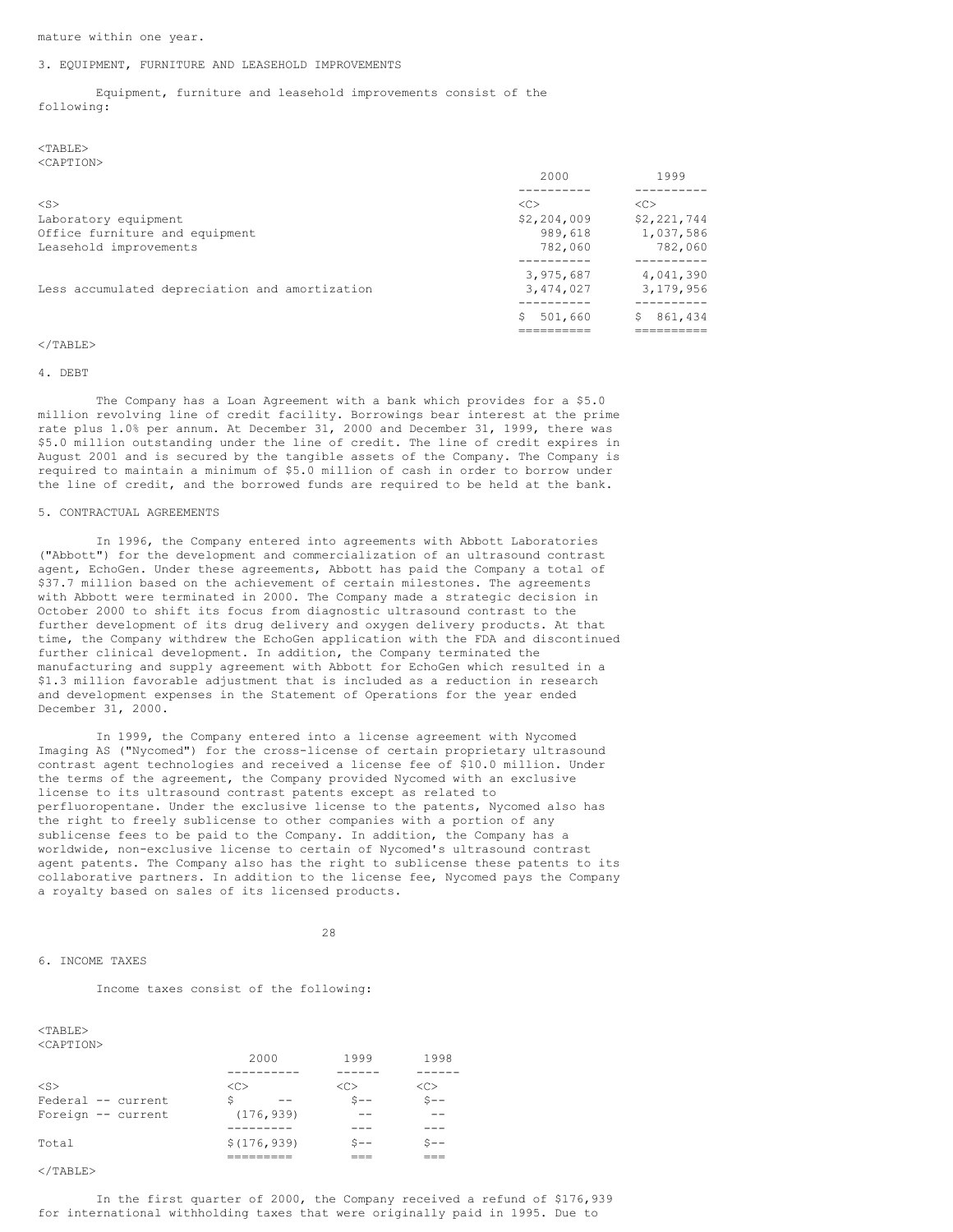mature within one year.

### 3. EQUIPMENT, FURNITURE AND LEASEHOLD IMPROVEMENTS

Equipment, furniture and leasehold improvements consist of the following:

# <TABLE> <CAPTION>

|                                                | 2000          | 1999        |
|------------------------------------------------|---------------|-------------|
|                                                |               |             |
| $<$ S $>$                                      | < <sub></sub> | <<          |
| Laboratory equipment                           | \$2,204,009   | \$2,221,744 |
| Office furniture and equipment                 | 989,618       | 1,037,586   |
| Leasehold improvements                         | 782,060       | 782,060     |
|                                                | 3,975,687     | 4,041,390   |
| Less accumulated depreciation and amortization | 3,474,027     | 3,179,956   |
|                                                | 501,660<br>S  | 861,434     |
|                                                |               |             |

# $<$ /TABLE>

### 4. DEBT

The Company has a Loan Agreement with a bank which provides for a \$5.0 million revolving line of credit facility. Borrowings bear interest at the prime rate plus 1.0% per annum. At December 31, 2000 and December 31, 1999, there was \$5.0 million outstanding under the line of credit. The line of credit expires in August 2001 and is secured by the tangible assets of the Company. The Company is required to maintain a minimum of \$5.0 million of cash in order to borrow under the line of credit, and the borrowed funds are required to be held at the bank.

# 5. CONTRACTUAL AGREEMENTS

In 1996, the Company entered into agreements with Abbott Laboratories ("Abbott") for the development and commercialization of an ultrasound contrast agent, EchoGen. Under these agreements, Abbott has paid the Company a total of \$37.7 million based on the achievement of certain milestones. The agreements with Abbott were terminated in 2000. The Company made a strategic decision in October 2000 to shift its focus from diagnostic ultrasound contrast to the further development of its drug delivery and oxygen delivery products. At that time, the Company withdrew the EchoGen application with the FDA and discontinued further clinical development. In addition, the Company terminated the manufacturing and supply agreement with Abbott for EchoGen which resulted in a \$1.3 million favorable adjustment that is included as a reduction in research and development expenses in the Statement of Operations for the year ended December 31, 2000.

In 1999, the Company entered into a license agreement with Nycomed Imaging AS ("Nycomed") for the cross-license of certain proprietary ultrasound contrast agent technologies and received a license fee of \$10.0 million. Under the terms of the agreement, the Company provided Nycomed with an exclusive license to its ultrasound contrast patents except as related to perfluoropentane. Under the exclusive license to the patents, Nycomed also has the right to freely sublicense to other companies with a portion of any sublicense fees to be paid to the Company. In addition, the Company has a worldwide, non-exclusive license to certain of Nycomed's ultrasound contrast agent patents. The Company also has the right to sublicense these patents to its collaborative partners. In addition to the license fee, Nycomed pays the Company a royalty based on sales of its licensed products.

28

# 6. INCOME TAXES

### Income taxes consist of the following:

| $<$ TABLE>          |               |               |        |
|---------------------|---------------|---------------|--------|
| <caption></caption> |               |               |        |
|                     | 2000          | 1999          | 1998   |
|                     |               |               |        |
| $<$ S>              | < <sub></sub> | < <sub></sub> | <<     |
| Federal -- current  | Ŝ<br>--       | $S --$        | $S --$ |
| Foreign -- current  | (176, 939)    |               |        |
|                     |               |               |        |
| Total               | \$(176, 939)  | $S --$        | $ -$   |
|                     |               |               |        |

 $\langle$ /TABLE>

In the first quarter of 2000, the Company received a refund of \$176,939 for international withholding taxes that were originally paid in 1995. Due to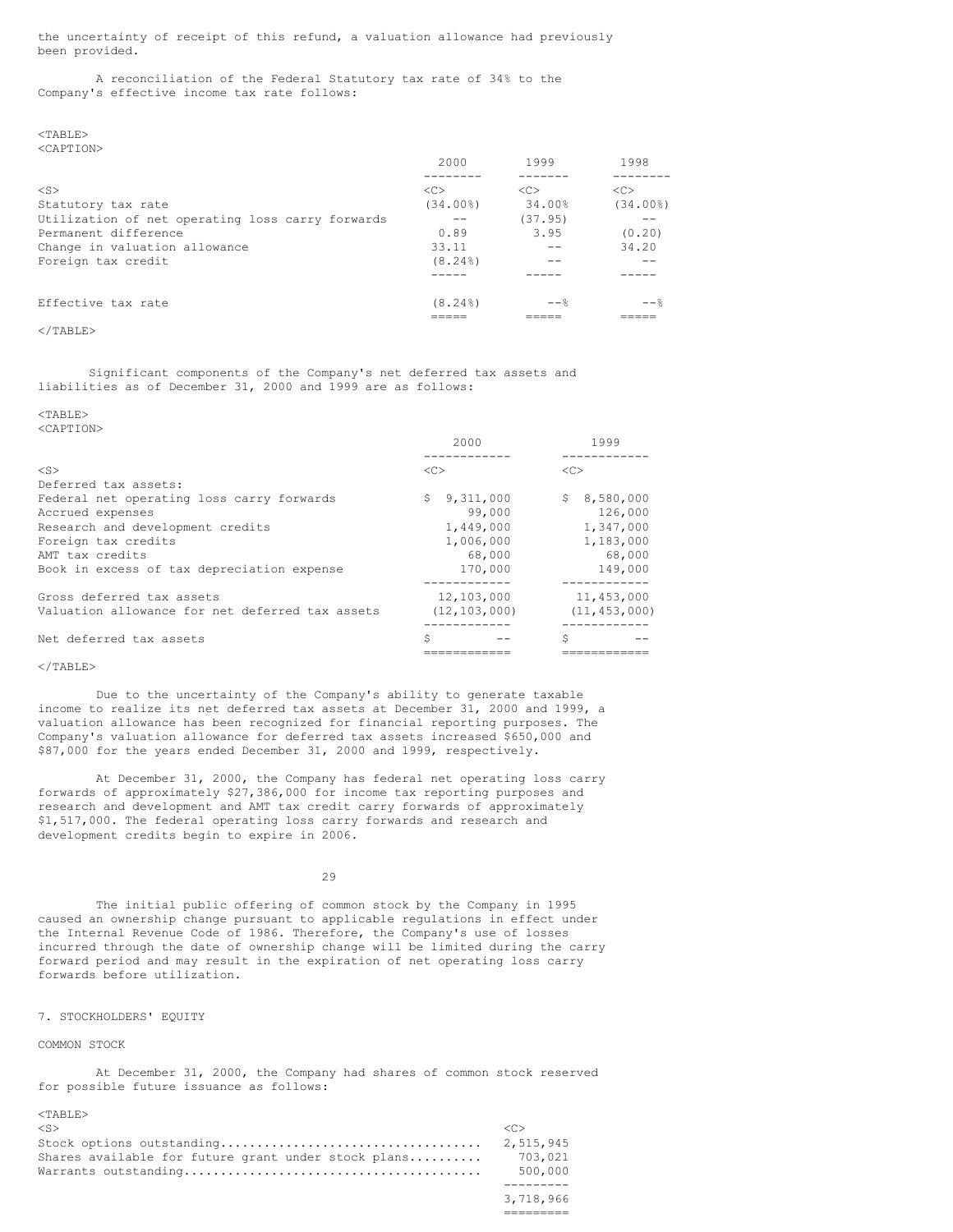the uncertainty of receipt of this refund, a valuation allowance had previously been provided.

A reconciliation of the Federal Statutory tax rate of 34% to the Company's effective income tax rate follows:

 $<$ TABLE $>$ <CAPTION>

|                                                  | 2000          | 1999          | 1998          |
|--------------------------------------------------|---------------|---------------|---------------|
|                                                  |               |               |               |
| $<$ S $>$                                        | < <sub></sub> | < <sub></sub> | < <sub></sub> |
| Statutory tax rate                               | (34.00%)      | 34.00%        | $(34.00\%)$   |
| Utilization of net operating loss carry forwards |               | (37.95)       |               |
| Permanent difference                             | 0.89          | 3.95          | (0.20)        |
| Change in valuation allowance                    | 33.11         |               | 34.20         |
| Foreign tax credit                               | $(8.24\%)$    |               |               |
|                                                  |               |               |               |
| Effective tax rate                               | $(8.24\%)$    | $- \approx$   | $- \approx$   |
|                                                  |               |               |               |

# $\langle$ /TABLE>

Significant components of the Company's net deferred tax assets and liabilities as of December 31, 2000 and 1999 are as follows:

<TABLE> <CAPTION>

|                                                 | 2000            | 1999           |
|-------------------------------------------------|-----------------|----------------|
|                                                 |                 |                |
| $<$ S $>$                                       | <<              | < <sub></sub>  |
| Deferred tax assets:                            |                 |                |
| Federal net operating loss carry forwards       | 9.311.000<br>S. | \$8,580,000    |
| Accrued expenses                                | 99,000          | 126,000        |
| Research and development credits                | 1,449,000       | 1,347,000      |
| Foreign tax credits                             | 1,006,000       | 1,183,000      |
| AMT tax credits                                 | 68,000          | 68,000         |
| Book in excess of tax depreciation expense      | 170,000         | 149,000        |
|                                                 |                 |                |
| Gross deferred tax assets                       | 12,103,000      | 11,453,000     |
| Valuation allowance for net deferred tax assets | (12, 103, 000)  | (11, 453, 000) |
|                                                 |                 |                |
| Net deferred tax assets                         | Ŝ               | Ś              |
|                                                 |                 |                |

# </TABLE>

Due to the uncertainty of the Company's ability to generate taxable income to realize its net deferred tax assets at December 31, 2000 and 1999, a valuation allowance has been recognized for financial reporting purposes. The Company's valuation allowance for deferred tax assets increased \$650,000 and \$87,000 for the years ended December 31, 2000 and 1999, respectively.

At December 31, 2000, the Company has federal net operating loss carry forwards of approximately \$27,386,000 for income tax reporting purposes and research and development and AMT tax credit carry forwards of approximately \$1,517,000. The federal operating loss carry forwards and research and development credits begin to expire in 2006.

29

The initial public offering of common stock by the Company in 1995 caused an ownership change pursuant to applicable regulations in effect under the Internal Revenue Code of 1986. Therefore, the Company's use of losses incurred through the date of ownership change will be limited during the carry forward period and may result in the expiration of net operating loss carry forwards before utilization.

# 7. STOCKHOLDERS' EQUITY

### COMMON STOCK

At December 31, 2000, the Company had shares of common stock reserved for possible future issuance as follows:

=========

| $\langle S \rangle$                                 |           |
|-----------------------------------------------------|-----------|
|                                                     | 2,515,945 |
| Shares available for future grant under stock plans | 703,021   |
|                                                     | 500.000   |
|                                                     |           |
|                                                     | 3.718.966 |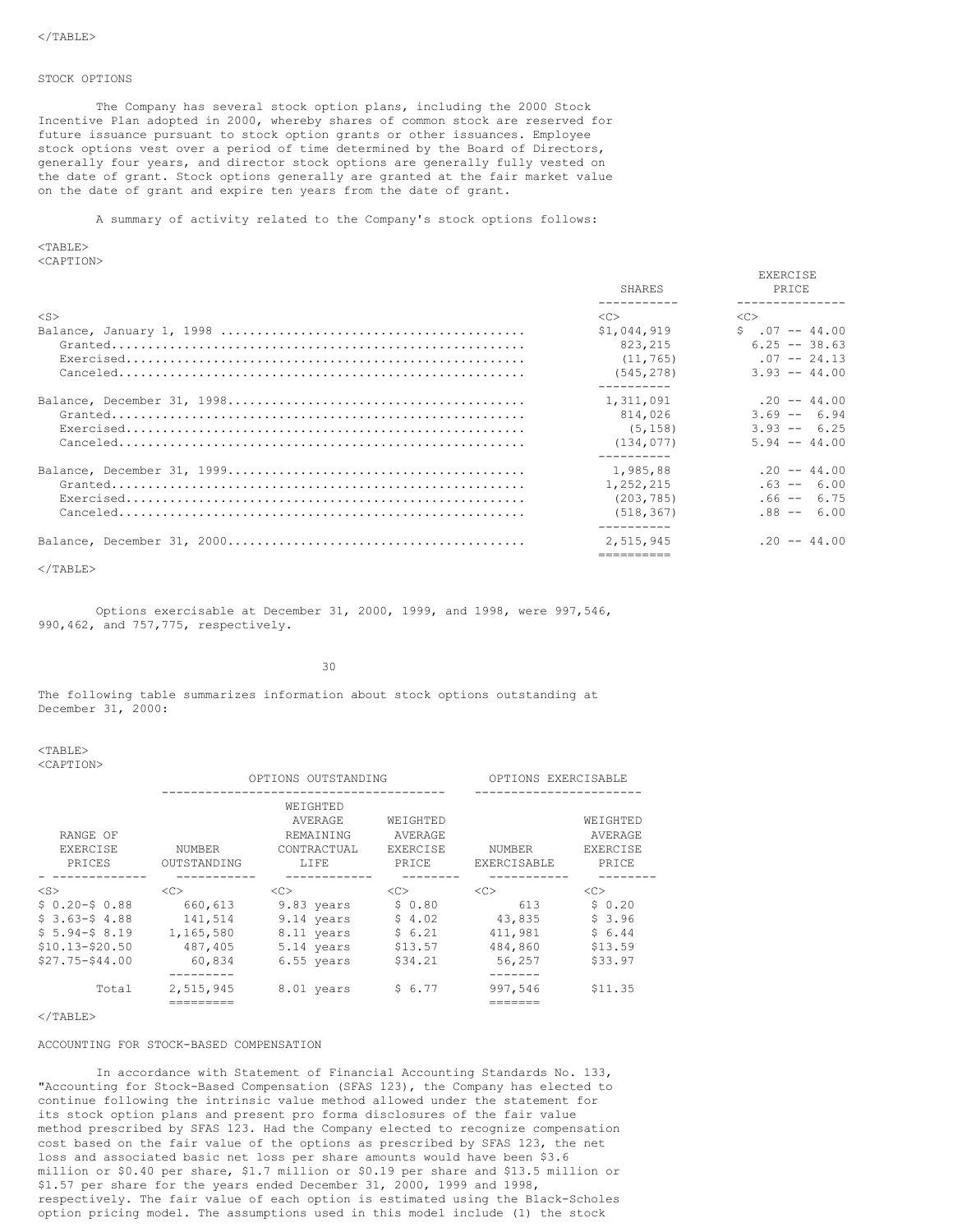## STOCK OPTIONS

The Company has several stock option plans, including the 2000 Stock Incentive Plan adopted in 2000, whereby shares of common stock are reserved for future issuance pursuant to stock option grants or other issuances. Employee stock options vest over a period of time determined by the Board of Directors, generally four years, and director stock options are generally fully vested on the date of grant. Stock options generally are granted at the fair market value on the date of grant and expire ten years from the date of grant.

A summary of activity related to the Company's stock options follows:

<TABLE> <CAPTION>

|                                                                                                                      | SHARES      | EXERCISE<br><b>PRTCE</b> |
|----------------------------------------------------------------------------------------------------------------------|-------------|--------------------------|
| $<$ S $>$                                                                                                            | $<<$ $>>$   | < <sub></sub>            |
|                                                                                                                      | \$1,044,919 | $5 \t .07 - 44.00$       |
|                                                                                                                      | 823, 215    | $6.25 - 38.63$           |
| $\texttt{Exercised.}\dots\dots\dots\dots\dots\dots\dots\dots\dots\dots\dots\dots\dots\dots\dots\dots\dots\dots\dots$ | (11, 765)   | $.07 - - 24.13$          |
|                                                                                                                      | (545, 278)  | $3.93 - 44.00$           |
|                                                                                                                      | 1,311,091   | $.20 - - 44.00$          |
|                                                                                                                      | 814,026     | $3.69 - 6.94$            |
|                                                                                                                      | (5, 158)    | $3.93 - 6.25$            |
|                                                                                                                      | (134, 077)  | $5.94 - 44.00$           |
|                                                                                                                      |             |                          |
|                                                                                                                      | 1,985,88    | $.20 - - 44.00$          |
|                                                                                                                      | 1,252,215   | $.63 - - 6.00$           |
|                                                                                                                      | (203, 785)  | $.66 - - 6.75$           |
|                                                                                                                      | (518, 367)  | $.88 - - 6.00$           |
|                                                                                                                      | 2,515,945   | $.20 - - 44.00$          |
|                                                                                                                      |             |                          |

 $\langle$ /TABLE>

Options exercisable at December 31, 2000, 1999, and 1998, were 997,546, 990,462, and 757,775, respectively.

30

The following table summarizes information about stock options outstanding at December 31, 2000:

<TABLE> <CAPTION>

|                                |                              | OPTIONS OUTSTANDING                                             |                                                 | OPTIONS EXERCISABLE          |                                          |
|--------------------------------|------------------------------|-----------------------------------------------------------------|-------------------------------------------------|------------------------------|------------------------------------------|
| RANGE OF<br>EXERCISE<br>PRICES | <b>NUMBER</b><br>OUTSTANDING | WEIGHTED<br>AVERAGE<br><b>REMAINING</b><br>CONTRACTUAL<br>LIFE. | WEIGHTED<br>AVERAGE<br><b>EXERCISE</b><br>PRICE | <b>NUMBER</b><br>EXERCISABLE | WEIGHTED<br>AVERAGE<br>EXERCISE<br>PRICE |
| $<$ S $>$                      | < <sub></sub>                | < <sub></sub>                                                   | < <sub></sub>                                   | < <sub></sub>                | < <sub></sub>                            |
| $$0.20 - $0.88$                | 660,613                      | 9.83 years                                                      | \$0.80                                          | 613                          | \$0.20                                   |
| $$3.63-$4.88$                  | 141,514                      | 9.14 years                                                      | \$4.02                                          | 43,835                       | \$3.96                                   |
| $$5.94-S.8.19$                 | 1,165,580                    | 8.11 years                                                      | \$6.21                                          | 411,981                      | \$6.44                                   |
| $$10.13 - $20.50$              | 487,405                      | 5.14 years                                                      | \$13.57                                         | 484,860                      | \$13.59                                  |
| $$27.75 - $44.00$              | 60,834                       | 6.55 years                                                      | \$34.21                                         | 56,257                       | \$33.97                                  |
| Total                          | 2,515,945                    | 8.01 years                                                      | \$6.77                                          | 997.546                      | \$11.35                                  |

### $\langle$ /TABLE>

# ACCOUNTING FOR STOCK-BASED COMPENSATION

In accordance with Statement of Financial Accounting Standards No. 133, "Accounting for Stock-Based Compensation (SFAS 123), the Company has elected to continue following the intrinsic value method allowed under the statement for its stock option plans and present pro forma disclosures of the fair value method prescribed by SFAS 123. Had the Company elected to recognize compensation cost based on the fair value of the options as prescribed by SFAS 123, the net loss and associated basic net loss per share amounts would have been \$3.6 million or \$0.40 per share, \$1.7 million or \$0.19 per share and \$13.5 million or \$1.57 per share for the years ended December 31, 2000, 1999 and 1998, respectively. The fair value of each option is estimated using the Black-Scholes option pricing model. The assumptions used in this model include (1) the stock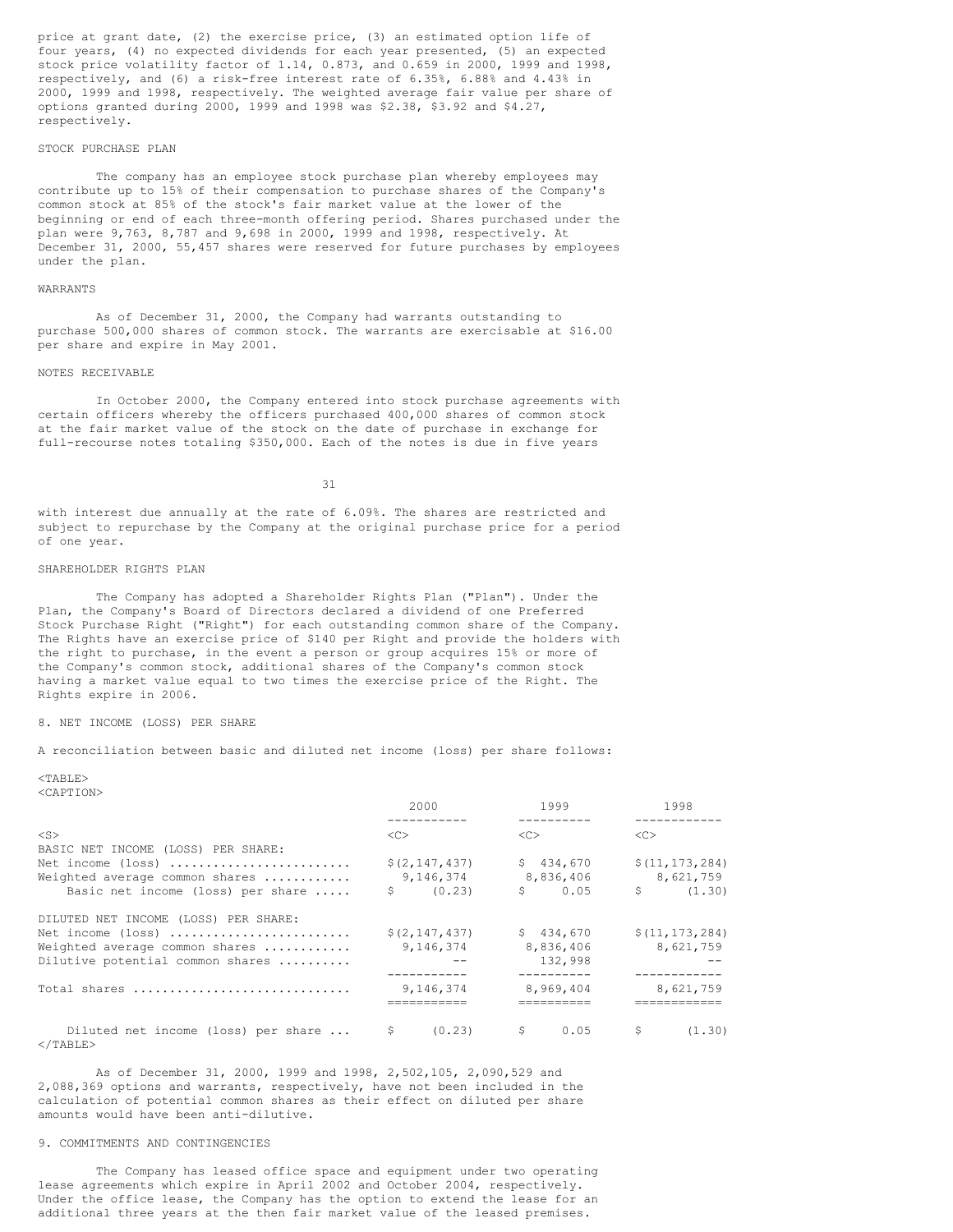price at grant date, (2) the exercise price, (3) an estimated option life of four years, (4) no expected dividends for each year presented, (5) an expected stock price volatility factor of 1.14, 0.873, and 0.659 in 2000, 1999 and 1998, respectively, and (6) a risk-free interest rate of 6.35%, 6.88% and 4.43% in 2000, 1999 and 1998, respectively. The weighted average fair value per share of options granted during 2000, 1999 and 1998 was \$2.38, \$3.92 and \$4.27, respectively.

# STOCK PURCHASE PLAN

The company has an employee stock purchase plan whereby employees may contribute up to 15% of their compensation to purchase shares of the Company's common stock at 85% of the stock's fair market value at the lower of the beginning or end of each three-month offering period. Shares purchased under the plan were 9,763, 8,787 and 9,698 in 2000, 1999 and 1998, respectively. At December 31, 2000, 55,457 shares were reserved for future purchases by employees under the plan.

## WARRANTS

As of December 31, 2000, the Company had warrants outstanding to purchase 500,000 shares of common stock. The warrants are exercisable at \$16.00 per share and expire in May 2001.

### NOTES RECEIVABLE

In October 2000, the Company entered into stock purchase agreements with certain officers whereby the officers purchased 400,000 shares of common stock at the fair market value of the stock on the date of purchase in exchange for full-recourse notes totaling \$350,000. Each of the notes is due in five years

31

with interest due annually at the rate of 6.09%. The shares are restricted and subject to repurchase by the Company at the original purchase price for a period of one year.

### SHAREHOLDER RIGHTS PLAN

The Company has adopted a Shareholder Rights Plan ("Plan"). Under the Plan, the Company's Board of Directors declared a dividend of one Preferred Stock Purchase Right ("Right") for each outstanding common share of the Company. The Rights have an exercise price of \$140 per Right and provide the holders with the right to purchase, in the event a person or group acquires 15% or more of the Company's common stock, additional shares of the Company's common stock having a market value equal to two times the exercise price of the Right. The Rights expire in 2006.

## 8. NET INCOME (LOSS) PER SHARE

A reconciliation between basic and diluted net income (loss) per share follows:

 $<$ TABLE $>$ <CAPTION>

|                                                                                                                                | 2000                                      | 1999                             | 1998                                          |
|--------------------------------------------------------------------------------------------------------------------------------|-------------------------------------------|----------------------------------|-----------------------------------------------|
| $<$ S $>$                                                                                                                      | < <sub></sub>                             | <<                               | < <sub></sub>                                 |
| BASIC NET INCOME (LOSS) PER SHARE:<br>Net income (loss)<br>Weighted average common shares<br>Basic net income (loss) per share | \$(2, 147, 437)<br>9,146,374<br>\$ (0.23) | \$434,670<br>8,836,406<br>\$0.05 | \$(11, 173, 284)<br>8,621,759<br>S.<br>(1.30) |
| DILUTED NET INCOME (LOSS) PER SHARE:                                                                                           |                                           |                                  |                                               |
| Net income (loss)                                                                                                              | \$(2, 147, 437)                           | \$434,670                        | \$(11, 173, 284)                              |
| Weighted average common shares                                                                                                 | 9,146,374                                 | 8,836,406                        | 8,621,759                                     |
| Dilutive potential common shares                                                                                               |                                           | 132,998                          |                                               |
| Total shares                                                                                                                   | 9,146,374                                 | 8,969,404                        | 8,621,759                                     |
|                                                                                                                                |                                           |                                  |                                               |
| Diluted net income (loss) per share  \$<br>$\langle$ /TABLE>                                                                   |                                           | $(0.23)$ \$ 0.05                 | -S<br>(1, 30)                                 |

As of December 31, 2000, 1999 and 1998, 2,502,105, 2,090,529 and 2,088,369 options and warrants, respectively, have not been included in the calculation of potential common shares as their effect on diluted per share amounts would have been anti-dilutive.

# 9. COMMITMENTS AND CONTINGENCIES

The Company has leased office space and equipment under two operating lease agreements which expire in April 2002 and October 2004, respectively. Under the office lease, the Company has the option to extend the lease for an additional three years at the then fair market value of the leased premises.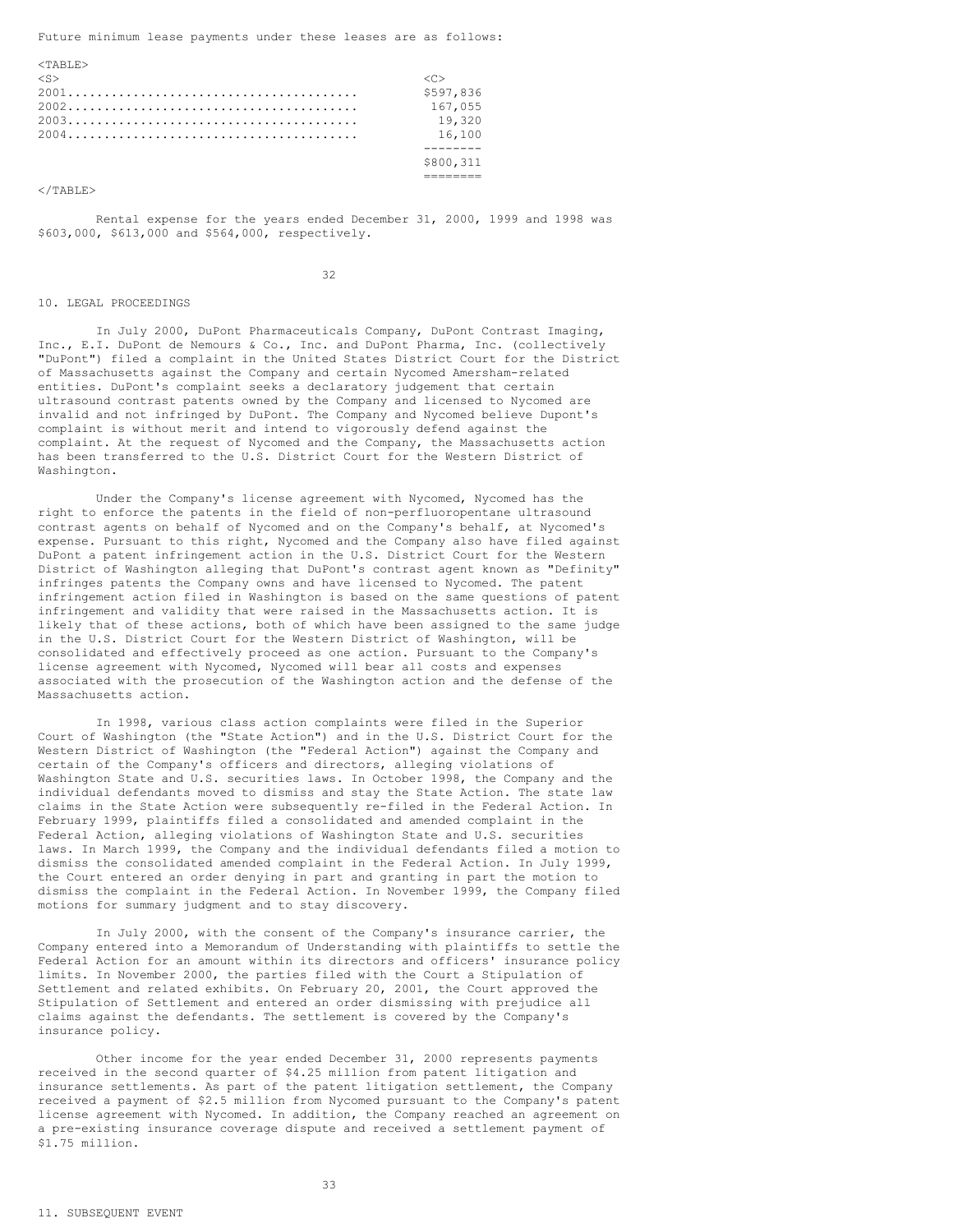Future minimum lease payments under these leases are as follows:

| $<$ TARLE $>$ |           |
|---------------|-----------|
| $<$ S $>$     | くいゝ       |
|               | \$597,836 |
|               | 167,055   |
|               | 19,320    |
|               | 16,100    |
|               |           |
|               | \$800,311 |
|               |           |

 $\langle$ /TABLE>

Rental expense for the years ended December 31, 2000, 1999 and 1998 was \$603,000, \$613,000 and \$564,000, respectively.

32

#### 10. LEGAL PROCEEDINGS

In July 2000, DuPont Pharmaceuticals Company, DuPont Contrast Imaging, Inc., E.I. DuPont de Nemours & Co., Inc. and DuPont Pharma, Inc. (collectively "DuPont") filed a complaint in the United States District Court for the District of Massachusetts against the Company and certain Nycomed Amersham-related entities. DuPont's complaint seeks a declaratory judgement that certain ultrasound contrast patents owned by the Company and licensed to Nycomed are invalid and not infringed by DuPont. The Company and Nycomed believe Dupont's complaint is without merit and intend to vigorously defend against the complaint. At the request of Nycomed and the Company, the Massachusetts action has been transferred to the U.S. District Court for the Western District of Washington.

Under the Company's license agreement with Nycomed, Nycomed has the right to enforce the patents in the field of non-perfluoropentane ultrasound contrast agents on behalf of Nycomed and on the Company's behalf, at Nycomed's expense. Pursuant to this right, Nycomed and the Company also have filed against DuPont a patent infringement action in the U.S. District Court for the Western District of Washington alleging that DuPont's contrast agent known as "Definity" infringes patents the Company owns and have licensed to Nycomed. The patent infringement action filed in Washington is based on the same questions of patent infringement and validity that were raised in the Massachusetts action. It is likely that of these actions, both of which have been assigned to the same judge in the U.S. District Court for the Western District of Washington, will be consolidated and effectively proceed as one action. Pursuant to the Company's license agreement with Nycomed, Nycomed will bear all costs and expenses associated with the prosecution of the Washington action and the defense of the Massachusetts action.

In 1998, various class action complaints were filed in the Superior Court of Washington (the "State Action") and in the U.S. District Court for the Western District of Washington (the "Federal Action") against the Company and certain of the Company's officers and directors, alleging violations of Washington State and U.S. securities laws. In October 1998, the Company and the individual defendants moved to dismiss and stay the State Action. The state law claims in the State Action were subsequently re-filed in the Federal Action. In February 1999, plaintiffs filed a consolidated and amended complaint in the Federal Action, alleging violations of Washington State and U.S. securities laws. In March 1999, the Company and the individual defendants filed a motion to dismiss the consolidated amended complaint in the Federal Action. In July 1999, the Court entered an order denying in part and granting in part the motion to dismiss the complaint in the Federal Action. In November 1999, the Company filed motions for summary judgment and to stay discovery.

In July 2000, with the consent of the Company's insurance carrier, the Company entered into a Memorandum of Understanding with plaintiffs to settle the Federal Action for an amount within its directors and officers' insurance policy limits. In November 2000, the parties filed with the Court a Stipulation of Settlement and related exhibits. On February 20, 2001, the Court approved the Stipulation of Settlement and entered an order dismissing with prejudice all claims against the defendants. The settlement is covered by the Company's insurance policy.

Other income for the year ended December 31, 2000 represents payments received in the second quarter of \$4.25 million from patent litigation and insurance settlements. As part of the patent litigation settlement, the Company received a payment of \$2.5 million from Nycomed pursuant to the Company's patent license agreement with Nycomed. In addition, the Company reached an agreement on a pre-existing insurance coverage dispute and received a settlement payment of \$1.75 million.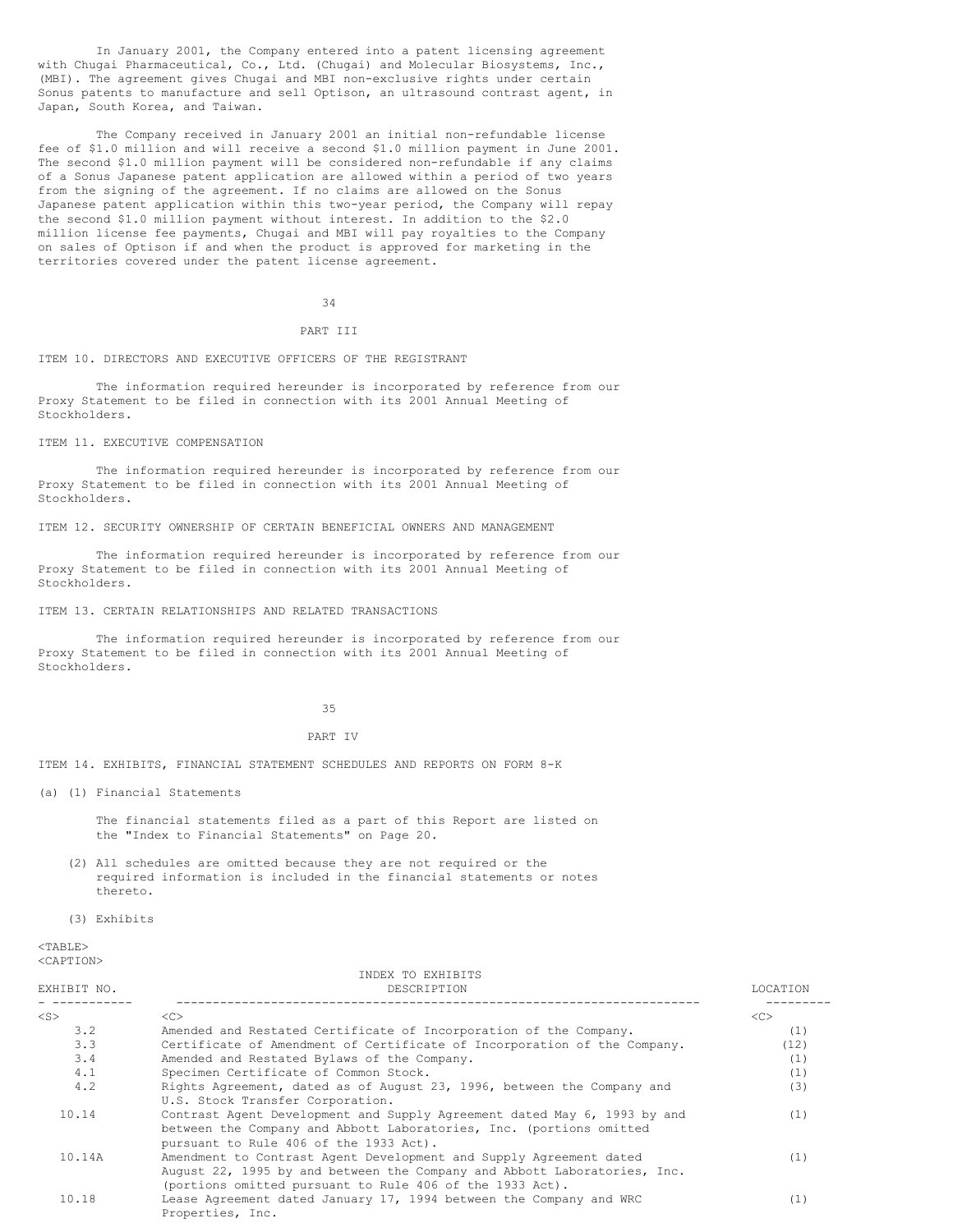In January 2001, the Company entered into a patent licensing agreement with Chugai Pharmaceutical, Co., Ltd. (Chugai) and Molecular Biosystems, Inc., (MBI). The agreement gives Chugai and MBI non-exclusive rights under certain Sonus patents to manufacture and sell Optison, an ultrasound contrast agent, in Japan, South Korea, and Taiwan.

The Company received in January 2001 an initial non-refundable license fee of \$1.0 million and will receive a second \$1.0 million payment in June 2001. The second \$1.0 million payment will be considered non-refundable if any claims of a Sonus Japanese patent application are allowed within a period of two years from the signing of the agreement. If no claims are allowed on the Sonus Japanese patent application within this two-year period, the Company will repay the second \$1.0 million payment without interest. In addition to the \$2.0 million license fee payments, Chugai and MBI will pay royalties to the Company on sales of Optison if and when the product is approved for marketing in the territories covered under the patent license agreement.

34

# PART TIT

ITEM 10. DIRECTORS AND EXECUTIVE OFFICERS OF THE REGISTRANT

The information required hereunder is incorporated by reference from our Proxy Statement to be filed in connection with its 2001 Annual Meeting of Stockholders.

ITEM 11. EXECUTIVE COMPENSATION

The information required hereunder is incorporated by reference from our Proxy Statement to be filed in connection with its 2001 Annual Meeting of Stockholders.

ITEM 12. SECURITY OWNERSHIP OF CERTAIN BENEFICIAL OWNERS AND MANAGEMENT

The information required hereunder is incorporated by reference from our Proxy Statement to be filed in connection with its 2001 Annual Meeting of Stockholders.

ITEM 13. CERTAIN RELATIONSHIPS AND RELATED TRANSACTIONS

The information required hereunder is incorporated by reference from our Proxy Statement to be filed in connection with its 2001 Annual Meeting of Stockholders.

35

### PART IV

ITEM 14. EXHIBITS, FINANCIAL STATEMENT SCHEDULES AND REPORTS ON FORM 8-K

(a) (1) Financial Statements

The financial statements filed as a part of this Report are listed on the "Index to Financial Statements" on Page 20.

(2) All schedules are omitted because they are not required or the required information is included in the financial statements or notes thereto.

(3) Exhibits

 $<$ TABLE> <CAPTION>

| INDEX TO EXHIBITS |                                                                          |          |  |  |  |
|-------------------|--------------------------------------------------------------------------|----------|--|--|--|
| EXHIBIT NO.       | DESCRIPTION                                                              | LOCATION |  |  |  |
| $<$ S $>$         | < <sub></sub>                                                            | <<       |  |  |  |
| 3.2               | Amended and Restated Certificate of Incorporation of the Company.        | (1)      |  |  |  |
| 3.3               | Certificate of Amendment of Certificate of Incorporation of the Company. | (12)     |  |  |  |
| 3.4               | Amended and Restated Bylaws of the Company.                              | (1)      |  |  |  |
| 4.1               | Specimen Certificate of Common Stock.                                    | (1)      |  |  |  |
| 4.2               | Rights Agreement, dated as of August 23, 1996, between the Company and   | (3)      |  |  |  |
|                   | U.S. Stock Transfer Corporation.                                         |          |  |  |  |
| 10.14             | Contrast Agent Development and Supply Agreement dated May 6, 1993 by and | (1)      |  |  |  |
|                   | between the Company and Abbott Laboratories, Inc. (portions omitted      |          |  |  |  |
|                   | pursuant to Rule 406 of the 1933 Act).                                   |          |  |  |  |
| 10.14A            | Amendment to Contrast Agent Development and Supply Agreement dated       | (1)      |  |  |  |
|                   | August 22, 1995 by and between the Company and Abbott Laboratories, Inc. |          |  |  |  |
|                   | (portions omitted pursuant to Rule 406 of the 1933 Act).                 |          |  |  |  |
| 10.18             | Lease Agreement dated January 17, 1994 between the Company and WRC       | (1)      |  |  |  |
|                   | Properties, Inc.                                                         |          |  |  |  |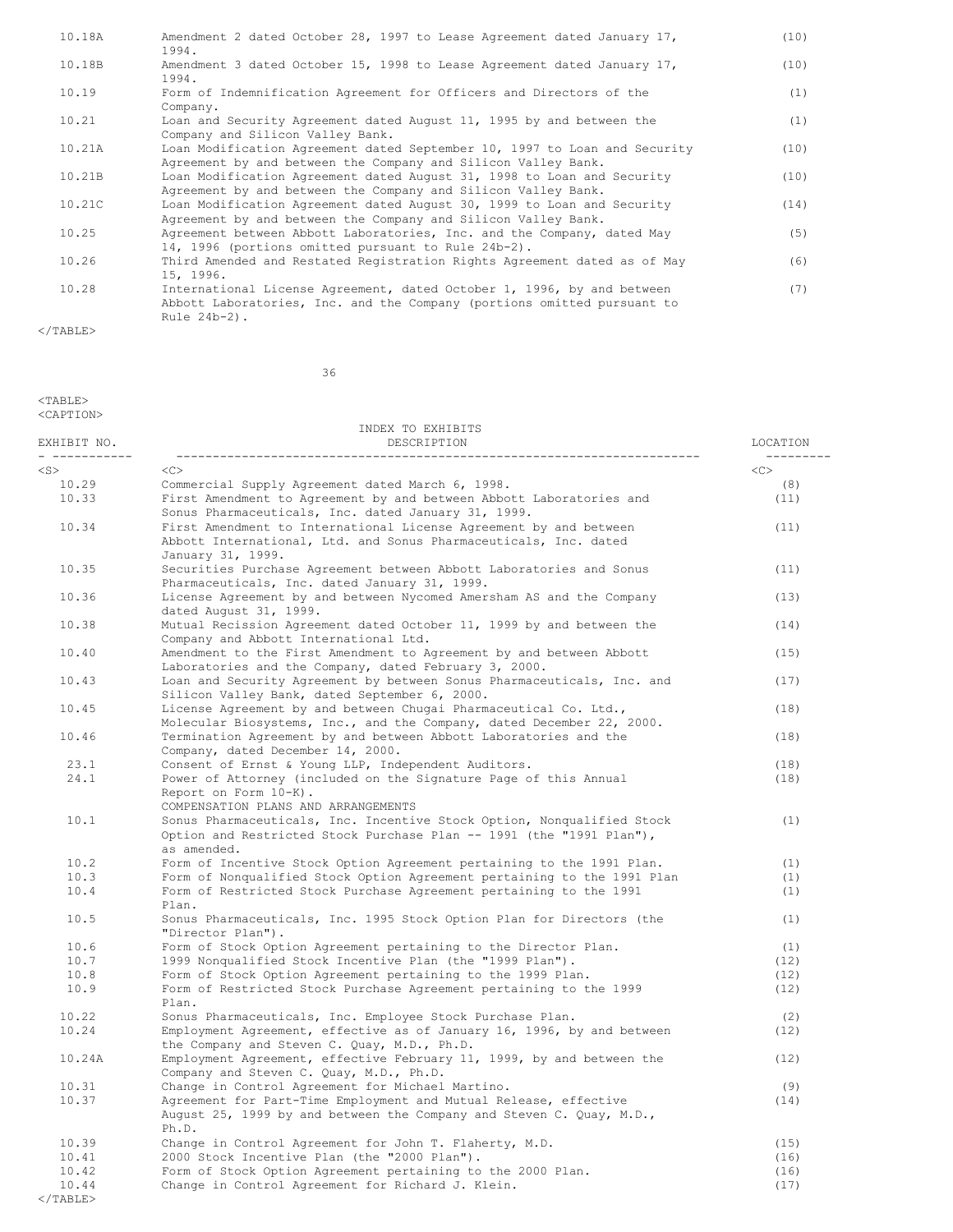| 10.18A | Amendment 2 dated October 28, 1997 to Lease Agreement dated January 17,<br>1994.                                                                                     | (10) |
|--------|----------------------------------------------------------------------------------------------------------------------------------------------------------------------|------|
| 10.18B | Amendment 3 dated October 15, 1998 to Lease Agreement dated January 17,<br>1994.                                                                                     | (10) |
| 10.19  | Form of Indemnification Agreement for Officers and Directors of the<br>Company.                                                                                      | (1)  |
| 10.21  | Loan and Security Agreement dated August 11, 1995 by and between the<br>Company and Silicon Valley Bank.                                                             | (1)  |
| 10.21A | Loan Modification Agreement dated September 10, 1997 to Loan and Security<br>Agreement by and between the Company and Silicon Valley Bank.                           | (10) |
| 10.21B | Loan Modification Agreement dated August 31, 1998 to Loan and Security<br>Agreement by and between the Company and Silicon Valley Bank.                              | (10) |
| 10.21C | Loan Modification Agreement dated August 30, 1999 to Loan and Security<br>Agreement by and between the Company and Silicon Valley Bank.                              | (14) |
| 10.25  | Agreement between Abbott Laboratories, Inc. and the Company, dated May<br>14, 1996 (portions omitted pursuant to Rule 24b-2).                                        | (5)  |
| 10.26  | Third Amended and Restated Registration Rights Agreement dated as of May<br>15, 1996.                                                                                | (6)  |
| 10.28  | International License Agreement, dated October 1, 1996, by and between<br>Abbott Laboratories, Inc. and the Company (portions omitted pursuant to<br>Rule $24b-2$ ). | (7)  |

 $\langle$ /TABLE>

36

### $<$ TABLE> <CAPTION>

INDEX TO EXHIBITS EXHIBIT NO. DESCRIPTION LOCATION - ----------- ------------------------------------------------------------------------ --------- <S><C><C><C> 10.29 Commercial Supply Agreement dated March 6, 1998. (8) 10.33 First Amendment to Agreement by and between Abbott Laboratories and (11) Sonus Pharmaceuticals, Inc. dated January 31, 1999. 10.34 First Amendment to International License Agreement by and between (11) Abbott International, Ltd. and Sonus Pharmaceuticals, Inc. dated January 31, 1999. 10.35 Securities Purchase Agreement between Abbott Laboratories and Sonus (11) Pharmaceuticals, Inc. dated January 31, 1999. 10.36 License Agreement by and between Nycomed Amersham AS and the Company (13) dated August 31, 1999. 10.38 Mutual Recission Agreement dated October 11, 1999 by and between the (14) Company and Abbott International Ltd. 10.40 Amendment to the First Amendment to Agreement by and between Abbott (15) Laboratories and the Company, dated February 3, 2000. 10.43 Loan and Security Agreement by between Sonus Pharmaceuticals, Inc. and (17) Silicon Valley Bank, dated September 6, 2000. 10.45 License Agreement by and between Chugai Pharmaceutical Co. Ltd., (18) Molecular Biosystems, Inc., and the Company, dated December 22, 2000. 10.46 Termination Agreement by and between Abbott Laboratories and the (18) Company, dated December 14, 2000. 23.1 Consent of Ernst & Young LLP, Independent Auditors. (18) 24.1 Power of Attorney (included on the Signature Page of this Annual (18) Report on Form 10-K). COMPENSATION PLANS AND ARRANGEMENTS 10.1 Sonus Pharmaceuticals, Inc. Incentive Stock Option, Nonqualified Stock (1) Option and Restricted Stock Purchase Plan -- 1991 (the "1991 Plan"), as amended. 10.2 Form of Incentive Stock Option Agreement pertaining to the 1991 Plan. (1) 10.3 Form of Nonqualified Stock Option Agreement pertaining to the 1991 Plan (1) 10.4 Form of Restricted Stock Purchase Agreement pertaining to the 1991 (1) Plan. 10.5 Sonus Pharmaceuticals, Inc. 1995 Stock Option Plan for Directors (the (1) "Director Plan"). 10.6 Form of Stock Option Agreement pertaining to the Director Plan. (1) 10.7 1999 Nonqualified Stock Incentive Plan (the "1999 Plan"). (12)<br>10.8 Form of Stock Option Agreement pertaining to the 1999 Plan. (12) Form of Stock Option Agreement pertaining to the 1999 Plan. (12) 10.9 Form of Restricted Stock Purchase Agreement pertaining to the 1999 (12) Plan. 10.22 Sonus Pharmaceuticals, Inc. Employee Stock Purchase Plan. (2) 10.24 Employment Agreement, effective as of January 16, 1996, by and between (12) the Company and Steven C. Quay, M.D., Ph.D. 10.24A Employment Agreement, effective February 11, 1999, by and between the (12) Company and Steven C. Quay, M.D., Ph.D. 10.31 Change in Control Agreement for Michael Martino. (9) Agreement for Part-Time Employment and Mutual Release, effective August 25, 1999 by and between the Company and Steven C. Quay, M.D., Ph.D. 10.39 Change in Control Agreement for John T. Flaherty, M.D. (15) 10.41 2000 Stock Incentive Plan (the "2000 Plan"). (16)<br>10.42 Form of Stock Option Agreement pertaining to the 2000 Plan. (16) Form of Stock Option Agreement pertaining to the 2000 Plan. 10.44 Change in Control Agreement for Richard J. Klein. (17)

</TABLE>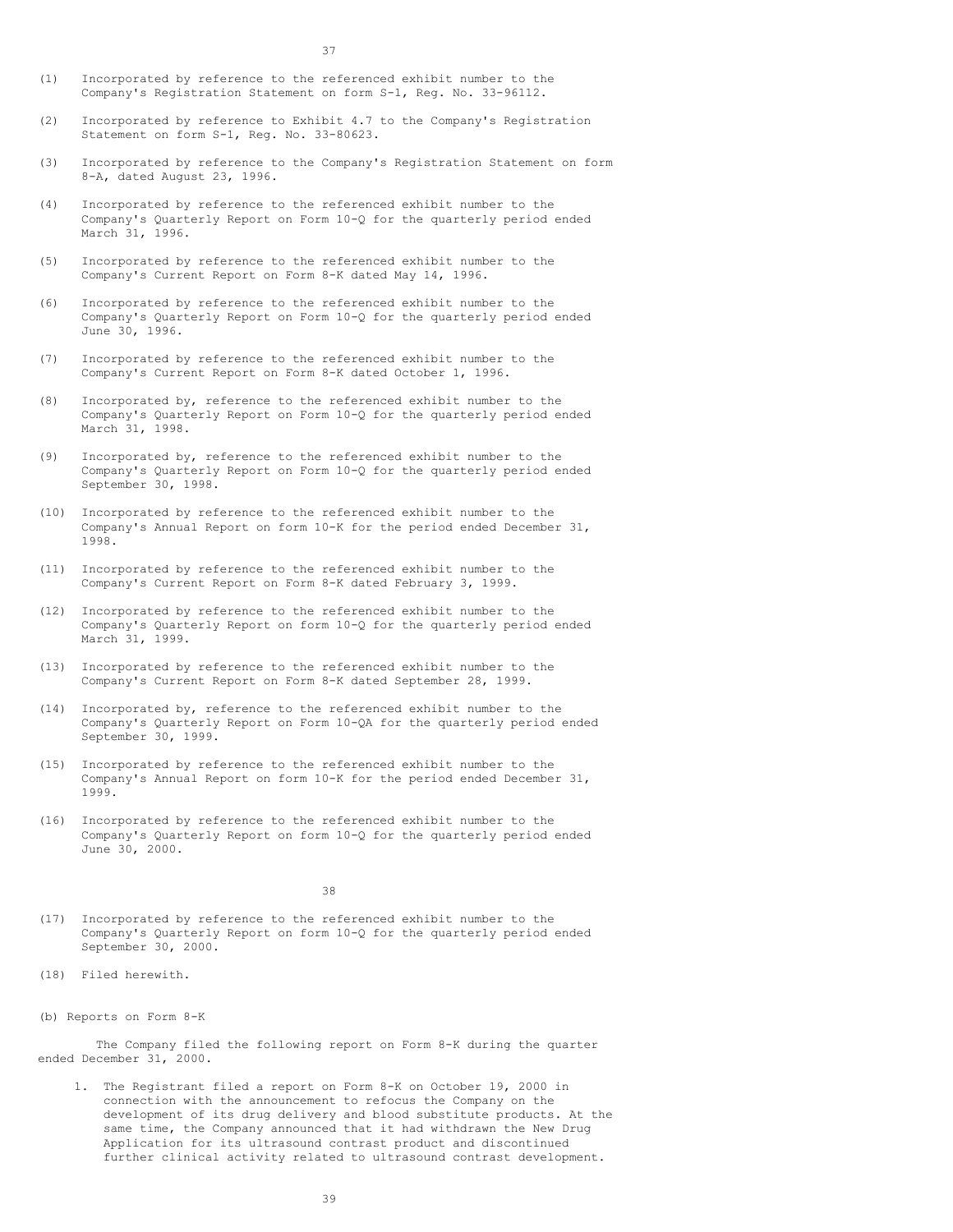- (1) Incorporated by reference to the referenced exhibit number to the Company's Registration Statement on form S-1, Reg. No. 33-96112.
- (2) Incorporated by reference to Exhibit 4.7 to the Company's Registration Statement on form S-1, Reg. No. 33-80623.
- (3) Incorporated by reference to the Company's Registration Statement on form 8-A, dated August 23, 1996.
- (4) Incorporated by reference to the referenced exhibit number to the Company's Quarterly Report on Form 10-Q for the quarterly period ended March 31, 1996.
- (5) Incorporated by reference to the referenced exhibit number to the Company's Current Report on Form 8-K dated May 14, 1996.
- (6) Incorporated by reference to the referenced exhibit number to the Company's Quarterly Report on Form 10-Q for the quarterly period ended June 30, 1996.
- (7) Incorporated by reference to the referenced exhibit number to the Company's Current Report on Form 8-K dated October 1, 1996.
- (8) Incorporated by, reference to the referenced exhibit number to the Company's Quarterly Report on Form 10-Q for the quarterly period ended March 31, 1998.
- (9) Incorporated by, reference to the referenced exhibit number to the Company's Quarterly Report on Form 10-Q for the quarterly period ended September 30, 1998.
- (10) Incorporated by reference to the referenced exhibit number to the Company's Annual Report on form 10-K for the period ended December 31, 1998.
- (11) Incorporated by reference to the referenced exhibit number to the Company's Current Report on Form 8-K dated February 3, 1999.
- (12) Incorporated by reference to the referenced exhibit number to the Company's Quarterly Report on form 10-Q for the quarterly period ended March 31, 1999.
- (13) Incorporated by reference to the referenced exhibit number to the Company's Current Report on Form 8-K dated September 28, 1999.
- (14) Incorporated by, reference to the referenced exhibit number to the Company's Quarterly Report on Form 10-QA for the quarterly period ended September 30, 1999.
- (15) Incorporated by reference to the referenced exhibit number to the Company's Annual Report on form 10-K for the period ended December 31, 1999.
- (16) Incorporated by reference to the referenced exhibit number to the Company's Quarterly Report on form 10-Q for the quarterly period ended June 30, 2000.

38

- (17) Incorporated by reference to the referenced exhibit number to the Company's Quarterly Report on form 10-Q for the quarterly period ended September 30, 2000.
- (18) Filed herewith.
- (b) Reports on Form 8-K

The Company filed the following report on Form 8-K during the quarter ended December 31, 2000.

1. The Registrant filed a report on Form 8-K on October 19, 2000 in connection with the announcement to refocus the Company on the development of its drug delivery and blood substitute products. At the same time, the Company announced that it had withdrawn the New Drug Application for its ultrasound contrast product and discontinued further clinical activity related to ultrasound contrast development.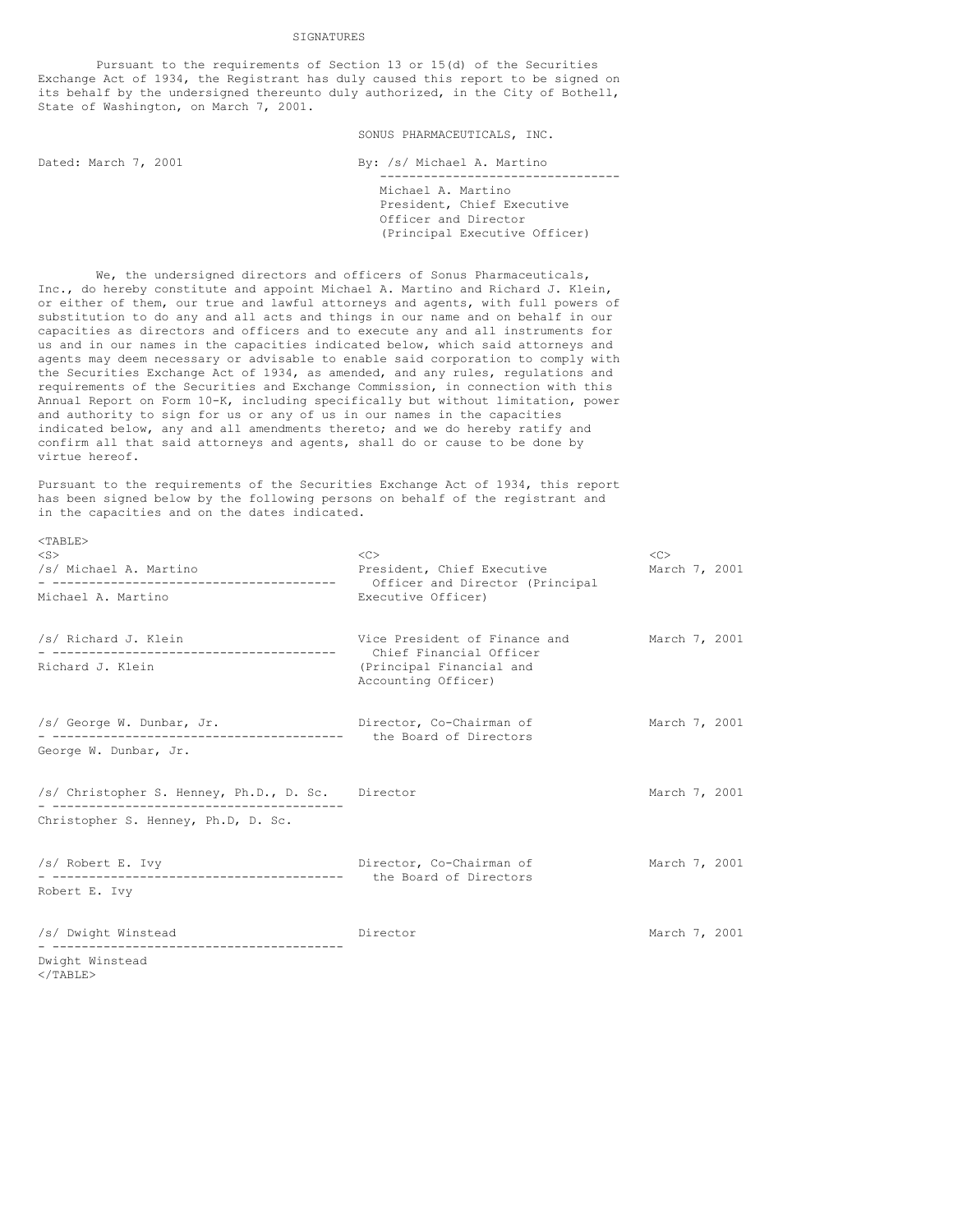SIGNATURES

Pursuant to the requirements of Section 13 or 15(d) of the Securities Exchange Act of 1934, the Registrant has duly caused this report to be signed on its behalf by the undersigned thereunto duly authorized, in the City of Bothell, State of Washington, on March 7, 2001.

SONUS PHARMACEUTICALS, INC.

Dated: March 7, 2001 By: /s/ Michael A. Martino

--------------------------------- Michael A. Martino President, Chief Executive Officer and Director (Principal Executive Officer)

We, the undersigned directors and officers of Sonus Pharmaceuticals, Inc., do hereby constitute and appoint Michael A. Martino and Richard J. Klein, or either of them, our true and lawful attorneys and agents, with full powers of substitution to do any and all acts and things in our name and on behalf in our capacities as directors and officers and to execute any and all instruments for us and in our names in the capacities indicated below, which said attorneys and agents may deem necessary or advisable to enable said corporation to comply with the Securities Exchange Act of 1934, as amended, and any rules, regulations and requirements of the Securities and Exchange Commission, in connection with this Annual Report on Form 10-K, including specifically but without limitation, power and authority to sign for us or any of us in our names in the capacities indicated below, any and all amendments thereto; and we do hereby ratify and confirm all that said attorneys and agents, shall do or cause to be done by virtue hereof.

Pursuant to the requirements of the Securities Exchange Act of 1934, this report has been signed below by the following persons on behalf of the registrant and in the capacities and on the dates indicated.

| $<$ S $>$<br>/s/ Michael A. Martino               | <<<br>President, Chief Executive                         | <<<br>March 7, 2001 |  |
|---------------------------------------------------|----------------------------------------------------------|---------------------|--|
| Michael A. Martino                                | Officer and Director (Principal<br>Executive Officer)    |                     |  |
| /s/ Richard J. Klein                              | Vice President of Finance and<br>Chief Financial Officer | March 7, 2001       |  |
| Richard J. Klein                                  | (Principal Financial and<br>Accounting Officer)          |                     |  |
| /s/ George W. Dunbar, Jr.                         | Director, Co-Chairman of<br>the Board of Directors       | March 7, 2001       |  |
| George W. Dunbar, Jr.                             |                                                          |                     |  |
| /s/ Christopher S. Henney, Ph.D., D. Sc. Director |                                                          | March 7, 2001       |  |
| Christopher S. Henney, Ph.D, D. Sc.               |                                                          |                     |  |
| /s/ Robert E. Ivy                                 | Director, Co-Chairman of<br>the Board of Directors       | March 7, 2001       |  |
| Robert E. Ivy                                     |                                                          |                     |  |
| /s/ Dwight Winstead                               | Director                                                 | March 7, 2001       |  |
| Dwight Winstead                                   |                                                          |                     |  |

</TABLE>

 $<sub>TAPIT.F></sub>$ </sub>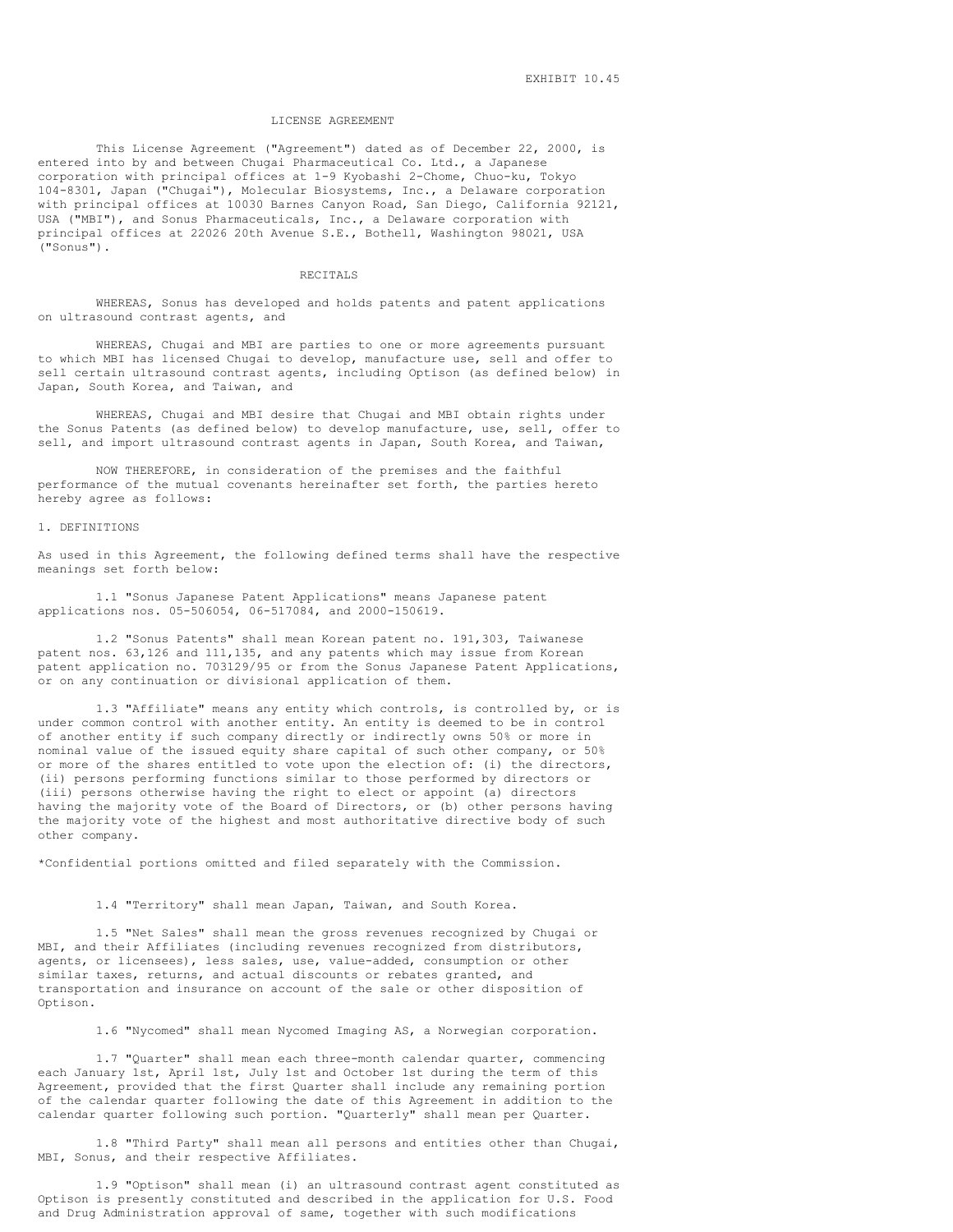### LICENSE AGREEMENT

This License Agreement ("Agreement") dated as of December 22, 2000, is entered into by and between Chugai Pharmaceutical Co. Ltd., a Japanese corporation with principal offices at 1-9 Kyobashi 2-Chome, Chuo-ku, Tokyo 104-8301, Japan ("Chugai"), Molecular Biosystems, Inc., a Delaware corporation with principal offices at 10030 Barnes Canyon Road, San Diego, California 92121, USA ("MBI"), and Sonus Pharmaceuticals, Inc., a Delaware corporation with principal offices at 22026 20th Avenue S.E., Bothell, Washington 98021, USA ("Sonus").

## RECITALS

WHEREAS, Sonus has developed and holds patents and patent applications on ultrasound contrast agents, and

WHEREAS, Chugai and MBI are parties to one or more agreements pursuant to which MBI has licensed Chugai to develop, manufacture use, sell and offer to sell certain ultrasound contrast agents, including Optison (as defined below) in Japan, South Korea, and Taiwan, and

WHEREAS, Chugai and MBI desire that Chugai and MBI obtain rights under the Sonus Patents (as defined below) to develop manufacture, use, sell, offer to sell, and import ultrasound contrast agents in Japan, South Korea, and Taiwan,

NOW THEREFORE, in consideration of the premises and the faithful performance of the mutual covenants hereinafter set forth, the parties hereto hereby agree as follows:

### 1. DEFINITIONS

As used in this Agreement, the following defined terms shall have the respective meanings set forth below:

1.1 "Sonus Japanese Patent Applications" means Japanese patent applications nos. 05-506054, 06-517084, and 2000-150619.

1.2 "Sonus Patents" shall mean Korean patent no. 191,303, Taiwanese patent nos. 63,126 and 111,135, and any patents which may issue from Korean patent application no. 703129/95 or from the Sonus Japanese Patent Applications, or on any continuation or divisional application of them.

1.3 "Affiliate" means any entity which controls, is controlled by, or is under common control with another entity. An entity is deemed to be in control of another entity if such company directly or indirectly owns 50% or more in nominal value of the issued equity share capital of such other company, or 50% or more of the shares entitled to vote upon the election of: (i) the directors, (ii) persons performing functions similar to those performed by directors or (iii) persons otherwise having the right to elect or appoint (a) directors having the majority vote of the Board of Directors, or (b) other persons having the majority vote of the highest and most authoritative directive body of such other company.

\*Confidential portions omitted and filed separately with the Commission.

# 1.4 "Territory" shall mean Japan, Taiwan, and South Korea.

1.5 "Net Sales" shall mean the gross revenues recognized by Chugai or MBI, and their Affiliates (including revenues recognized from distributors, agents, or licensees), less sales, use, value-added, consumption or other similar taxes, returns, and actual discounts or rebates granted, and transportation and insurance on account of the sale or other disposition of Optison.

1.6 "Nycomed" shall mean Nycomed Imaging AS, a Norwegian corporation.

1.7 "Quarter" shall mean each three-month calendar quarter, commencing each January 1st, April 1st, July 1st and October 1st during the term of this Agreement, provided that the first Quarter shall include any remaining portion of the calendar quarter following the date of this Agreement in addition to the calendar quarter following such portion. "Quarterly" shall mean per Quarter.

1.8 "Third Party" shall mean all persons and entities other than Chugai, MBI, Sonus, and their respective Affiliates.

1.9 "Optison" shall mean (i) an ultrasound contrast agent constituted as Optison is presently constituted and described in the application for U.S. Food and Drug Administration approval of same, together with such modifications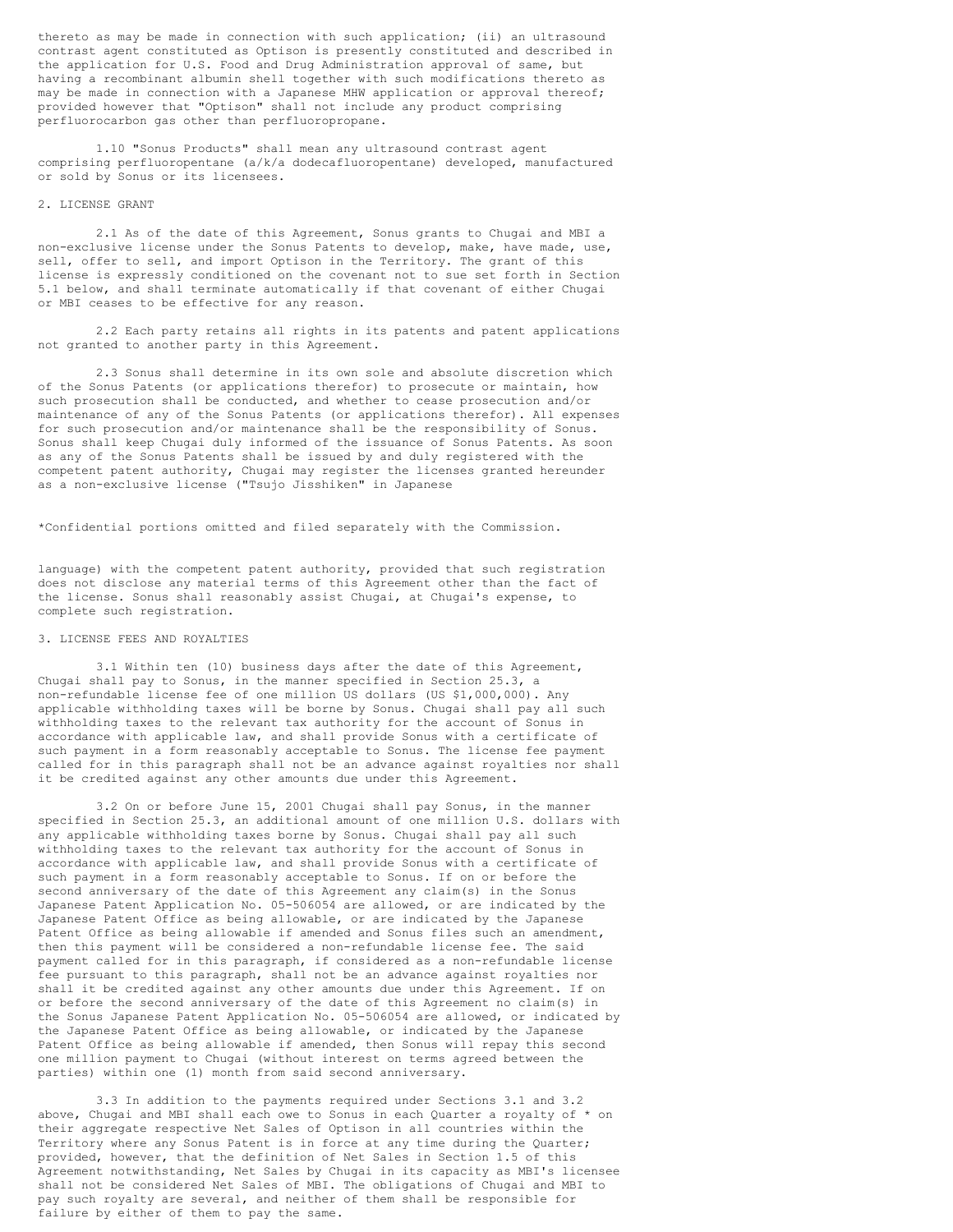thereto as may be made in connection with such application; (ii) an ultrasound contrast agent constituted as Optison is presently constituted and described in the application for U.S. Food and Drug Administration approval of same, but having a recombinant albumin shell together with such modifications thereto as may be made in connection with a Japanese MHW application or approval thereof; provided however that "Optison" shall not include any product comprising perfluorocarbon gas other than perfluoropropane.

1.10 "Sonus Products" shall mean any ultrasound contrast agent comprising perfluoropentane (a/k/a dodecafluoropentane) developed, manufactured or sold by Sonus or its licensees.

# 2. LICENSE GRANT

2.1 As of the date of this Agreement, Sonus grants to Chugai and MBI a non-exclusive license under the Sonus Patents to develop, make, have made, use, sell, offer to sell, and import Optison in the Territory. The grant of this license is expressly conditioned on the covenant not to sue set forth in Section 5.1 below, and shall terminate automatically if that covenant of either Chugai or MBI ceases to be effective for any reason.

2.2 Each party retains all rights in its patents and patent applications not granted to another party in this Agreement.

2.3 Sonus shall determine in its own sole and absolute discretion which of the Sonus Patents (or applications therefor) to prosecute or maintain, how such prosecution shall be conducted, and whether to cease prosecution and/or maintenance of any of the Sonus Patents (or applications therefor). All expenses for such prosecution and/or maintenance shall be the responsibility of Sonus. Sonus shall keep Chugai duly informed of the issuance of Sonus Patents. As soon as any of the Sonus Patents shall be issued by and duly registered with the competent patent authority, Chugai may register the licenses granted hereunder as a non-exclusive license ("Tsujo Jisshiken" in Japanese

\*Confidential portions omitted and filed separately with the Commission.

language) with the competent patent authority, provided that such registration does not disclose any material terms of this Agreement other than the fact of the license. Sonus shall reasonably assist Chugai, at Chugai's expense, to complete such registration.

# 3. LICENSE FEES AND ROYALTIES

3.1 Within ten (10) business days after the date of this Agreement, Chugai shall pay to Sonus, in the manner specified in Section 25.3, a non-refundable license fee of one million US dollars (US \$1,000,000). Any applicable withholding taxes will be borne by Sonus. Chugai shall pay all such withholding taxes to the relevant tax authority for the account of Sonus in accordance with applicable law, and shall provide Sonus with a certificate of such payment in a form reasonably acceptable to Sonus. The license fee payment called for in this paragraph shall not be an advance against royalties nor shall it be credited against any other amounts due under this Agreement.

3.2 On or before June 15, 2001 Chugai shall pay Sonus, in the manner specified in Section 25.3, an additional amount of one million U.S. dollars with any applicable withholding taxes borne by Sonus. Chugai shall pay all such withholding taxes to the relevant tax authority for the account of Sonus in accordance with applicable law, and shall provide Sonus with a certificate of such payment in a form reasonably acceptable to Sonus. If on or before the second anniversary of the date of this Agreement any claim(s) in the Sonus Japanese Patent Application No. 05-506054 are allowed, or are indicated by the Japanese Patent Office as being allowable, or are indicated by the Japanese Patent Office as being allowable if amended and Sonus files such an amendment, then this payment will be considered a non-refundable license fee. The said payment called for in this paragraph, if considered as a non-refundable license fee pursuant to this paragraph, shall not be an advance against royalties nor shall it be credited against any other amounts due under this Agreement. If on or before the second anniversary of the date of this Agreement no claim(s) in the Sonus Japanese Patent Application No. 05-506054 are allowed, or indicated by the Japanese Patent Office as being allowable, or indicated by the Japanese Patent Office as being allowable if amended, then Sonus will repay this second one million payment to Chugai (without interest on terms agreed between the parties) within one (1) month from said second anniversary.

3.3 In addition to the payments required under Sections 3.1 and 3.2 above, Chugai and MBI shall each owe to Sonus in each Quarter a royalty of \* on their aggregate respective Net Sales of Optison in all countries within the Territory where any Sonus Patent is in force at any time during the Quarter; provided, however, that the definition of Net Sales in Section 1.5 of this Agreement notwithstanding, Net Sales by Chugai in its capacity as MBI's licensee shall not be considered Net Sales of MBI. The obligations of Chugai and MBI to pay such royalty are several, and neither of them shall be responsible for failure by either of them to pay the same.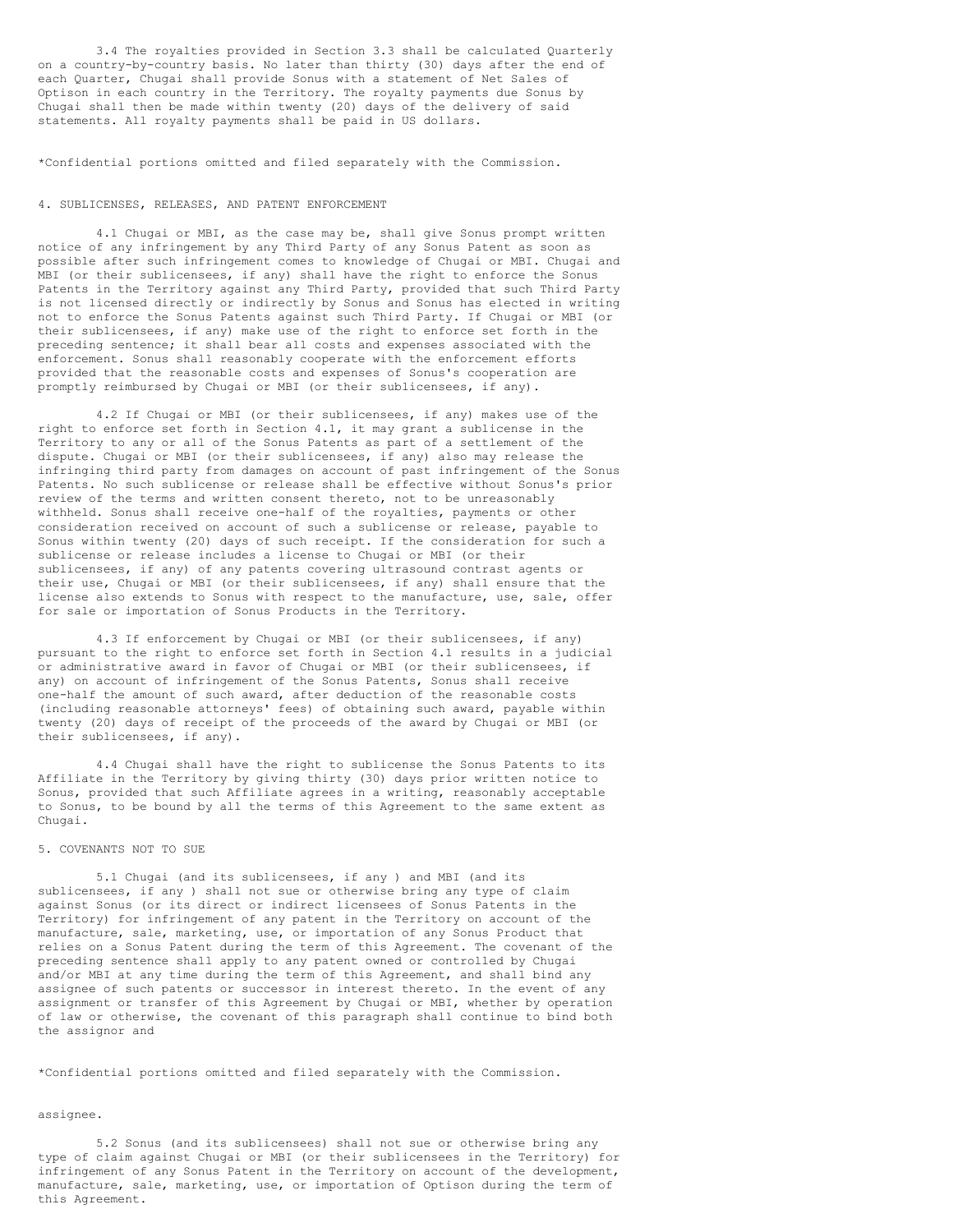3.4 The royalties provided in Section 3.3 shall be calculated Quarterly on a country-by-country basis. No later than thirty (30) days after the end of each Quarter, Chugai shall provide Sonus with a statement of Net Sales of Optison in each country in the Territory. The royalty payments due Sonus by Chugai shall then be made within twenty (20) days of the delivery of said statements. All royalty payments shall be paid in US dollars.

\*Confidential portions omitted and filed separately with the Commission.

## 4. SUBLICENSES, RELEASES, AND PATENT ENFORCEMENT

4.1 Chugai or MBI, as the case may be, shall give Sonus prompt written notice of any infringement by any Third Party of any Sonus Patent as soon as possible after such infringement comes to knowledge of Chugai or MBI. Chugai and MBI (or their sublicensees, if any) shall have the right to enforce the Sonus Patents in the Territory against any Third Party, provided that such Third Party is not licensed directly or indirectly by Sonus and Sonus has elected in writing not to enforce the Sonus Patents against such Third Party. If Chugai or MBI (or their sublicensees, if any) make use of the right to enforce set forth in the preceding sentence; it shall bear all costs and expenses associated with the enforcement. Sonus shall reasonably cooperate with the enforcement efforts provided that the reasonable costs and expenses of Sonus's cooperation are promptly reimbursed by Chugai or MBI (or their sublicensees, if any).

4.2 If Chugai or MBI (or their sublicensees, if any) makes use of the right to enforce set forth in Section 4.1, it may grant a sublicense in the Territory to any or all of the Sonus Patents as part of a settlement of the dispute. Chugai or MBI (or their sublicensees, if any) also may release the infringing third party from damages on account of past infringement of the Sonus Patents. No such sublicense or release shall be effective without Sonus's prior review of the terms and written consent thereto, not to be unreasonably withheld. Sonus shall receive one-half of the royalties, payments or other consideration received on account of such a sublicense or release, payable to Sonus within twenty (20) days of such receipt. If the consideration for such a sublicense or release includes a license to Chugai or MBI (or their sublicensees, if any) of any patents covering ultrasound contrast agents or their use, Chugai or MBI (or their sublicensees, if any) shall ensure that the license also extends to Sonus with respect to the manufacture, use, sale, offer for sale or importation of Sonus Products in the Territory.

4.3 If enforcement by Chugai or MBI (or their sublicensees, if any) pursuant to the right to enforce set forth in Section 4.1 results in a judicial or administrative award in favor of Chugai or MBI (or their sublicensees, if any) on account of infringement of the Sonus Patents, Sonus shall receive one-half the amount of such award, after deduction of the reasonable costs (including reasonable attorneys' fees) of obtaining such award, payable within twenty (20) days of receipt of the proceeds of the award by Chugai or MBI (or their sublicensees, if any).

4.4 Chugai shall have the right to sublicense the Sonus Patents to its Affiliate in the Territory by giving thirty (30) days prior written notice to Sonus, provided that such Affiliate agrees in a writing, reasonably acceptable to Sonus, to be bound by all the terms of this Agreement to the same extent as Chugai.

# 5. COVENANTS NOT TO SUE

5.1 Chugai (and its sublicensees, if any ) and MBI (and its sublicensees, if any ) shall not sue or otherwise bring any type of claim against Sonus (or its direct or indirect licensees of Sonus Patents in the Territory) for infringement of any patent in the Territory on account of the manufacture, sale, marketing, use, or importation of any Sonus Product that relies on a Sonus Patent during the term of this Agreement. The covenant of the preceding sentence shall apply to any patent owned or controlled by Chugai and/or MBI at any time during the term of this Agreement, and shall bind any assignee of such patents or successor in interest thereto. In the event of any assignment or transfer of this Agreement by Chugai or MBI, whether by operation of law or otherwise, the covenant of this paragraph shall continue to bind both the assignor and

\*Confidential portions omitted and filed separately with the Commission.

#### assignee.

5.2 Sonus (and its sublicensees) shall not sue or otherwise bring any type of claim against Chugai or MBI (or their sublicensees in the Territory) for infringement of any Sonus Patent in the Territory on account of the development, manufacture, sale, marketing, use, or importation of Optison during the term of this Agreement.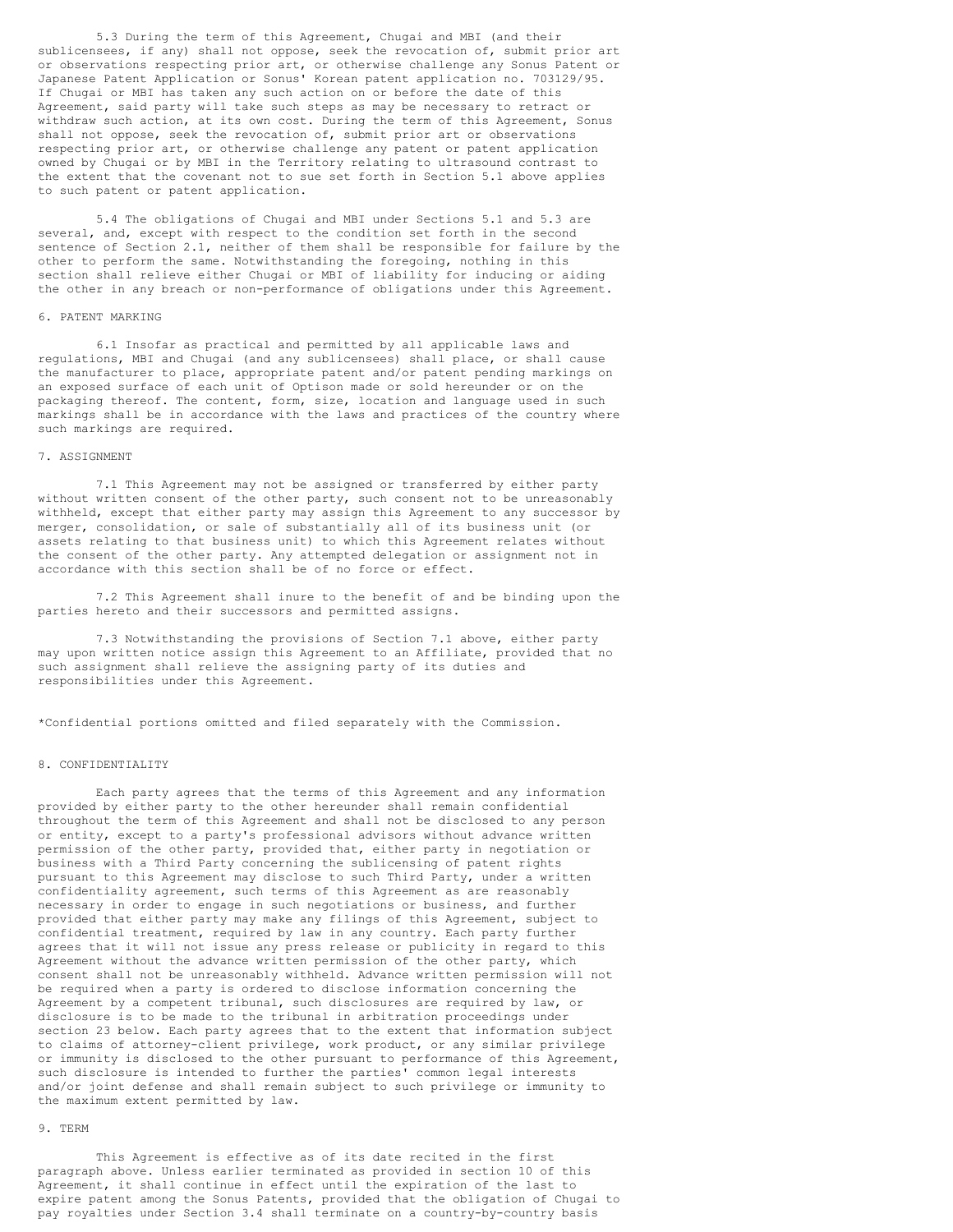5.3 During the term of this Agreement, Chugai and MBI (and their sublicensees, if any) shall not oppose, seek the revocation of, submit prior art or observations respecting prior art, or otherwise challenge any Sonus Patent or Japanese Patent Application or Sonus' Korean patent application no. 703129/95. If Chugai or MBI has taken any such action on or before the date of this Agreement, said party will take such steps as may be necessary to retract or withdraw such action, at its own cost. During the term of this Agreement, Sonus shall not oppose, seek the revocation of, submit prior art or observations respecting prior art, or otherwise challenge any patent or patent application owned by Chugai or by MBI in the Territory relating to ultrasound contrast to the extent that the covenant not to sue set forth in Section 5.1 above applies to such patent or patent application.

5.4 The obligations of Chugai and MBI under Sections 5.1 and 5.3 are several, and, except with respect to the condition set forth in the second sentence of Section 2.1, neither of them shall be responsible for failure by the other to perform the same. Notwithstanding the foregoing, nothing in this section shall relieve either Chugai or MBI of liability for inducing or aiding the other in any breach or non-performance of obligations under this Agreement.

## 6. PATENT MARKING

6.1 Insofar as practical and permitted by all applicable laws and regulations, MBI and Chugai (and any sublicensees) shall place, or shall cause the manufacturer to place, appropriate patent and/or patent pending markings on an exposed surface of each unit of Optison made or sold hereunder or on the packaging thereof. The content, form, size, location and language used in such markings shall be in accordance with the laws and practices of the country where such markings are required.

### 7. ASSIGNMENT

7.1 This Agreement may not be assigned or transferred by either party without written consent of the other party, such consent not to be unreasonably withheld, except that either party may assign this Agreement to any successor by merger, consolidation, or sale of substantially all of its business unit (or assets relating to that business unit) to which this Agreement relates without the consent of the other party. Any attempted delegation or assignment not in accordance with this section shall be of no force or effect.

7.2 This Agreement shall inure to the benefit of and be binding upon the parties hereto and their successors and permitted assigns.

7.3 Notwithstanding the provisions of Section 7.1 above, either party may upon written notice assign this Agreement to an Affiliate, provided that no such assignment shall relieve the assigning party of its duties and responsibilities under this Agreement.

\*Confidential portions omitted and filed separately with the Commission.

# 8. CONFIDENTIALITY

Each party agrees that the terms of this Agreement and any information provided by either party to the other hereunder shall remain confidential throughout the term of this Agreement and shall not be disclosed to any person or entity, except to a party's professional advisors without advance written permission of the other party, provided that, either party in negotiation or business with a Third Party concerning the sublicensing of patent rights pursuant to this Agreement may disclose to such Third Party, under a written confidentiality agreement, such terms of this Agreement as are reasonably necessary in order to engage in such negotiations or business, and further provided that either party may make any filings of this Agreement, subject to confidential treatment, required by law in any country. Each party further agrees that it will not issue any press release or publicity in regard to this Agreement without the advance written permission of the other party, which consent shall not be unreasonably withheld. Advance written permission will not be required when a party is ordered to disclose information concerning the Agreement by a competent tribunal, such disclosures are required by law, or disclosure is to be made to the tribunal in arbitration proceedings under section 23 below. Each party agrees that to the extent that information subject to claims of attorney-client privilege, work product, or any similar privilege or immunity is disclosed to the other pursuant to performance of this Agreement, such disclosure is intended to further the parties' common legal interests and/or joint defense and shall remain subject to such privilege or immunity to the maximum extent permitted by law.

# 9. TERM

This Agreement is effective as of its date recited in the first paragraph above. Unless earlier terminated as provided in section 10 of this Agreement, it shall continue in effect until the expiration of the last to expire patent among the Sonus Patents, provided that the obligation of Chugai to pay royalties under Section 3.4 shall terminate on a country-by-country basis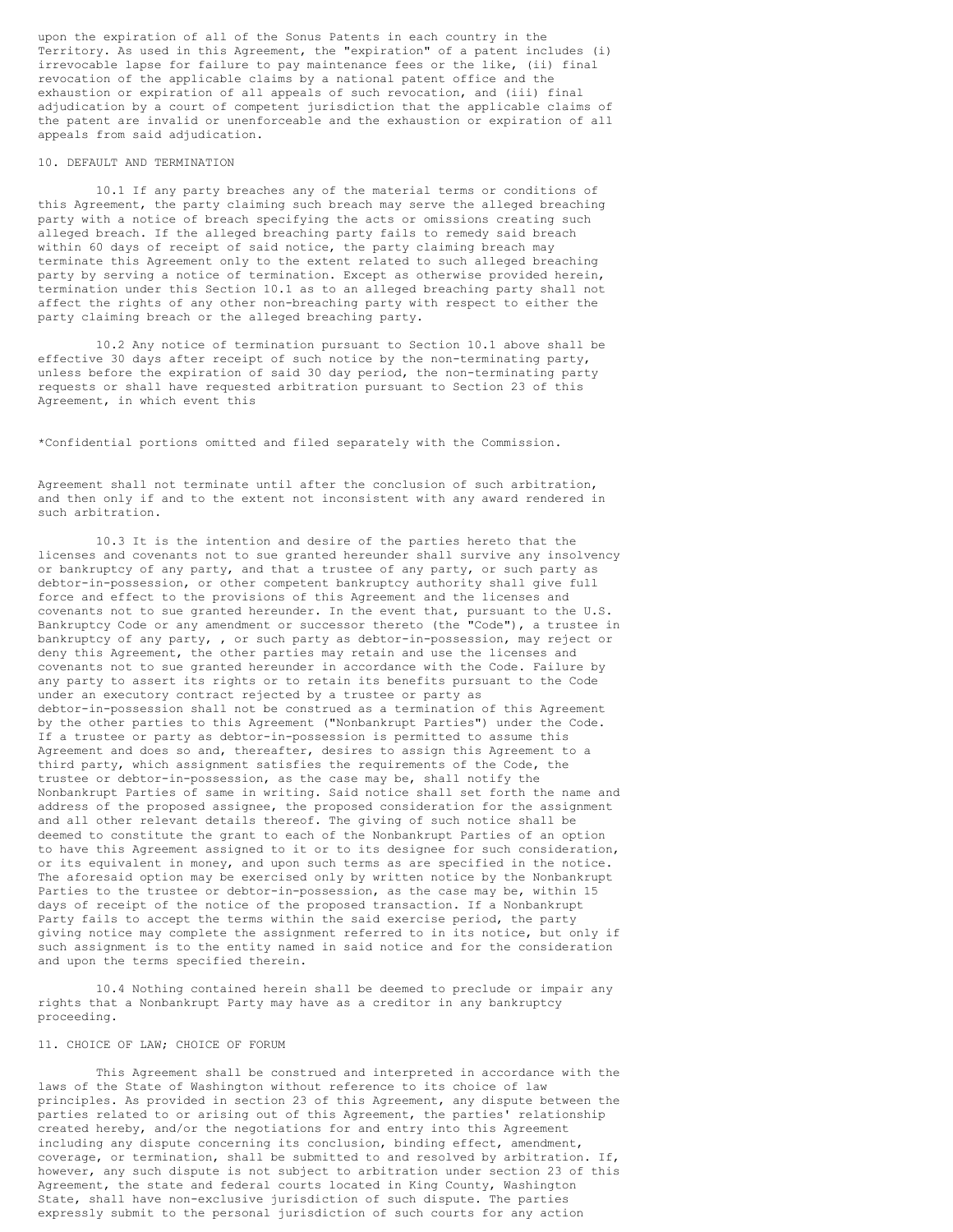upon the expiration of all of the Sonus Patents in each country in the Territory. As used in this Agreement, the "expiration" of a patent includes (i) irrevocable lapse for failure to pay maintenance fees or the like, (ii) final revocation of the applicable claims by a national patent office and the exhaustion or expiration of all appeals of such revocation, and (iii) final adjudication by a court of competent jurisdiction that the applicable claims of the patent are invalid or unenforceable and the exhaustion or expiration of all appeals from said adjudication.

### 10. DEFAULT AND TERMINATION

10.1 If any party breaches any of the material terms or conditions of this Agreement, the party claiming such breach may serve the alleged breaching party with a notice of breach specifying the acts or omissions creating such alleged breach. If the alleged breaching party fails to remedy said breach within 60 days of receipt of said notice, the party claiming breach may terminate this Agreement only to the extent related to such alleged breaching party by serving a notice of termination. Except as otherwise provided herein, termination under this Section 10.1 as to an alleged breaching party shall not affect the rights of any other non-breaching party with respect to either the party claiming breach or the alleged breaching party.

10.2 Any notice of termination pursuant to Section 10.1 above shall be effective 30 days after receipt of such notice by the non-terminating party, unless before the expiration of said 30 day period, the non-terminating party requests or shall have requested arbitration pursuant to Section 23 of this Agreement, in which event this

\*Confidential portions omitted and filed separately with the Commission.

Agreement shall not terminate until after the conclusion of such arbitration, and then only if and to the extent not inconsistent with any award rendered in such arbitration.

10.3 It is the intention and desire of the parties hereto that the licenses and covenants not to sue granted hereunder shall survive any insolvency or bankruptcy of any party, and that a trustee of any party, or such party as debtor-in-possession, or other competent bankruptcy authority shall give full force and effect to the provisions of this Agreement and the licenses and covenants not to sue granted hereunder. In the event that, pursuant to the U.S. Bankruptcy Code or any amendment or successor thereto (the "Code"), a trustee in bankruptcy of any party, , or such party as debtor-in-possession, may reject or deny this Agreement, the other parties may retain and use the licenses and covenants not to sue granted hereunder in accordance with the Code. Failure by any party to assert its rights or to retain its benefits pursuant to the Code under an executory contract rejected by a trustee or party as debtor-in-possession shall not be construed as a termination of this Agreement by the other parties to this Agreement ("Nonbankrupt Parties") under the Code. If a trustee or party as debtor-in-possession is permitted to assume this Agreement and does so and, thereafter, desires to assign this Agreement to a third party, which assignment satisfies the requirements of the Code, the trustee or debtor-in-possession, as the case may be, shall notify the Nonbankrupt Parties of same in writing. Said notice shall set forth the name and address of the proposed assignee, the proposed consideration for the assignment and all other relevant details thereof. The giving of such notice shall be deemed to constitute the grant to each of the Nonbankrupt Parties of an option to have this Agreement assigned to it or to its designee for such consideration, or its equivalent in money, and upon such terms as are specified in the notice. The aforesaid option may be exercised only by written notice by the Nonbankrupt Parties to the trustee or debtor-in-possession, as the case may be, within 15 days of receipt of the notice of the proposed transaction. If a Nonbankrupt Party fails to accept the terms within the said exercise period, the party giving notice may complete the assignment referred to in its notice, but only if such assignment is to the entity named in said notice and for the consideration and upon the terms specified therein.

10.4 Nothing contained herein shall be deemed to preclude or impair any rights that a Nonbankrupt Party may have as a creditor in any bankruptcy proceeding.

# 11. CHOICE OF LAW; CHOICE OF FORUM

This Agreement shall be construed and interpreted in accordance with the laws of the State of Washington without reference to its choice of law principles. As provided in section 23 of this Agreement, any dispute between the parties related to or arising out of this Agreement, the parties' relationship created hereby, and/or the negotiations for and entry into this Agreement including any dispute concerning its conclusion, binding effect, amendment, coverage, or termination, shall be submitted to and resolved by arbitration. If, however, any such dispute is not subject to arbitration under section 23 of this Agreement, the state and federal courts located in King County, Washington State, shall have non-exclusive jurisdiction of such dispute. The parties expressly submit to the personal jurisdiction of such courts for any action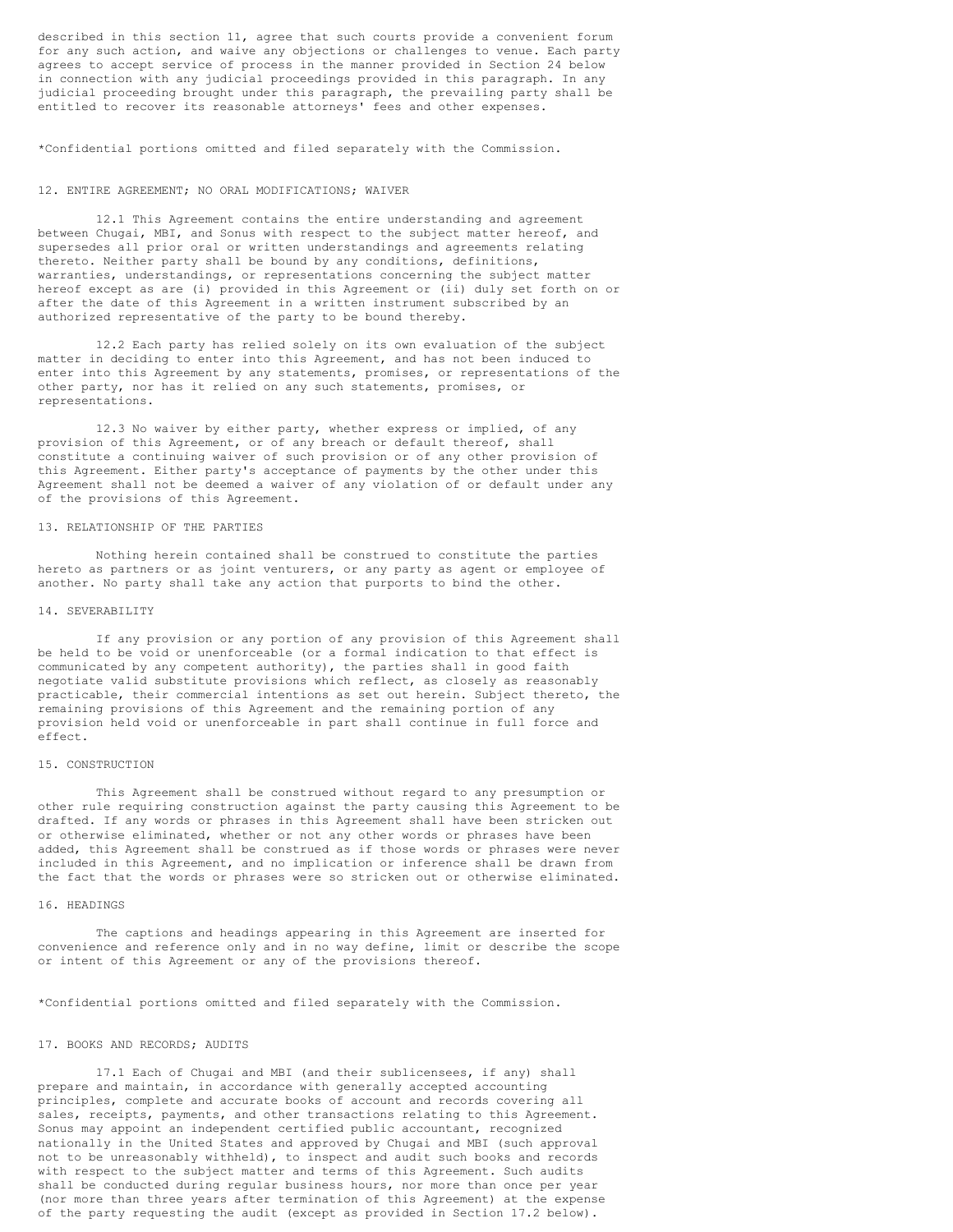described in this section 11, agree that such courts provide a convenient forum for any such action, and waive any objections or challenges to venue. Each party agrees to accept service of process in the manner provided in Section 24 below in connection with any judicial proceedings provided in this paragraph. In any judicial proceeding brought under this paragraph, the prevailing party shall be entitled to recover its reasonable attorneys' fees and other expenses.

\*Confidential portions omitted and filed separately with the Commission.

### 12. ENTIRE AGREEMENT; NO ORAL MODIFICATIONS; WAIVER

12.1 This Agreement contains the entire understanding and agreement between Chugai, MBI, and Sonus with respect to the subject matter hereof, and supersedes all prior oral or written understandings and agreements relating thereto. Neither party shall be bound by any conditions, definitions, warranties, understandings, or representations concerning the subject matter hereof except as are (i) provided in this Agreement or (ii) duly set forth on or after the date of this Agreement in a written instrument subscribed by an authorized representative of the party to be bound thereby.

12.2 Each party has relied solely on its own evaluation of the subject matter in deciding to enter into this Agreement, and has not been induced to enter into this Agreement by any statements, promises, or representations of the other party, nor has it relied on any such statements, promises, or representations.

12.3 No waiver by either party, whether express or implied, of any provision of this Agreement, or of any breach or default thereof, shall constitute a continuing waiver of such provision or of any other provision of this Agreement. Either party's acceptance of payments by the other under this Agreement shall not be deemed a waiver of any violation of or default under any of the provisions of this Agreement.

## 13. RELATIONSHIP OF THE PARTIES

Nothing herein contained shall be construed to constitute the parties hereto as partners or as joint venturers, or any party as agent or employee of another. No party shall take any action that purports to bind the other.

#### 14. SEVERABILITY

If any provision or any portion of any provision of this Agreement shall be held to be void or unenforceable (or a formal indication to that effect is communicated by any competent authority), the parties shall in good faith negotiate valid substitute provisions which reflect, as closely as reasonably practicable, their commercial intentions as set out herein. Subject thereto, the remaining provisions of this Agreement and the remaining portion of any provision held void or unenforceable in part shall continue in full force and effect.

## 15. CONSTRUCTION

This Agreement shall be construed without regard to any presumption or other rule requiring construction against the party causing this Agreement to be drafted. If any words or phrases in this Agreement shall have been stricken out or otherwise eliminated, whether or not any other words or phrases have been added, this Agreement shall be construed as if those words or phrases were never included in this Agreement, and no implication or inference shall be drawn from the fact that the words or phrases were so stricken out or otherwise eliminated.

# 16. HEADINGS

The captions and headings appearing in this Agreement are inserted for convenience and reference only and in no way define, limit or describe the scope or intent of this Agreement or any of the provisions thereof.

\*Confidential portions omitted and filed separately with the Commission.

## 17. BOOKS AND RECORDS; AUDITS

17.1 Each of Chugai and MBI (and their sublicensees, if any) shall prepare and maintain, in accordance with generally accepted accounting principles, complete and accurate books of account and records covering all sales, receipts, payments, and other transactions relating to this Agreement. Sonus may appoint an independent certified public accountant, recognized nationally in the United States and approved by Chugai and MBI (such approval not to be unreasonably withheld), to inspect and audit such books and records with respect to the subject matter and terms of this Agreement. Such audits shall be conducted during regular business hours, nor more than once per year (nor more than three years after termination of this Agreement) at the expense of the party requesting the audit (except as provided in Section 17.2 below).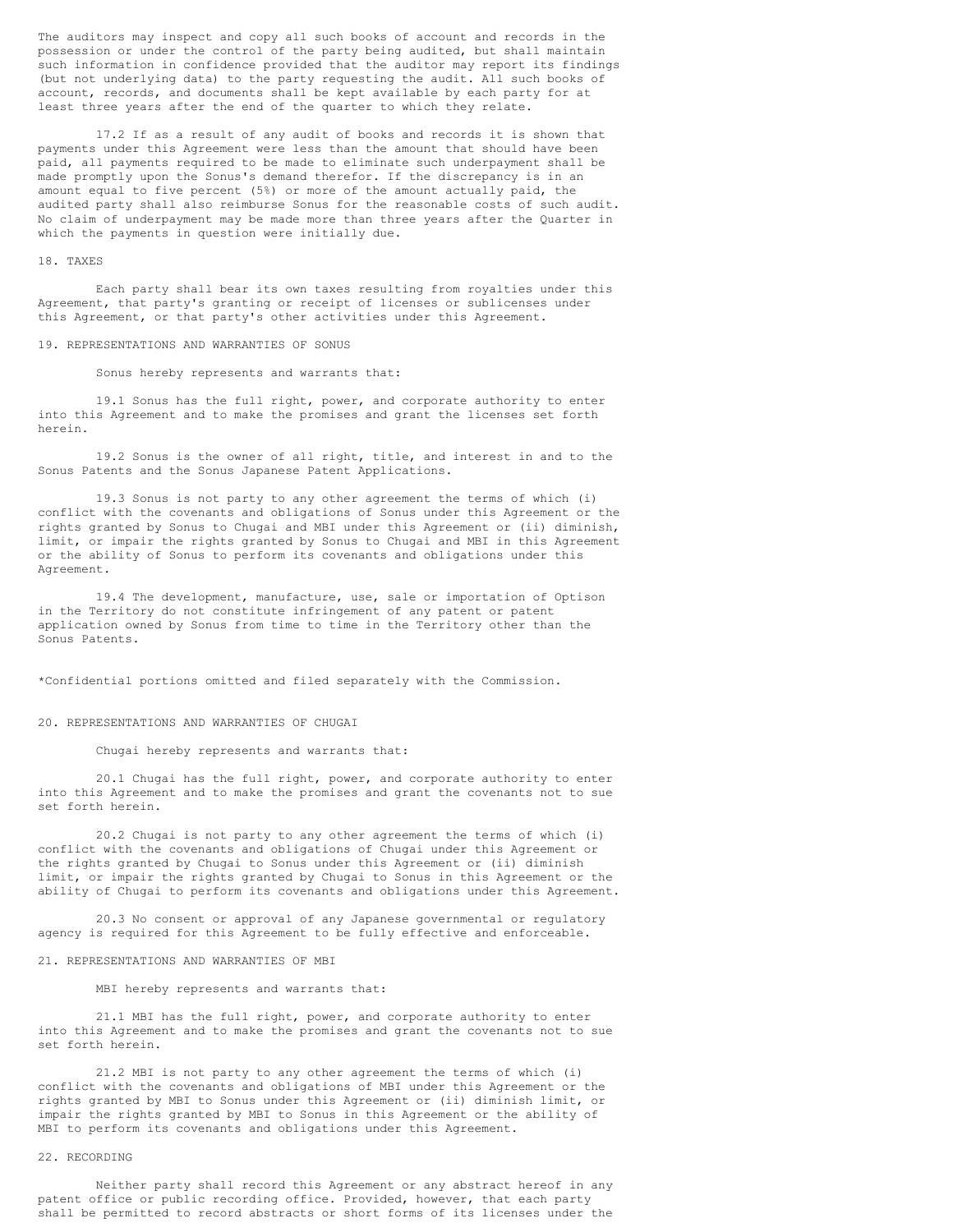The auditors may inspect and copy all such books of account and records in the possession or under the control of the party being audited, but shall maintain such information in confidence provided that the auditor may report its findings (but not underlying data) to the party requesting the audit. All such books of account, records, and documents shall be kept available by each party for at least three years after the end of the quarter to which they relate.

17.2 If as a result of any audit of books and records it is shown that payments under this Agreement were less than the amount that should have been paid, all payments required to be made to eliminate such underpayment shall be made promptly upon the Sonus's demand therefor. If the discrepancy is in an amount equal to five percent (5%) or more of the amount actually paid, the audited party shall also reimburse Sonus for the reasonable costs of such audit. No claim of underpayment may be made more than three years after the Quarter in which the payments in question were initially due.

### 18. TAXES

Each party shall bear its own taxes resulting from royalties under this Agreement, that party's granting or receipt of licenses or sublicenses under this Agreement, or that party's other activities under this Agreement.

## 19. REPRESENTATIONS AND WARRANTIES OF SONUS

### Sonus hereby represents and warrants that:

19.1 Sonus has the full right, power, and corporate authority to enter into this Agreement and to make the promises and grant the licenses set forth herein.

19.2 Sonus is the owner of all right, title, and interest in and to the Sonus Patents and the Sonus Japanese Patent Applications.

19.3 Sonus is not party to any other agreement the terms of which (i) conflict with the covenants and obligations of Sonus under this Agreement or the rights granted by Sonus to Chugai and MBI under this Agreement or (ii) diminish, limit, or impair the rights granted by Sonus to Chugai and MBI in this Agreement or the ability of Sonus to perform its covenants and obligations under this Agreement.

19.4 The development, manufacture, use, sale or importation of Optison in the Territory do not constitute infringement of any patent or patent application owned by Sonus from time to time in the Territory other than the Sonus Patents.

\*Confidential portions omitted and filed separately with the Commission.

## 20. REPRESENTATIONS AND WARRANTIES OF CHUGAI

# Chugai hereby represents and warrants that:

20.1 Chugai has the full right, power, and corporate authority to enter into this Agreement and to make the promises and grant the covenants not to sue set forth herein.

20.2 Chugai is not party to any other agreement the terms of which (i) conflict with the covenants and obligations of Chugai under this Agreement or the rights granted by Chugai to Sonus under this Agreement or (ii) diminish limit, or impair the rights granted by Chugai to Sonus in this Agreement or the ability of Chugai to perform its covenants and obligations under this Agreement.

20.3 No consent or approval of any Japanese governmental or regulatory agency is required for this Agreement to be fully effective and enforceable.

## 21. REPRESENTATIONS AND WARRANTIES OF MBI

### MBI hereby represents and warrants that:

21.1 MBI has the full right, power, and corporate authority to enter into this Agreement and to make the promises and grant the covenants not to sue set forth herein.

21.2 MBI is not party to any other agreement the terms of which (i) conflict with the covenants and obligations of MBI under this Agreement or the rights granted by MBI to Sonus under this Agreement or (ii) diminish limit, or impair the rights granted by MBI to Sonus in this Agreement or the ability of MBI to perform its covenants and obligations under this Agreement.

# 22. RECORDING

Neither party shall record this Agreement or any abstract hereof in any patent office or public recording office. Provided, however, that each party shall be permitted to record abstracts or short forms of its licenses under the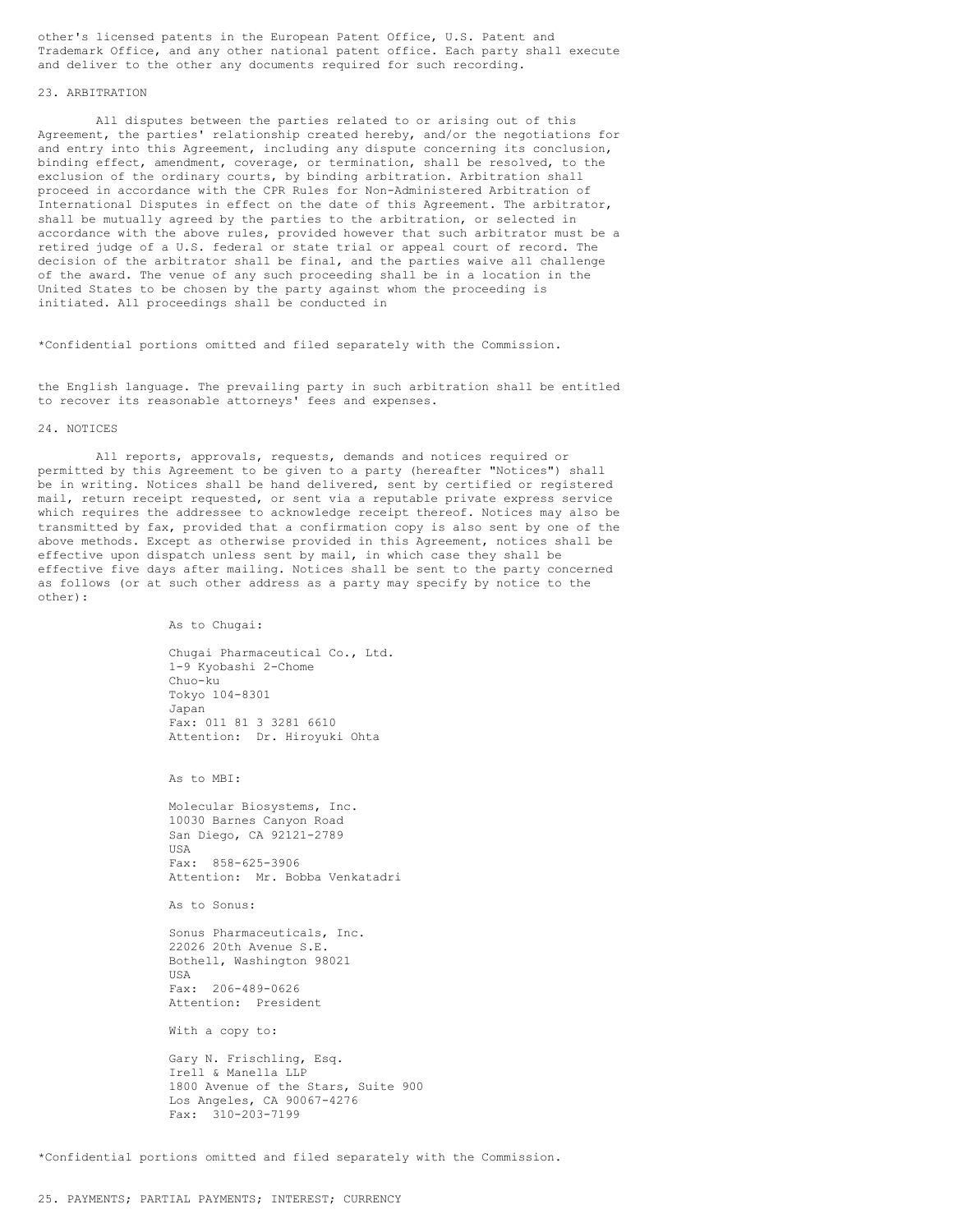other's licensed patents in the European Patent Office, U.S. Patent and Trademark Office, and any other national patent office. Each party shall execute and deliver to the other any documents required for such recording.

### 23. ARBITRATION

All disputes between the parties related to or arising out of this Agreement, the parties' relationship created hereby, and/or the negotiations for and entry into this Agreement, including any dispute concerning its conclusion, binding effect, amendment, coverage, or termination, shall be resolved, to the exclusion of the ordinary courts, by binding arbitration. Arbitration shall proceed in accordance with the CPR Rules for Non-Administered Arbitration of International Disputes in effect on the date of this Agreement. The arbitrator, shall be mutually agreed by the parties to the arbitration, or selected in accordance with the above rules, provided however that such arbitrator must be a retired judge of a U.S. federal or state trial or appeal court of record. The decision of the arbitrator shall be final, and the parties waive all challenge of the award. The venue of any such proceeding shall be in a location in the United States to be chosen by the party against whom the proceeding is initiated. All proceedings shall be conducted in

\*Confidential portions omitted and filed separately with the Commission.

the English language. The prevailing party in such arbitration shall be entitled to recover its reasonable attorneys' fees and expenses.

### 24. NOTICES

All reports, approvals, requests, demands and notices required or permitted by this Agreement to be given to a party (hereafter "Notices") shall be in writing. Notices shall be hand delivered, sent by certified or registered mail, return receipt requested, or sent via a reputable private express service which requires the addressee to acknowledge receipt thereof. Notices may also be transmitted by fax, provided that a confirmation copy is also sent by one of the above methods. Except as otherwise provided in this Agreement, notices shall be effective upon dispatch unless sent by mail, in which case they shall be effective five days after mailing. Notices shall be sent to the party concerned as follows (or at such other address as a party may specify by notice to the other):

As to Chugai:

Chugai Pharmaceutical Co., Ltd. 1-9 Kyobashi 2-Chome Chuo-ku Tokyo 104-8301 Japan Fax: 011 81 3 3281 6610 Attention: Dr. Hiroyuki Ohta

As to MBI:

Molecular Biosystems, Inc. 10030 Barnes Canyon Road San Diego, CA 92121-2789 USA Fax: 858-625-3906 Attention: Mr. Bobba Venkatadri

As to Sonus:

Sonus Pharmaceuticals, Inc. 22026 20th Avenue S.E. Bothell, Washington 98021 USA Fax: 206-489-0626 Attention: President

With a copy to:

Gary N. Frischling, Esq. Irell & Manella LLP 1800 Avenue of the Stars, Suite 900 Los Angeles, CA 90067-4276 Fax: 310-203-7199

\*Confidential portions omitted and filed separately with the Commission.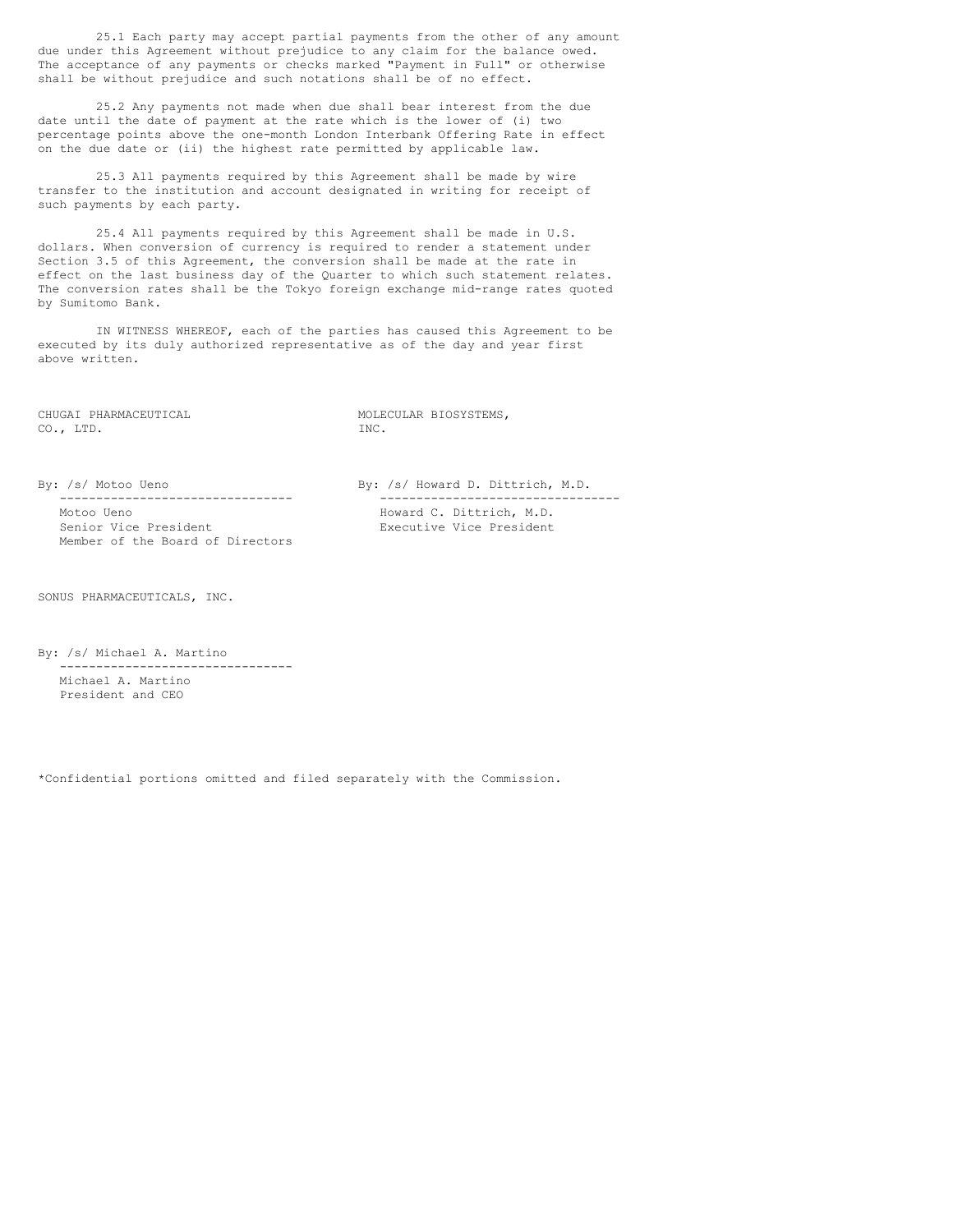25.1 Each party may accept partial payments from the other of any amount due under this Agreement without prejudice to any claim for the balance owed. The acceptance of any payments or checks marked "Payment in Full" or otherwise shall be without prejudice and such notations shall be of no effect.

25.2 Any payments not made when due shall bear interest from the due date until the date of payment at the rate which is the lower of (i) two percentage points above the one-month London Interbank Offering Rate in effect on the due date or (ii) the highest rate permitted by applicable law.

25.3 All payments required by this Agreement shall be made by wire transfer to the institution and account designated in writing for receipt of such payments by each party.

25.4 All payments required by this Agreement shall be made in U.S. dollars. When conversion of currency is required to render a statement under Section 3.5 of this Agreement, the conversion shall be made at the rate in effect on the last business day of the Quarter to which such statement relates. The conversion rates shall be the Tokyo foreign exchange mid-range rates quoted by Sumitomo Bank.

IN WITNESS WHEREOF, each of the parties has caused this Agreement to be executed by its duly authorized representative as of the day and year first above written.

CO., LTD. INC.

CHUGAI PHARMACEUTICAL **MOLECULAR BIOSYSTEMS**,

Senior Vice President Executive Vice President Member of the Board of Directors

By: /s/ Motoo Ueno By: /s/ Howard D. Dittrich, M.D. -------------------------------- --------------------------------- Howard C. Dittrich, M.D.

SONUS PHARMACEUTICALS, INC.

By: /s/ Michael A. Martino -------------------------------- Michael A. Martino President and CEO

\*Confidential portions omitted and filed separately with the Commission.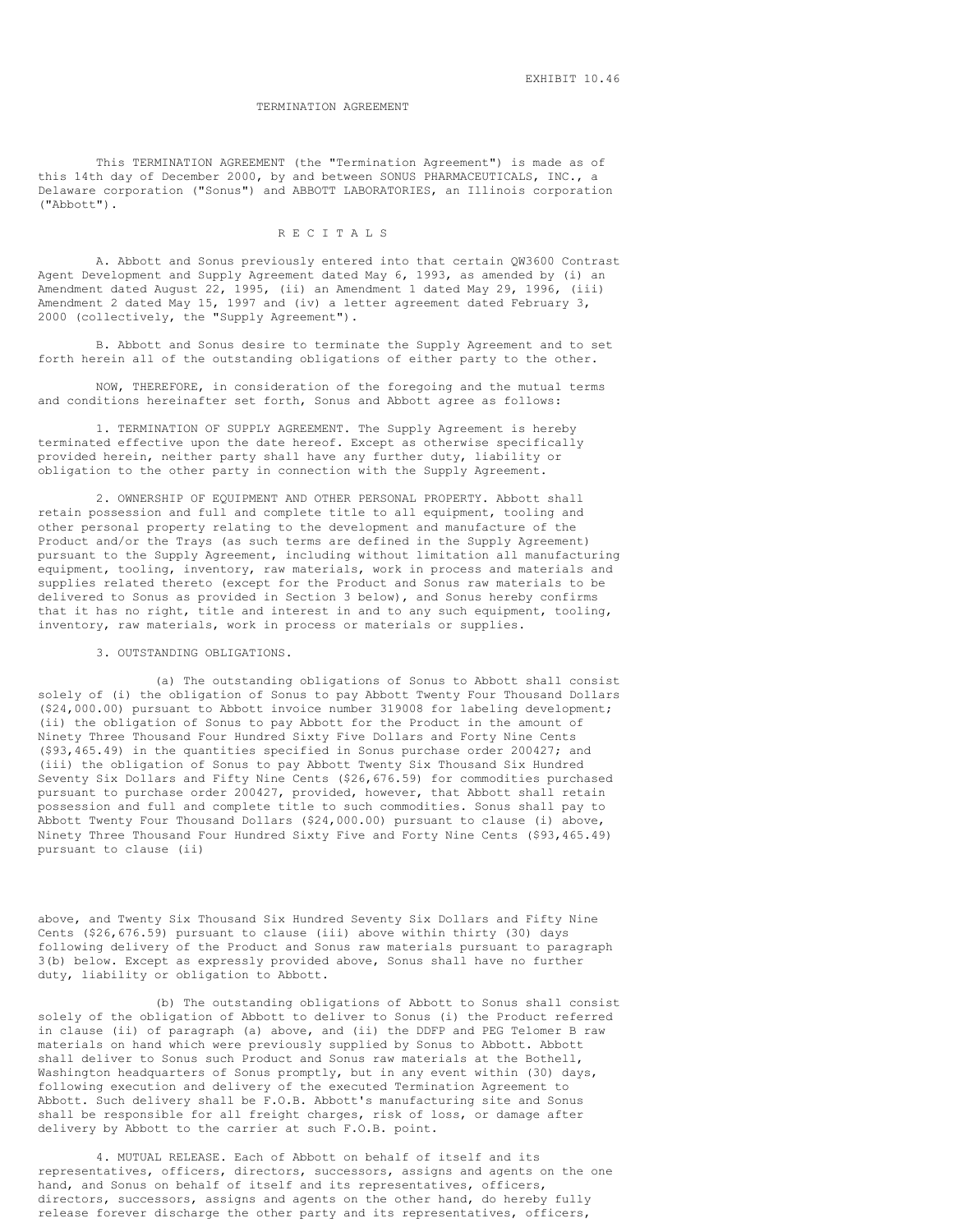### TERMINATION AGREEMENT

This TERMINATION AGREEMENT (the "Termination Agreement") is made as of this 14th day of December 2000, by and between SONUS PHARMACEUTICALS, INC., a Delaware corporation ("Sonus") and ABBOTT LABORATORIES, an Illinois corporation ("Abbott").

### R E C I T A L S

A. Abbott and Sonus previously entered into that certain QW3600 Contrast Agent Development and Supply Agreement dated May 6, 1993, as amended by (i) an Amendment dated August 22, 1995, (ii) an Amendment 1 dated May 29, 1996, (iii) Amendment 2 dated May 15, 1997 and (iv) a letter agreement dated February 3, 2000 (collectively, the "Supply Agreement").

B. Abbott and Sonus desire to terminate the Supply Agreement and to set forth herein all of the outstanding obligations of either party to the other.

NOW, THEREFORE, in consideration of the foregoing and the mutual terms and conditions hereinafter set forth, Sonus and Abbott agree as follows:

1. TERMINATION OF SUPPLY AGREEMENT. The Supply Agreement is hereby terminated effective upon the date hereof. Except as otherwise specifically provided herein, neither party shall have any further duty, liability or obligation to the other party in connection with the Supply Agreement.

2. OWNERSHIP OF EQUIPMENT AND OTHER PERSONAL PROPERTY. Abbott shall retain possession and full and complete title to all equipment, tooling and other personal property relating to the development and manufacture of the Product and/or the Trays (as such terms are defined in the Supply Agreement) pursuant to the Supply Agreement, including without limitation all manufacturing equipment, tooling, inventory, raw materials, work in process and materials and supplies related thereto (except for the Product and Sonus raw materials to be delivered to Sonus as provided in Section 3 below), and Sonus hereby confirms that it has no right, title and interest in and to any such equipment, tooling, inventory, raw materials, work in process or materials or supplies.

3. OUTSTANDING OBLIGATIONS.

(a) The outstanding obligations of Sonus to Abbott shall consist solely of (i) the obligation of Sonus to pay Abbott Twenty Four Thousand Dollars (\$24,000.00) pursuant to Abbott invoice number 319008 for labeling development; (ii) the obligation of Sonus to pay Abbott for the Product in the amount of Ninety Three Thousand Four Hundred Sixty Five Dollars and Forty Nine Cents (\$93,465.49) in the quantities specified in Sonus purchase order 200427; and (iii) the obligation of Sonus to pay Abbott Twenty Six Thousand Six Hundred Seventy Six Dollars and Fifty Nine Cents (\$26,676.59) for commodities purchased pursuant to purchase order 200427, provided, however, that Abbott shall retain possession and full and complete title to such commodities. Sonus shall pay to Abbott Twenty Four Thousand Dollars (\$24,000.00) pursuant to clause (i) above, Ninety Three Thousand Four Hundred Sixty Five and Forty Nine Cents (\$93,465.49) pursuant to clause (ii)

above, and Twenty Six Thousand Six Hundred Seventy Six Dollars and Fifty Nine Cents (\$26,676.59) pursuant to clause (iii) above within thirty (30) days following delivery of the Product and Sonus raw materials pursuant to paragraph 3(b) below. Except as expressly provided above, Sonus shall have no further duty, liability or obligation to Abbott.

(b) The outstanding obligations of Abbott to Sonus shall consist solely of the obligation of Abbott to deliver to Sonus (i) the Product referred in clause (ii) of paragraph (a) above, and (ii) the DDFP and PEG Telomer B raw materials on hand which were previously supplied by Sonus to Abbott. Abbott shall deliver to Sonus such Product and Sonus raw materials at the Bothell, Washington headquarters of Sonus promptly, but in any event within (30) days, following execution and delivery of the executed Termination Agreement to Abbott. Such delivery shall be F.O.B. Abbott's manufacturing site and Sonus shall be responsible for all freight charges, risk of loss, or damage after delivery by Abbott to the carrier at such F.O.B. point.

4. MUTUAL RELEASE. Each of Abbott on behalf of itself and its representatives, officers, directors, successors, assigns and agents on the one hand, and Sonus on behalf of itself and its representatives, officers, directors, successors, assigns and agents on the other hand, do hereby fully release forever discharge the other party and its representatives, officers,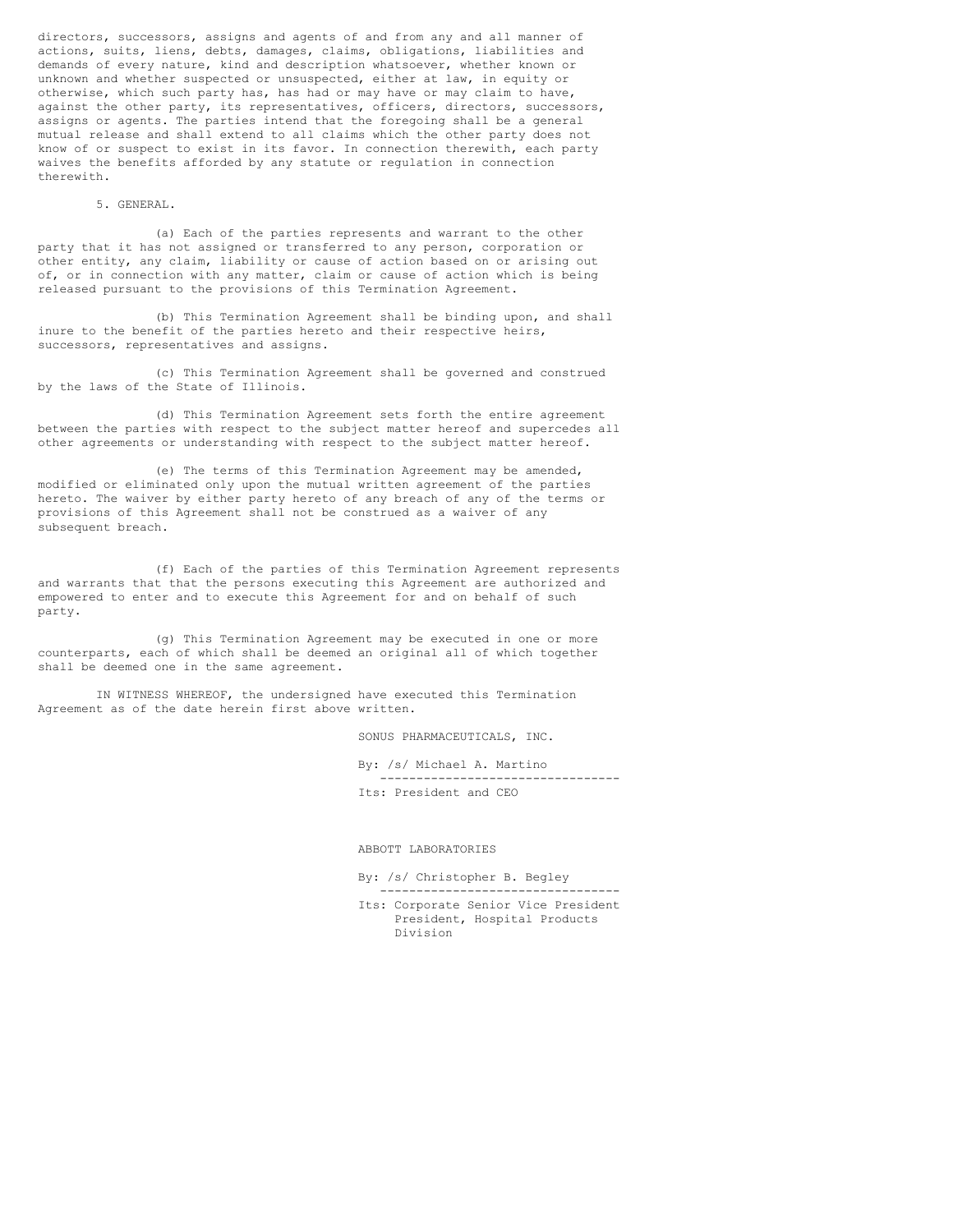directors, successors, assigns and agents of and from any and all manner of actions, suits, liens, debts, damages, claims, obligations, liabilities and demands of every nature, kind and description whatsoever, whether known or unknown and whether suspected or unsuspected, either at law, in equity or otherwise, which such party has, has had or may have or may claim to have, against the other party, its representatives, officers, directors, successors, assigns or agents. The parties intend that the foregoing shall be a general mutual release and shall extend to all claims which the other party does not know of or suspect to exist in its favor. In connection therewith, each party waives the benefits afforded by any statute or regulation in connection therewith.

# 5. GENERAL.

(a) Each of the parties represents and warrant to the other party that it has not assigned or transferred to any person, corporation or other entity, any claim, liability or cause of action based on or arising out of, or in connection with any matter, claim or cause of action which is being released pursuant to the provisions of this Termination Agreement.

(b) This Termination Agreement shall be binding upon, and shall inure to the benefit of the parties hereto and their respective heirs, successors, representatives and assigns.

(c) This Termination Agreement shall be governed and construed by the laws of the State of Illinois.

(d) This Termination Agreement sets forth the entire agreement between the parties with respect to the subject matter hereof and supercedes all other agreements or understanding with respect to the subject matter hereof.

(e) The terms of this Termination Agreement may be amended, modified or eliminated only upon the mutual written agreement of the parties hereto. The waiver by either party hereto of any breach of any of the terms or provisions of this Agreement shall not be construed as a waiver of any subsequent breach.

(f) Each of the parties of this Termination Agreement represents and warrants that that the persons executing this Agreement are authorized and empowered to enter and to execute this Agreement for and on behalf of such party.

(g) This Termination Agreement may be executed in one or more counterparts, each of which shall be deemed an original all of which together shall be deemed one in the same agreement.

IN WITNESS WHEREOF, the undersigned have executed this Termination Agreement as of the date herein first above written.

SONUS PHARMACEUTICALS, INC.

By: /s/ Michael A. Martino --------------------------------- Its: President and CEO

ABBOTT LABORATORIES

By: /s/ Christopher B. Begley ---------------------------------

Its: Corporate Senior Vice President President, Hospital Products Division